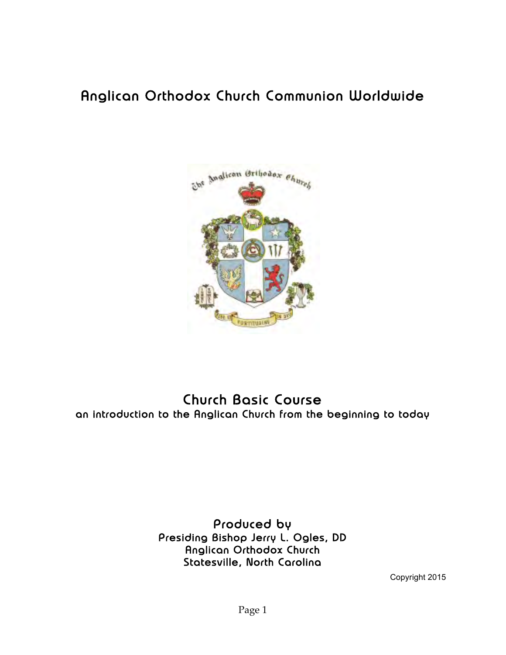# Anglican Orthodox Church Communion Worldwide



## Church Basic Course an introduction to the Anglican Church from the beginning to today

Produced by Presiding Bishop Jerry L. Ogles, DD Anglican Orthodox Church Statesville, North Carolina

Copyright 2015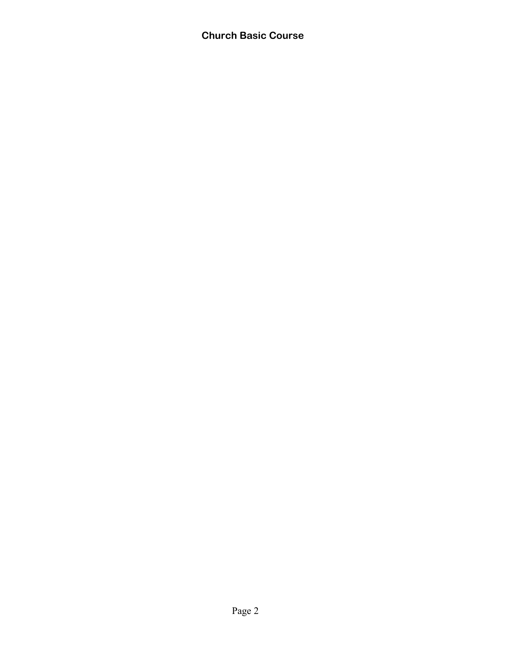### **Church Basic Course**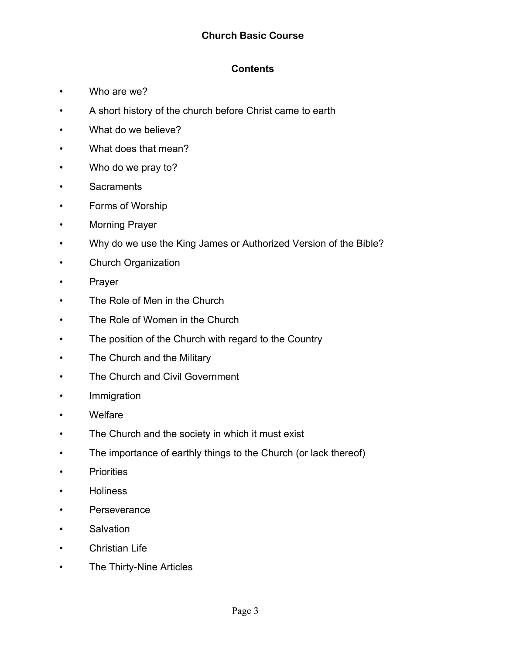### **Contents**

- Who are we?
- A short history of the church before Christ came to earth
- What do we believe?
- What does that mean?
- Who do we pray to?
- Sacraments
- Forms of Worship
- Morning Prayer
- Why do we use the King James or Authorized Version of the Bible?
- Church Organization
- Prayer
- The Role of Men in the Church
- The Role of Women in the Church
- The position of the Church with regard to the Country
- The Church and the Military
- The Church and Civil Government
- Immigration
- Welfare
- The Church and the society in which it must exist
- The importance of earthly things to the Church (or lack thereof)
- Priorities
- Holiness
- Perseverance
- Salvation
- Christian Life
- The Thirty-Nine Articles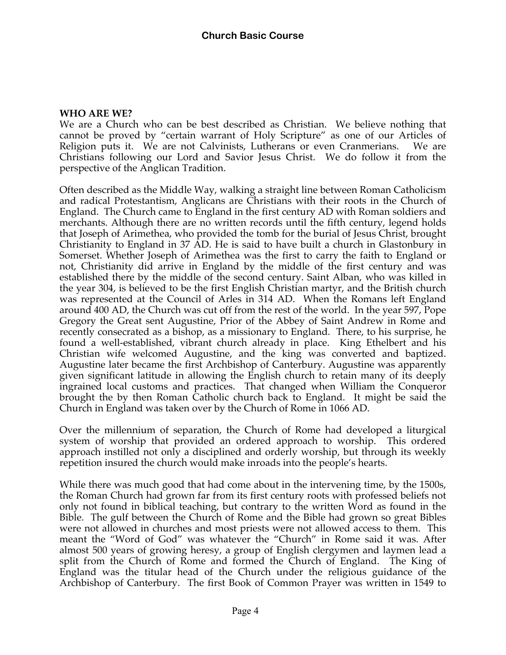### **WHO ARE WE?**

We are a Church who can be best described as Christian. We believe nothing that cannot be proved by "certain warrant of Holy Scripture" as one of our Articles of Religion puts it. We are not Calvinists, Lutherans or even Cranmerians. We are Christians following our Lord and Savior Jesus Christ. We do follow it from the perspective of the Anglican Tradition.

Often described as the Middle Way, walking a straight line between Roman Catholicism and radical Protestantism, Anglicans are Christians with their roots in the Church of England. The Church came to England in the first century AD with Roman soldiers and merchants. Although there are no written records until the fifth century, legend holds that Joseph of Arimethea, who provided the tomb for the burial of Jesus Christ, brought Christianity to England in 37 AD. He is said to have built a church in Glastonbury in Somerset. Whether Joseph of Arimethea was the first to carry the faith to England or not, Christianity did arrive in England by the middle of the first century and was established there by the middle of the second century. Saint Alban, who was killed in the year 304, is believed to be the first English Christian martyr, and the British church was represented at the Council of Arles in 314 AD. When the Romans left England around 400 AD, the Church was cut off from the rest of the world. In the year 597, Pope Gregory the Great sent Augustine, Prior of the Abbey of Saint Andrew in Rome and recently consecrated as a bishop, as a missionary to England. There, to his surprise, he found a well-established, vibrant church already in place. King Ethelbert and his Christian wife welcomed Augustine, and the king was converted and baptized. Augustine later became the first Archbishop of Canterbury. Augustine was apparently given significant latitude in allowing the English church to retain many of its deeply ingrained local customs and practices. That changed when William the Conqueror brought the by then Roman Catholic church back to England. It might be said the Church in England was taken over by the Church of Rome in 1066 AD.

Over the millennium of separation, the Church of Rome had developed a liturgical system of worship that provided an ordered approach to worship. This ordered approach instilled not only a disciplined and orderly worship, but through its weekly repetition insured the church would make inroads into the people's hearts.

While there was much good that had come about in the intervening time, by the 1500s, the Roman Church had grown far from its first century roots with professed beliefs not only not found in biblical teaching, but contrary to the written Word as found in the Bible. The gulf between the Church of Rome and the Bible had grown so great Bibles were not allowed in churches and most priests were not allowed access to them. This meant the "Word of God" was whatever the "Church" in Rome said it was. After almost 500 years of growing heresy, a group of English clergymen and laymen lead a split from the Church of Rome and formed the Church of England. The King of England was the titular head of the Church under the religious guidance of the Archbishop of Canterbury. The first Book of Common Prayer was written in 1549 to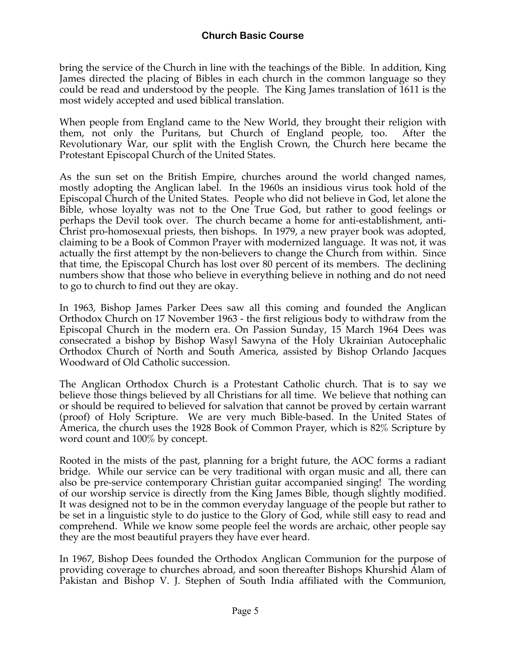bring the service of the Church in line with the teachings of the Bible. In addition, King James directed the placing of Bibles in each church in the common language so they could be read and understood by the people. The King James translation of 1611 is the most widely accepted and used biblical translation.

When people from England came to the New World, they brought their religion with them, not only the Puritans, but Church of England people, too. After the Revolutionary War, our split with the English Crown, the Church here became the Protestant Episcopal Church of the United States.

As the sun set on the British Empire, churches around the world changed names, mostly adopting the Anglican label. In the 1960s an insidious virus took hold of the Episcopal Church of the United States. People who did not believe in God, let alone the Bible, whose loyalty was not to the One True God, but rather to good feelings or perhaps the Devil took over. The church became a home for anti-establishment, anti-Christ pro-homosexual priests, then bishops. In 1979, a new prayer book was adopted, claiming to be a Book of Common Prayer with modernized language. It was not, it was actually the first attempt by the non-believers to change the Church from within. Since that time, the Episcopal Church has lost over 80 percent of its members. The declining numbers show that those who believe in everything believe in nothing and do not need to go to church to find out they are okay.

In 1963, Bishop James Parker Dees saw all this coming and founded the Anglican Orthodox Church on 17 November 1963 - the first religious body to withdraw from the Episcopal Church in the modern era. On Passion Sunday, 15 March 1964 Dees was consecrated a bishop by Bishop Wasyl Sawyna of the Holy Ukrainian Autocephalic Orthodox Church of North and South America, assisted by Bishop Orlando Jacques Woodward of Old Catholic succession.

The Anglican Orthodox Church is a Protestant Catholic church. That is to say we believe those things believed by all Christians for all time. We believe that nothing can or should be required to believed for salvation that cannot be proved by certain warrant (proof) of Holy Scripture. We are very much Bible-based. In the United States of America, the church uses the 1928 Book of Common Prayer, which is 82% Scripture by word count and 100% by concept.

Rooted in the mists of the past, planning for a bright future, the AOC forms a radiant bridge. While our service can be very traditional with organ music and all, there can also be pre-service contemporary Christian guitar accompanied singing! The wording of our worship service is directly from the King James Bible, though slightly modified. It was designed not to be in the common everyday language of the people but rather to be set in a linguistic style to do justice to the Glory of God, while still easy to read and comprehend. While we know some people feel the words are archaic, other people say they are the most beautiful prayers they have ever heard.

In 1967, Bishop Dees founded the Orthodox Anglican Communion for the purpose of providing coverage to churches abroad, and soon thereafter Bishops Khurshid Alam of Pakistan and Bishop V. J. Stephen of South India affiliated with the Communion,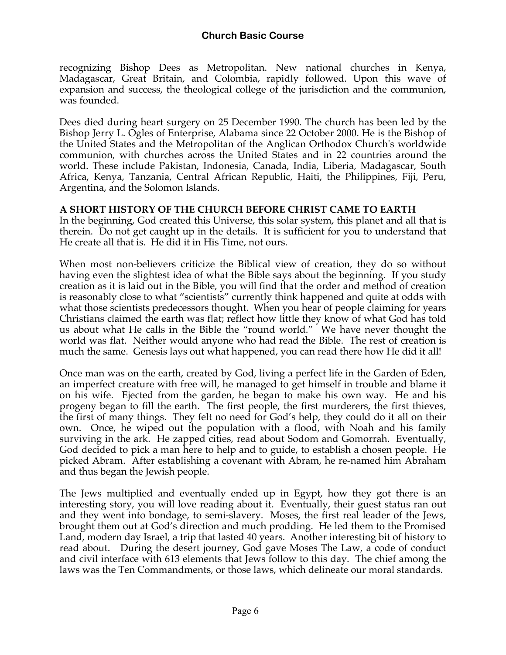recognizing Bishop Dees as Metropolitan. New national churches in Kenya, Madagascar, Great Britain, and Colombia, rapidly followed. Upon this wave of expansion and success, the theological college of the jurisdiction and the communion, was founded.

Dees died during heart surgery on 25 December 1990. The church has been led by the Bishop Jerry L. Ogles of Enterprise, Alabama since 22 October 2000. He is the Bishop of the United States and the Metropolitan of the Anglican Orthodox Church's worldwide communion, with churches across the United States and in 22 countries around the world. These include Pakistan, Indonesia, Canada, India, Liberia, Madagascar, South Africa, Kenya, Tanzania, Central African Republic, Haiti, the Philippines, Fiji, Peru, Argentina, and the Solomon Islands.

### **A SHORT HISTORY OF THE CHURCH BEFORE CHRIST CAME TO EARTH**

In the beginning, God created this Universe, this solar system, this planet and all that is therein. Do not get caught up in the details. It is sufficient for you to understand that He create all that is. He did it in His Time, not ours.

When most non-believers criticize the Biblical view of creation, they do so without having even the slightest idea of what the Bible says about the beginning. If you study creation as it is laid out in the Bible, you will find that the order and method of creation is reasonably close to what "scientists" currently think happened and quite at odds with what those scientists predecessors thought. When you hear of people claiming for years Christians claimed the earth was flat; reflect how little they know of what God has told us about what He calls in the Bible the "round world." We have never thought the world was flat. Neither would anyone who had read the Bible. The rest of creation is much the same. Genesis lays out what happened, you can read there how He did it all!

Once man was on the earth, created by God, living a perfect life in the Garden of Eden, an imperfect creature with free will, he managed to get himself in trouble and blame it on his wife. Ejected from the garden, he began to make his own way. He and his progeny began to fill the earth. The first people, the first murderers, the first thieves, the first of many things. They felt no need for God's help, they could do it all on their own. Once, he wiped out the population with a flood, with Noah and his family surviving in the ark. He zapped cities, read about Sodom and Gomorrah. Eventually, God decided to pick a man here to help and to guide, to establish a chosen people. He picked Abram. After establishing a covenant with Abram, he re-named him Abraham and thus began the Jewish people.

The Jews multiplied and eventually ended up in Egypt, how they got there is an interesting story, you will love reading about it. Eventually, their guest status ran out and they went into bondage, to semi-slavery. Moses, the first real leader of the Jews, brought them out at God's direction and much prodding. He led them to the Promised Land, modern day Israel, a trip that lasted 40 years. Another interesting bit of history to read about. During the desert journey, God gave Moses The Law, a code of conduct and civil interface with 613 elements that Jews follow to this day. The chief among the laws was the Ten Commandments, or those laws, which delineate our moral standards.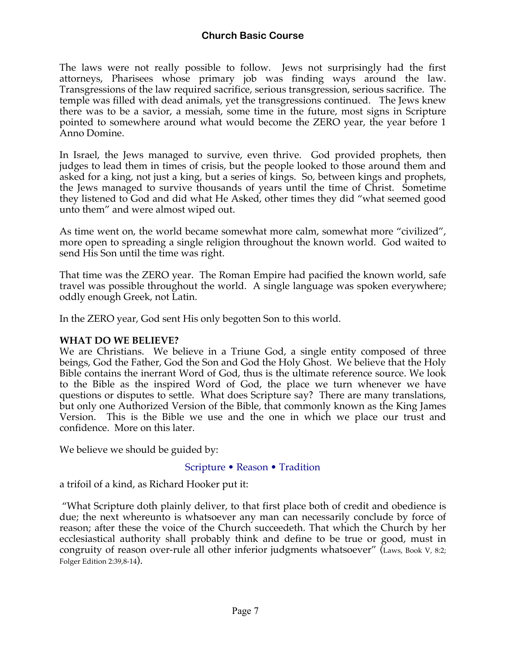The laws were not really possible to follow. Jews not surprisingly had the first attorneys, Pharisees whose primary job was finding ways around the law. Transgressions of the law required sacrifice, serious transgression, serious sacrifice. The temple was filled with dead animals, yet the transgressions continued. The Jews knew there was to be a savior, a messiah, some time in the future, most signs in Scripture pointed to somewhere around what would become the ZERO year, the year before 1 Anno Domine.

In Israel, the Jews managed to survive, even thrive. God provided prophets, then judges to lead them in times of crisis, but the people looked to those around them and asked for a king, not just a king, but a series of kings. So, between kings and prophets, the Jews managed to survive thousands of years until the time of Christ. Sometime they listened to God and did what He Asked, other times they did "what seemed good unto them" and were almost wiped out.

As time went on, the world became somewhat more calm, somewhat more "civilized", more open to spreading a single religion throughout the known world. God waited to send His Son until the time was right.

That time was the ZERO year. The Roman Empire had pacified the known world, safe travel was possible throughout the world. A single language was spoken everywhere; oddly enough Greek, not Latin.

In the ZERO year, God sent His only begotten Son to this world.

### **WHAT DO WE BELIEVE?**

We are Christians. We believe in a Triune God, a single entity composed of three beings, God the Father, God the Son and God the Holy Ghost. We believe that the Holy Bible contains the inerrant Word of God, thus is the ultimate reference source. We look to the Bible as the inspired Word of God, the place we turn whenever we have questions or disputes to settle. What does Scripture say? There are many translations, but only one Authorized Version of the Bible, that commonly known as the King James Version. This is the Bible we use and the one in which we place our trust and confidence. More on this later.

We believe we should be guided by:

### Scripture • Reason • Tradition

a trifoil of a kind, as Richard Hooker put it:

 "What Scripture doth plainly deliver, to that first place both of credit and obedience is due; the next whereunto is whatsoever any man can necessarily conclude by force of reason; after these the voice of the Church succeedeth. That which the Church by her ecclesiastical authority shall probably think and define to be true or good, must in congruity of reason over-rule all other inferior judgments whatsoever" (Laws, Book V, 8:2; Folger Edition 2:39,8-14).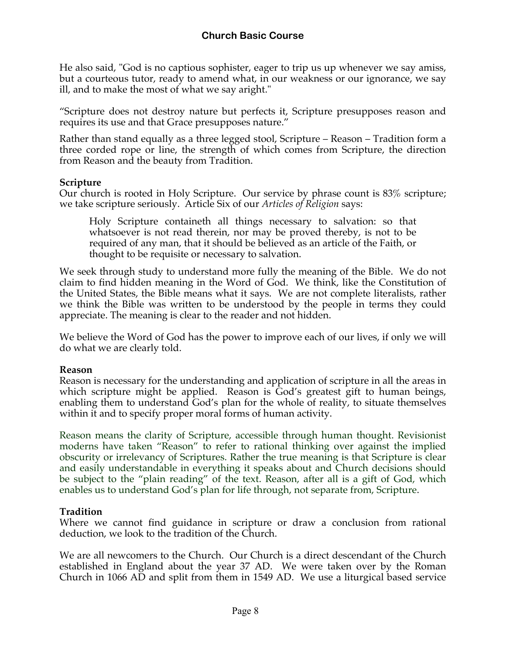He also said, "God is no captious sophister, eager to trip us up whenever we say amiss, but a courteous tutor, ready to amend what, in our weakness or our ignorance, we say ill, and to make the most of what we say aright."

"Scripture does not destroy nature but perfects it, Scripture presupposes reason and requires its use and that Grace presupposes nature."

Rather than stand equally as a three legged stool, Scripture – Reason – Tradition form a three corded rope or line, the strength of which comes from Scripture, the direction from Reason and the beauty from Tradition.

### **Scripture**

Our church is rooted in Holy Scripture. Our service by phrase count is 83% scripture; we take scripture seriously. Article Six of our *Articles of Religion* says:

Holy Scripture containeth all things necessary to salvation: so that whatsoever is not read therein, nor may be proved thereby, is not to be required of any man, that it should be believed as an article of the Faith, or thought to be requisite or necessary to salvation.

We seek through study to understand more fully the meaning of the Bible. We do not claim to find hidden meaning in the Word of God. We think, like the Constitution of the United States, the Bible means what it says. We are not complete literalists, rather we think the Bible was written to be understood by the people in terms they could appreciate. The meaning is clear to the reader and not hidden.

We believe the Word of God has the power to improve each of our lives, if only we will do what we are clearly told.

### **Reason**

Reason is necessary for the understanding and application of scripture in all the areas in which scripture might be applied. Reason is God's greatest gift to human beings, enabling them to understand God's plan for the whole of reality, to situate themselves within it and to specify proper moral forms of human activity.

Reason means the clarity of Scripture, accessible through human thought. Revisionist moderns have taken "Reason" to refer to rational thinking over against the implied obscurity or irrelevancy of Scriptures. Rather the true meaning is that Scripture is clear and easily understandable in everything it speaks about and Church decisions should be subject to the "plain reading" of the text. Reason, after all is a gift of God, which enables us to understand God's plan for life through, not separate from, Scripture.

### **Tradition**

Where we cannot find guidance in scripture or draw a conclusion from rational deduction, we look to the tradition of the Church.

We are all newcomers to the Church. Our Church is a direct descendant of the Church established in England about the year 37 AD. We were taken over by the Roman Church in 1066 AD and split from them in 1549 AD. We use a liturgical based service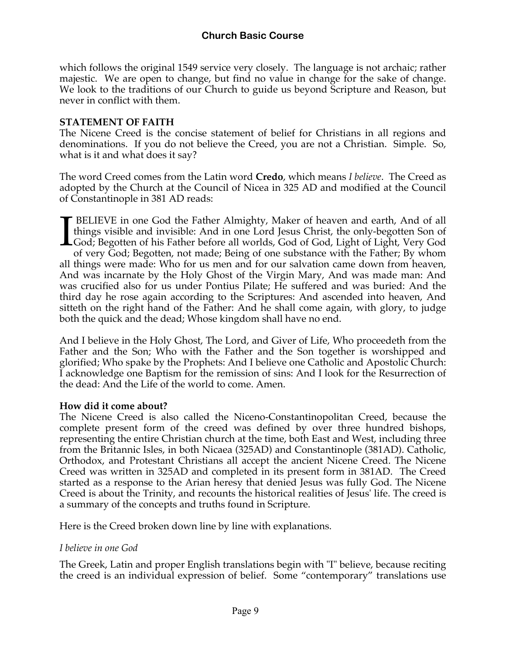which follows the original 1549 service very closely. The language is not archaic; rather majestic. We are open to change, but find no value in change for the sake of change. We look to the traditions of our Church to guide us beyond Scripture and Reason, but never in conflict with them.

### **STATEMENT OF FAITH**

The Nicene Creed is the concise statement of belief for Christians in all regions and denominations. If you do not believe the Creed, you are not a Christian. Simple. So, what is it and what does it say?

The word Creed comes from the Latin word **Credo**, which means *I believe*. The Creed as adopted by the Church at the Council of Nicea in 325 AD and modified at the Council of Constantinople in 381 AD reads:

 BELIEVE in one God the Father Almighty, Maker of heaven and earth, And of all things visible and invisible: And in one Lord Jesus Christ, the only-begotten Son of God; Begotten of his Father before all worlds, God of God, Light of Light, Very God of very God; Begotten, not made; Being of one substance with the Father; By whom all things were made: Who for us men and for our salvation came down from heaven, And was incarnate by the Holy Ghost of the Virgin Mary, And was made man: And was crucified also for us under Pontius Pilate; He suffered and was buried: And the third day he rose again according to the Scriptures: And ascended into heaven, And sitteth on the right hand of the Father: And he shall come again, with glory, to judge both the quick and the dead; Whose kingdom shall have no end. I

And I believe in the Holy Ghost, The Lord, and Giver of Life, Who proceedeth from the Father and the Son; Who with the Father and the Son together is worshipped and glorified; Who spake by the Prophets: And I believe one Catholic and Apostolic Church: I acknowledge one Baptism for the remission of sins: And I look for the Resurrection of the dead: And the Life of the world to come. Amen.

### **How did it come about?**

The Nicene Creed is also called the Niceno-Constantinopolitan Creed, because the complete present form of the creed was defined by over three hundred bishops, representing the entire Christian church at the time, both East and West, including three from the Britannic Isles, in both Nicaea (325AD) and Constantinople (381AD). Catholic, Orthodox, and Protestant Christians all accept the ancient Nicene Creed. The Nicene Creed was written in 325AD and completed in its present form in 381AD. The Creed started as a response to the Arian heresy that denied Jesus was fully God. The Nicene Creed is about the Trinity, and recounts the historical realities of Jesus' life. The creed is a summary of the concepts and truths found in Scripture.

Here is the Creed broken down line by line with explanations.

### *I believe in one God*

The Greek, Latin and proper English translations begin with "I" believe, because reciting the creed is an individual expression of belief. Some "contemporary" translations use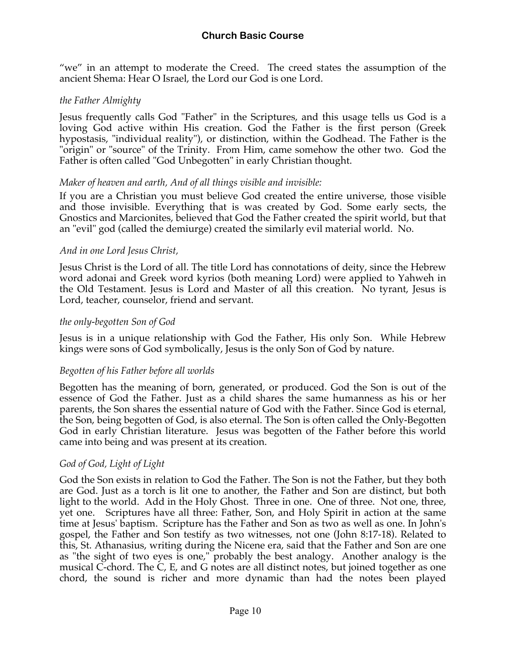"we" in an attempt to moderate the Creed. The creed states the assumption of the ancient Shema: Hear O Israel, the Lord our God is one Lord.

### *the Father Almighty*

Jesus frequently calls God "Father" in the Scriptures, and this usage tells us God is a loving God active within His creation. God the Father is the first person (Greek hypostasis, "individual reality"), or distinction, within the Godhead. The Father is the "origin" or "source" of the Trinity. From Him, came somehow the other two. God the Father is often called "God Unbegotten" in early Christian thought.

#### *Maker of heaven and earth, And of all things visible and invisible:*

If you are a Christian you must believe God created the entire universe, those visible and those invisible. Everything that is was created by God. Some early sects, the Gnostics and Marcionites, believed that God the Father created the spirit world, but that an "evil" god (called the demiurge) created the similarly evil material world. No.

#### *And in one Lord Jesus Christ,*

Jesus Christ is the Lord of all. The title Lord has connotations of deity, since the Hebrew word adonai and Greek word kyrios (both meaning Lord) were applied to Yahweh in the Old Testament. Jesus is Lord and Master of all this creation. No tyrant, Jesus is Lord, teacher, counselor, friend and servant.

### *the only-begotten Son of God*

Jesus is in a unique relationship with God the Father, His only Son. While Hebrew kings were sons of God symbolically, Jesus is the only Son of God by nature.

#### *Begotten of his Father before all worlds*

Begotten has the meaning of born, generated, or produced. God the Son is out of the essence of God the Father. Just as a child shares the same humanness as his or her parents, the Son shares the essential nature of God with the Father. Since God is eternal, the Son, being begotten of God, is also eternal. The Son is often called the Only-Begotten God in early Christian literature. Jesus was begotten of the Father before this world came into being and was present at its creation.

### *God of God, Light of Light*

God the Son exists in relation to God the Father. The Son is not the Father, but they both are God. Just as a torch is lit one to another, the Father and Son are distinct, but both light to the world. Add in the Holy Ghost. Three in one. One of three. Not one, three, yet one. Scriptures have all three: Father, Son, and Holy Spirit in action at the same time at Jesus' baptism. Scripture has the Father and Son as two as well as one. In John's gospel, the Father and Son testify as two witnesses, not one (John 8:17-18). Related to this, St. Athanasius, writing during the Nicene era, said that the Father and Son are one as "the sight of two eyes is one," probably the best analogy. Another analogy is the musical C-chord. The C, E, and G notes are all distinct notes, but joined together as one chord, the sound is richer and more dynamic than had the notes been played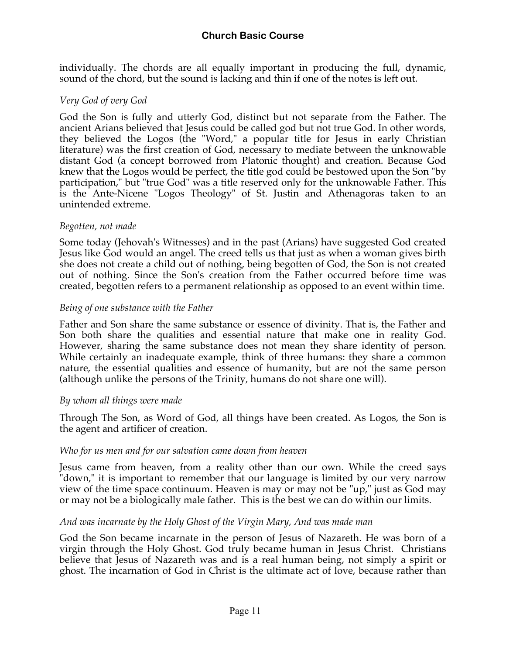### **Church Basic Course**

individually. The chords are all equally important in producing the full, dynamic, sound of the chord, but the sound is lacking and thin if one of the notes is left out.

#### *Very God of very God*

God the Son is fully and utterly God, distinct but not separate from the Father. The ancient Arians believed that Jesus could be called god but not true God. In other words, they believed the Logos (the "Word," a popular title for Jesus in early Christian literature) was the first creation of God, necessary to mediate between the unknowable distant God (a concept borrowed from Platonic thought) and creation. Because God knew that the Logos would be perfect, the title god could be bestowed upon the Son "by participation," but "true God" was a title reserved only for the unknowable Father. This is the Ante-Nicene "Logos Theology" of St. Justin and Athenagoras taken to an unintended extreme.

#### *Begotten, not made*

Some today (Jehovah's Witnesses) and in the past (Arians) have suggested God created Jesus like God would an angel. The creed tells us that just as when a woman gives birth she does not create a child out of nothing, being begotten of God, the Son is not created out of nothing. Since the Son's creation from the Father occurred before time was created, begotten refers to a permanent relationship as opposed to an event within time.

#### *Being of one substance with the Father*

Father and Son share the same substance or essence of divinity. That is, the Father and Son both share the qualities and essential nature that make one in reality God. However, sharing the same substance does not mean they share identity of person. While certainly an inadequate example, think of three humans: they share a common nature, the essential qualities and essence of humanity, but are not the same person (although unlike the persons of the Trinity, humans do not share one will).

#### *By whom all things were made*

Through The Son, as Word of God, all things have been created. As Logos, the Son is the agent and artificer of creation.

### *Who for us men and for our salvation came down from heaven*

Jesus came from heaven, from a reality other than our own. While the creed says "down," it is important to remember that our language is limited by our very narrow view of the time space continuum. Heaven is may or may not be "up," just as God may or may not be a biologically male father. This is the best we can do within our limits.

#### *And was incarnate by the Holy Ghost of the Virgin Mary, And was made man*

God the Son became incarnate in the person of Jesus of Nazareth. He was born of a virgin through the Holy Ghost. God truly became human in Jesus Christ. Christians believe that Jesus of Nazareth was and is a real human being, not simply a spirit or ghost. The incarnation of God in Christ is the ultimate act of love, because rather than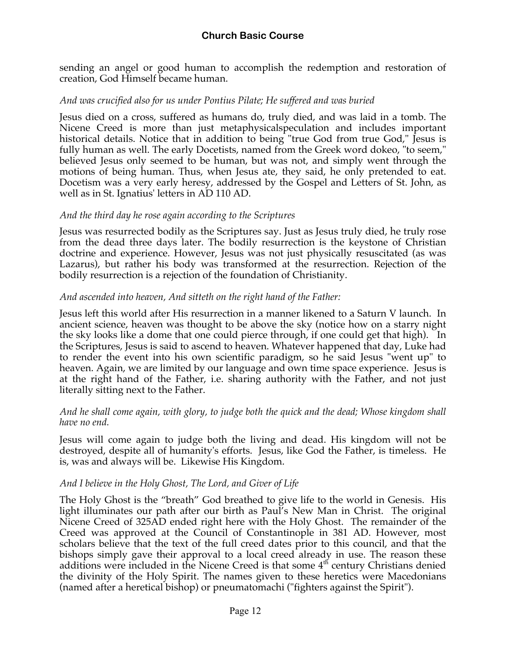sending an angel or good human to accomplish the redemption and restoration of creation, God Himself became human.

### *And was crucified also for us under Pontius Pilate; He suffered and was buried*

Jesus died on a cross, suffered as humans do, truly died, and was laid in a tomb. The Nicene Creed is more than just metaphysicalspeculation and includes important historical details. Notice that in addition to being "true God from true God," Jesus is fully human as well. The early Docetists, named from the Greek word dokeo, "to seem," believed Jesus only seemed to be human, but was not, and simply went through the motions of being human. Thus, when Jesus ate, they said, he only pretended to eat. Docetism was a very early heresy, addressed by the Gospel and Letters of St. John, as well as in St. Ignatius' letters in AD 110 AD.

### *And the third day he rose again according to the Scriptures*

Jesus was resurrected bodily as the Scriptures say. Just as Jesus truly died, he truly rose from the dead three days later. The bodily resurrection is the keystone of Christian doctrine and experience. However, Jesus was not just physically resuscitated (as was Lazarus), but rather his body was transformed at the resurrection. Rejection of the bodily resurrection is a rejection of the foundation of Christianity.

### *And ascended into heaven, And sitteth on the right hand of the Father:*

Jesus left this world after His resurrection in a manner likened to a Saturn V launch. In ancient science, heaven was thought to be above the sky (notice how on a starry night the sky looks like a dome that one could pierce through, if one could get that high). In the Scriptures, Jesus is said to ascend to heaven. Whatever happened that day, Luke had to render the event into his own scientific paradigm, so he said Jesus "went up" to heaven. Again, we are limited by our language and own time space experience. Jesus is at the right hand of the Father, i.e. sharing authority with the Father, and not just literally sitting next to the Father.

### *And he shall come again, with glory, to judge both the quick and the dead; Whose kingdom shall have no end.*

Jesus will come again to judge both the living and dead. His kingdom will not be destroyed, despite all of humanity's efforts. Jesus, like God the Father, is timeless. He is, was and always will be. Likewise His Kingdom.

### *And I believe in the Holy Ghost, The Lord, and Giver of Life*

The Holy Ghost is the "breath" God breathed to give life to the world in Genesis. His light illuminates our path after our birth as Paul's New Man in Christ. The original Nicene Creed of 325AD ended right here with the Holy Ghost. The remainder of the Creed was approved at the Council of Constantinople in 381 AD. However, most scholars believe that the text of the full creed dates prior to this council, and that the bishops simply gave their approval to a local creed already in use. The reason these additions were included in the Nicene Creed is that some  $4<sup>th</sup>$  century Christians denied the divinity of the Holy Spirit. The names given to these heretics were Macedonians (named after a heretical bishop) or pneumatomachi ("fighters against the Spirit").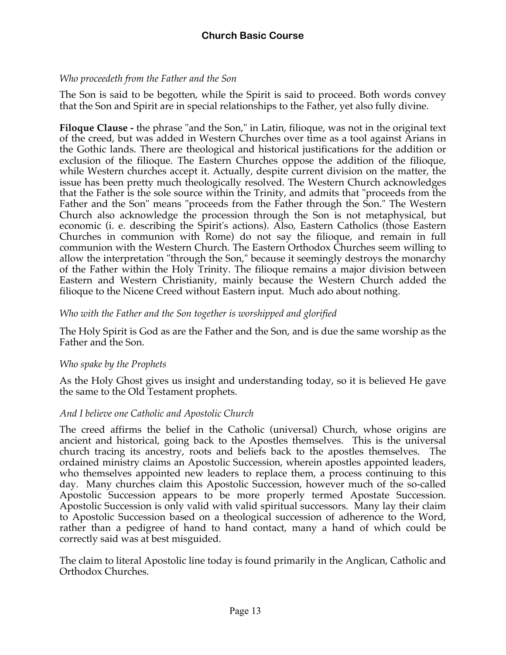### *Who proceedeth from the Father and the Son*

The Son is said to be begotten, while the Spirit is said to proceed. Both words convey that the Son and Spirit are in special relationships to the Father, yet also fully divine.

**Filoque Clause -** the phrase "and the Son," in Latin, filioque, was not in the original text of the creed, but was added in Western Churches over time as a tool against Arians in the Gothic lands. There are theological and historical justifications for the addition or exclusion of the filioque. The Eastern Churches oppose the addition of the filioque, while Western churches accept it. Actually, despite current division on the matter, the issue has been pretty much theologically resolved. The Western Church acknowledges that the Father is the sole source within the Trinity, and admits that "proceeds from the Father and the Son" means "proceeds from the Father through the Son." The Western Church also acknowledge the procession through the Son is not metaphysical, but economic (i. e. describing the Spirit's actions). Also, Eastern Catholics (those Eastern Churches in communion with Rome) do not say the filioque, and remain in full communion with the Western Church. The Eastern Orthodox Churches seem willing to allow the interpretation "through the Son," because it seemingly destroys the monarchy of the Father within the Holy Trinity. The filioque remains a major division between Eastern and Western Christianity, mainly because the Western Church added the filioque to the Nicene Creed without Eastern input. Much ado about nothing.

### *Who with the Father and the Son together is worshipped and glorified*

The Holy Spirit is God as are the Father and the Son, and is due the same worship as the Father and the Son.

### *Who spake by the Prophets*

As the Holy Ghost gives us insight and understanding today, so it is believed He gave the same to the Old Testament prophets.

### *And I believe one Catholic and Apostolic Church*

The creed affirms the belief in the Catholic (universal) Church, whose origins are ancient and historical, going back to the Apostles themselves. This is the universal church tracing its ancestry, roots and beliefs back to the apostles themselves. The ordained ministry claims an Apostolic Succession, wherein apostles appointed leaders, who themselves appointed new leaders to replace them, a process continuing to this day. Many churches claim this Apostolic Succession, however much of the so-called Apostolic Succession appears to be more properly termed Apostate Succession. Apostolic Succession is only valid with valid spiritual successors. Many lay their claim to Apostolic Succession based on a theological succession of adherence to the Word, rather than a pedigree of hand to hand contact, many a hand of which could be correctly said was at best misguided.

The claim to literal Apostolic line today is found primarily in the Anglican, Catholic and Orthodox Churches.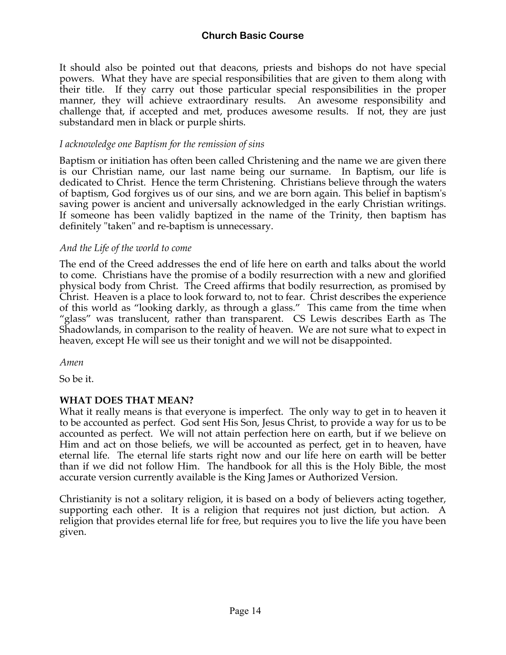It should also be pointed out that deacons, priests and bishops do not have special powers. What they have are special responsibilities that are given to them along with their title. If they carry out those particular special responsibilities in the proper manner, they will achieve extraordinary results. An awesome responsibility and challenge that, if accepted and met, produces awesome results. If not, they are just substandard men in black or purple shirts.

### *I acknowledge one Baptism for the remission of sins*

Baptism or initiation has often been called Christening and the name we are given there is our Christian name, our last name being our surname. In Baptism, our life is dedicated to Christ. Hence the term Christening. Christians believe through the waters of baptism, God forgives us of our sins, and we are born again. This belief in baptism's saving power is ancient and universally acknowledged in the early Christian writings. If someone has been validly baptized in the name of the Trinity, then baptism has definitely "taken" and re-baptism is unnecessary.

### *And the Life of the world to come*

The end of the Creed addresses the end of life here on earth and talks about the world to come. Christians have the promise of a bodily resurrection with a new and glorified physical body from Christ. The Creed affirms that bodily resurrection, as promised by Christ. Heaven is a place to look forward to, not to fear. Christ describes the experience of this world as "looking darkly, as through a glass." This came from the time when "glass" was translucent, rather than transparent. CS Lewis describes Earth as The Shadowlands, in comparison to the reality of heaven. We are not sure what to expect in heaven, except He will see us their tonight and we will not be disappointed.

*Amen*

So be it.

### **WHAT DOES THAT MEAN?**

What it really means is that everyone is imperfect. The only way to get in to heaven it to be accounted as perfect. God sent His Son, Jesus Christ, to provide a way for us to be accounted as perfect. We will not attain perfection here on earth, but if we believe on Him and act on those beliefs, we will be accounted as perfect, get in to heaven, have eternal life. The eternal life starts right now and our life here on earth will be better than if we did not follow Him. The handbook for all this is the Holy Bible, the most accurate version currently available is the King James or Authorized Version.

Christianity is not a solitary religion, it is based on a body of believers acting together, supporting each other. It is a religion that requires not just diction, but action. A religion that provides eternal life for free, but requires you to live the life you have been given.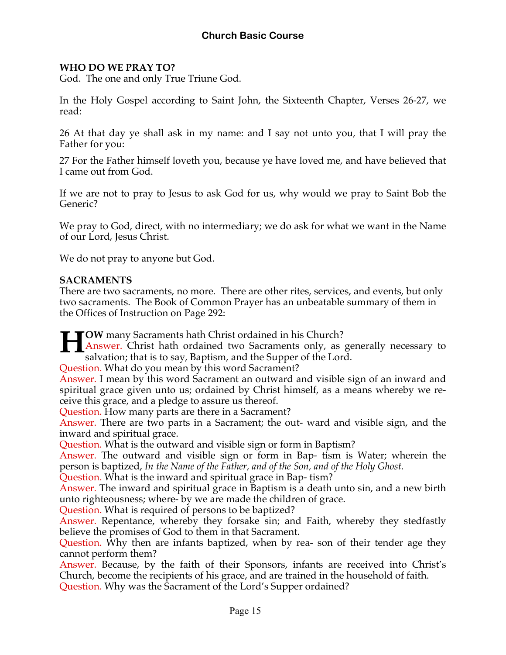### **WHO DO WE PRAY TO?**

God. The one and only True Triune God.

In the Holy Gospel according to Saint John, the Sixteenth Chapter, Verses 26-27, we read:

26 At that day ye shall ask in my name: and I say not unto you, that I will pray the Father for you:

27 For the Father himself loveth you, because ye have loved me, and have believed that I came out from God.

If we are not to pray to Jesus to ask God for us, why would we pray to Saint Bob the Generic?

We pray to God, direct, with no intermediary; we do ask for what we want in the Name of our Lord, Jesus Christ.

We do not pray to anyone but God.

### **SACRAMENTS**

There are two sacraments, no more. There are other rites, services, and events, but only two sacraments. The Book of Common Prayer has an unbeatable summary of them in the Offices of Instruction on Page 292:

**OW** many Sacraments hath Christ ordained in his Church?<br> **Answer**. Christ hath ordained two Sacraments only, as a salvation: that is to sav. Baptism. and the Supper of the Lord Answer. Christ hath ordained two Sacraments only, as generally necessary to salvation; that is to say, Baptism, and the Supper of the Lord.

Question. What do you mean by this word Sacrament?

Answer. I mean by this word Sacrament an outward and visible sign of an inward and spiritual grace given unto us; ordained by Christ himself, as a means whereby we receive this grace, and a pledge to assure us thereof.

Question. How many parts are there in a Sacrament?

Answer. There are two parts in a Sacrament; the out- ward and visible sign, and the inward and spiritual grace.

Question. What is the outward and visible sign or form in Baptism?

Answer. The outward and visible sign or form in Bap- tism is Water; wherein the person is baptized, *In the Name of the Father, and of the Son, and of the Holy Ghost.* 

Question. What is the inward and spiritual grace in Bap- tism?

Answer. The inward and spiritual grace in Baptism is a death unto sin, and a new birth unto righteousness; where- by we are made the children of grace.

Question. What is required of persons to be baptized?

Answer. Repentance, whereby they forsake sin; and Faith, whereby they stedfastly believe the promises of God to them in that Sacrament.

Question. Why then are infants baptized, when by rea- son of their tender age they cannot perform them?

Answer. Because, by the faith of their Sponsors, infants are received into Christ's Church, become the recipients of his grace, and are trained in the household of faith.

Question. Why was the Sacrament of the Lord's Supper ordained?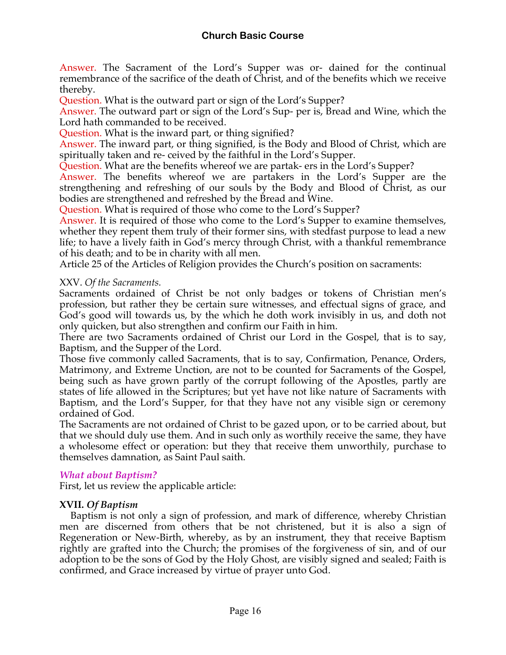Answer. The Sacrament of the Lord's Supper was or- dained for the continual remembrance of the sacrifice of the death of Christ, and of the benefits which we receive thereby.

Question. What is the outward part or sign of the Lord's Supper?

Answer. The outward part or sign of the Lord's Sup- per is, Bread and Wine, which the Lord hath commanded to be received.

Question. What is the inward part, or thing signified?

Answer. The inward part, or thing signified, is the Body and Blood of Christ, which are spiritually taken and re- ceived by the faithful in the Lord's Supper.

Question. What are the benefits whereof we are partak- ers in the Lord's Supper?

Answer. The benefits whereof we are partakers in the Lord's Supper are the strengthening and refreshing of our souls by the Body and Blood of Christ, as our bodies are strengthened and refreshed by the Bread and Wine.

Question. What is required of those who come to the Lord's Supper?

Answer. It is required of those who come to the Lord's Supper to examine themselves, whether they repent them truly of their former sins, with stedfast purpose to lead a new life; to have a lively faith in God's mercy through Christ, with a thankful remembrance of his death; and to be in charity with all men.

Article 25 of the Articles of Religion provides the Church's position on sacraments:

### XXV. *Of the Sacraments.*

Sacraments ordained of Christ be not only badges or tokens of Christian men's profession, but rather they be certain sure witnesses, and effectual signs of grace, and God's good will towards us, by the which he doth work invisibly in us, and doth not only quicken, but also strengthen and confirm our Faith in him.

There are two Sacraments ordained of Christ our Lord in the Gospel, that is to say, Baptism, and the Supper of the Lord.

Those five commonly called Sacraments, that is to say, Confirmation, Penance, Orders, Matrimony, and Extreme Unction, are not to be counted for Sacraments of the Gospel, being such as have grown partly of the corrupt following of the Apostles, partly are states of life allowed in the Scriptures; but yet have not like nature of Sacraments with Baptism, and the Lord's Supper, for that they have not any visible sign or ceremony ordained of God.

The Sacraments are not ordained of Christ to be gazed upon, or to be carried about, but that we should duly use them. And in such only as worthily receive the same, they have a wholesome effect or operation: but they that receive them unworthily, purchase to themselves damnation, as Saint Paul saith.

### *What about Baptism?*

First, let us review the applicable article:

### **XVII.** *Of Baptism*

Baptism is not only a sign of profession, and mark of difference, whereby Christian men are discerned from others that be not christened, but it is also a sign of Regeneration or New-Birth, whereby, as by an instrument, they that receive Baptism rightly are grafted into the Church; the promises of the forgiveness of sin, and of our adoption to be the sons of God by the Holy Ghost, are visibly signed and sealed; Faith is confirmed, and Grace increased by virtue of prayer unto God.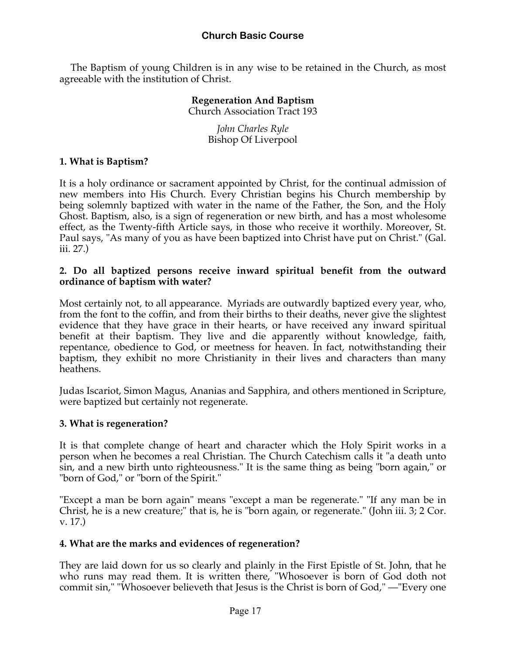The Baptism of young Children is in any wise to be retained in the Church, as most agreeable with the institution of Christ.

### **Regeneration And Baptism** Church Association Tract 193

*John Charles Ryle* Bishop Of Liverpool

### **1. What is Baptism?**

It is a holy ordinance or sacrament appointed by Christ, for the continual admission of new members into His Church. Every Christian begins his Church membership by being solemnly baptized with water in the name of the Father, the Son, and the Holy Ghost. Baptism, also, is a sign of regeneration or new birth, and has a most wholesome effect, as the Twenty-fifth Article says, in those who receive it worthily. Moreover, St. Paul says, "As many of you as have been baptized into Christ have put on Christ." (Gal. iii. 27.)

#### **2. Do all baptized persons receive inward spiritual benefit from the outward ordinance of baptism with water?**

Most certainly not, to all appearance. Myriads are outwardly baptized every year, who, from the font to the coffin, and from their births to their deaths, never give the slightest evidence that they have grace in their hearts, or have received any inward spiritual benefit at their baptism. They live and die apparently without knowledge, faith, repentance, obedience to God, or meetness for heaven. In fact, notwithstanding their baptism, they exhibit no more Christianity in their lives and characters than many heathens.

Judas Iscariot, Simon Magus, Ananias and Sapphira, and others mentioned in Scripture, were baptized but certainly not regenerate.

#### **3. What is regeneration?**

It is that complete change of heart and character which the Holy Spirit works in a person when he becomes a real Christian. The Church Catechism calls it "a death unto sin, and a new birth unto righteousness." It is the same thing as being "born again," or "born of God," or "born of the Spirit."

"Except a man be born again" means "except a man be regenerate." "If any man be in Christ, he is a new creature;" that is, he is "born again, or regenerate." (John iii. 3; 2 Cor. v. 17.)

#### **4. What are the marks and evidences of regeneration?**

They are laid down for us so clearly and plainly in the First Epistle of St. John, that he who runs may read them. It is written there, "Whosoever is born of God doth not commit sin," "Whosoever believeth that Jesus is the Christ is born of God," —"Every one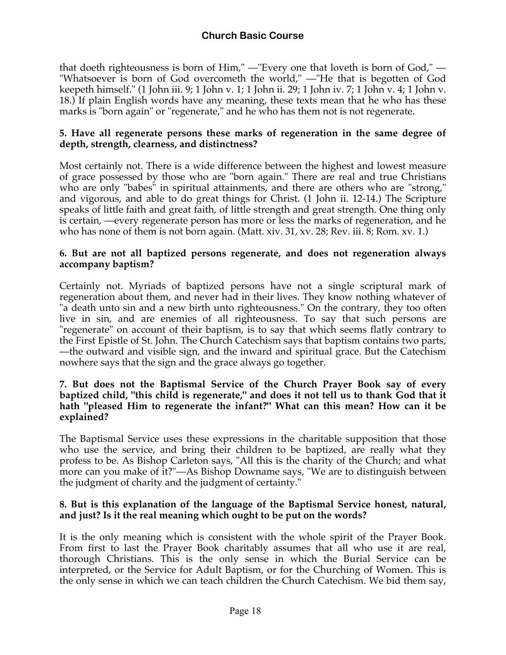that doeth righteousness is born of Him," —"Every one that loveth is born of God," — "Whatsoever is born of God overcometh the world," —"He that is begotten of God keepeth himself." (1 John iii. 9; 1 John v. 1; 1 John ii. 29; 1 John iv. 7; 1 John v. 4; 1 John v. 18.) If plain English words have any meaning, these texts mean that he who has these marks is "born again" or "regenerate," and he who has them not is not regenerate.

### **5. Have all regenerate persons these marks of regeneration in the same degree of depth, strength, clearness, and distinctness?**

Most certainly not. There is a wide difference between the highest and lowest measure of grace possessed by those who are "born again." There are real and true Christians who are only "babes" in spiritual attainments, and there are others who are "strong," and vigorous, and able to do great things for Christ. (1 John ii. 12-14.) The Scripture speaks of little faith and great faith, of little strength and great strength. One thing only is certain, —every regenerate person has more or less the marks of regeneration, and he who has none of them is not born again. (Matt. xiv. 31, xv. 28; Rev. iii. 8; Rom. xv. 1.)

### **6. But are not all baptized persons regenerate, and does not regeneration always accompany baptism?**

Certainly not. Myriads of baptized persons have not a single scriptural mark of regeneration about them, and never had in their lives. They know nothing whatever of "a death unto sin and a new birth unto righteousness." On the contrary, they too often live in sin, and are enemies of all righteousness. To say that such persons are "regenerate" on account of their baptism, is to say that which seems flatly contrary to the First Epistle of St. John. The Church Catechism says that baptism contains two parts, —the outward and visible sign, and the inward and spiritual grace. But the Catechism nowhere says that the sign and the grace always go together.

#### **7. But does not the Baptismal Service of the Church Prayer Book say of every baptized child, "this child is regenerate," and does it not tell us to thank God that it hath "pleased Him to regenerate the infant?" What can this mean? How can it be explained?**

The Baptismal Service uses these expressions in the charitable supposition that those who use the service, and bring their children to be baptized, are really what they profess to be. As Bishop Carleton says, "All this is the charity of the Church; and what more can you make of it?"—As Bishop Downame says, "We are to distinguish between the judgment of charity and the judgment of certainty."

### **8. But is this explanation of the language of the Baptismal Service honest, natural, and just? Is it the real meaning which ought to be put on the words?**

It is the only meaning which is consistent with the whole spirit of the Prayer Book. From first to last the Prayer Book charitably assumes that all who use it are real, thorough Christians. This is the only sense in which the Burial Service can be interpreted, or the Service for Adult Baptism, or for the Churching of Women. This is the only sense in which we can teach children the Church Catechism. We bid them say,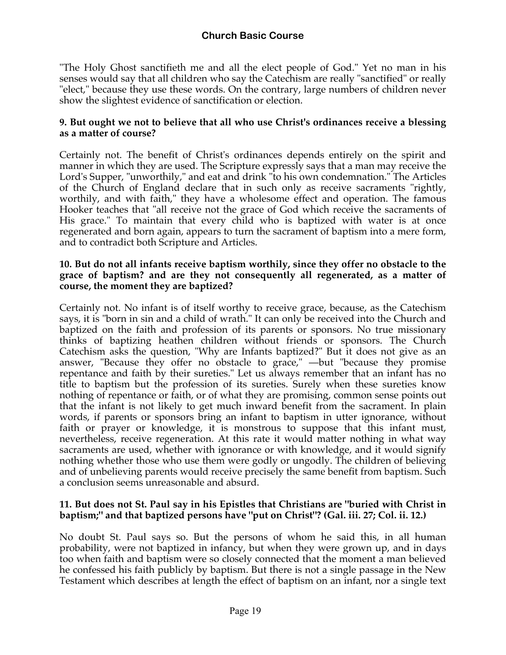"The Holy Ghost sanctifieth me and all the elect people of God." Yet no man in his senses would say that all children who say the Catechism are really "sanctified" or really "elect," because they use these words. On the contrary, large numbers of children never show the slightest evidence of sanctification or election.

### **9. But ought we not to believe that all who use Christ's ordinances receive a blessing as a matter of course?**

Certainly not. The benefit of Christ's ordinances depends entirely on the spirit and manner in which they are used. The Scripture expressly says that a man may receive the Lord's Supper, "unworthily," and eat and drink "to his own condemnation." The Articles of the Church of England declare that in such only as receive sacraments "rightly, worthily, and with faith," they have a wholesome effect and operation. The famous Hooker teaches that "all receive not the grace of God which receive the sacraments of His grace." To maintain that every child who is baptized with water is at once regenerated and born again, appears to turn the sacrament of baptism into a mere form, and to contradict both Scripture and Articles.

### **10. But do not all infants receive baptism worthily, since they offer no obstacle to the grace of baptism? and are they not consequently all regenerated, as a matter of course, the moment they are baptized?**

Certainly not. No infant is of itself worthy to receive grace, because, as the Catechism says, it is "born in sin and a child of wrath." It can only be received into the Church and baptized on the faith and profession of its parents or sponsors. No true missionary thinks of baptizing heathen children without friends or sponsors. The Church Catechism asks the question, "Why are Infants baptized?" But it does not give as an answer, "Because they offer no obstacle to grace," —but "because they promise repentance and faith by their sureties." Let us always remember that an infant has no title to baptism but the profession of its sureties. Surely when these sureties know nothing of repentance or faith, or of what they are promising, common sense points out that the infant is not likely to get much inward benefit from the sacrament. In plain words, if parents or sponsors bring an infant to baptism in utter ignorance, without faith or prayer or knowledge, it is monstrous to suppose that this infant must, nevertheless, receive regeneration. At this rate it would matter nothing in what way sacraments are used, whether with ignorance or with knowledge, and it would signify nothing whether those who use them were godly or ungodly. The children of believing and of unbelieving parents would receive precisely the same benefit from baptism. Such a conclusion seems unreasonable and absurd.

### **11. But does not St. Paul say in his Epistles that Christians are "buried with Christ in baptism;" and that baptized persons have "put on Christ"? (Gal. iii. 27; Col. ii. 12.)**

No doubt St. Paul says so. But the persons of whom he said this, in all human probability, were not baptized in infancy, but when they were grown up, and in days too when faith and baptism were so closely connected that the moment a man believed he confessed his faith publicly by baptism. But there is not a single passage in the New Testament which describes at length the effect of baptism on an infant, nor a single text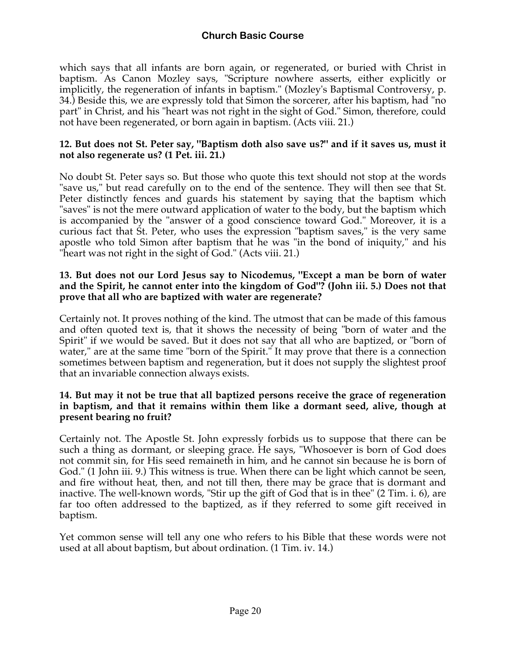which says that all infants are born again, or regenerated, or buried with Christ in baptism. As Canon Mozley says, "Scripture nowhere asserts, either explicitly or implicitly, the regeneration of infants in baptism." (Mozley's Baptismal Controversy, p. 34.) Beside this, we are expressly told that Simon the sorcerer, after his baptism, had "no part" in Christ, and his "heart was not right in the sight of God." Simon, therefore, could not have been regenerated, or born again in baptism. (Acts viii. 21.)

### **12. But does not St. Peter say, "Baptism doth also save us?" and if it saves us, must it not also regenerate us? (1 Pet. iii. 21.)**

No doubt St. Peter says so. But those who quote this text should not stop at the words "save us," but read carefully on to the end of the sentence. They will then see that St. Peter distinctly fences and guards his statement by saying that the baptism which "saves" is not the mere outward application of water to the body, but the baptism which is accompanied by the "answer of a good conscience toward God." Moreover, it is a curious fact that St. Peter, who uses the expression "baptism saves," is the very same apostle who told Simon after baptism that he was "in the bond of iniquity," and his "heart was not right in the sight of God." (Acts viii. 21.)

### **13. But does not our Lord Jesus say to Nicodemus, "Except a man be born of water and the Spirit, he cannot enter into the kingdom of God"? (John iii. 5.) Does not that prove that all who are baptized with water are regenerate?**

Certainly not. It proves nothing of the kind. The utmost that can be made of this famous and often quoted text is, that it shows the necessity of being "born of water and the Spirit" if we would be saved. But it does not say that all who are baptized, or "born of water," are at the same time "born of the Spirit." It may prove that there is a connection sometimes between baptism and regeneration, but it does not supply the slightest proof that an invariable connection always exists.

### **14. But may it not be true that all baptized persons receive the grace of regeneration in baptism, and that it remains within them like a dormant seed, alive, though at present bearing no fruit?**

Certainly not. The Apostle St. John expressly forbids us to suppose that there can be such a thing as dormant, or sleeping grace. He says, "Whosoever is born of God does not commit sin, for His seed remaineth in him, and he cannot sin because he is born of God." (1 John iii. 9.) This witness is true. When there can be light which cannot be seen, and fire without heat, then, and not till then, there may be grace that is dormant and inactive. The well-known words, "Stir up the gift of God that is in thee" (2 Tim. i. 6), are far too often addressed to the baptized, as if they referred to some gift received in baptism.

Yet common sense will tell any one who refers to his Bible that these words were not used at all about baptism, but about ordination. (1 Tim. iv. 14.)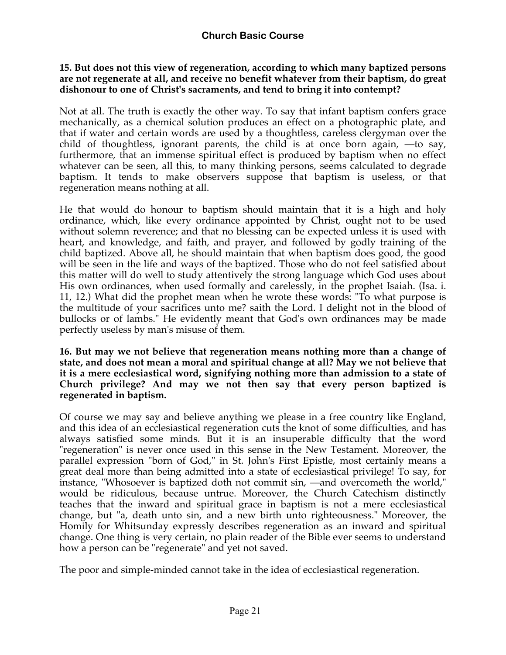### **15. But does not this view of regeneration, according to which many baptized persons are not regenerate at all, and receive no benefit whatever from their baptism, do great dishonour to one of Christ's sacraments, and tend to bring it into contempt?**

Not at all. The truth is exactly the other way. To say that infant baptism confers grace mechanically, as a chemical solution produces an effect on a photographic plate, and that if water and certain words are used by a thoughtless, careless clergyman over the child of thoughtless, ignorant parents, the child is at once born again, —to say, furthermore, that an immense spiritual effect is produced by baptism when no effect whatever can be seen, all this, to many thinking persons, seems calculated to degrade baptism. It tends to make observers suppose that baptism is useless, or that regeneration means nothing at all.

He that would do honour to baptism should maintain that it is a high and holy ordinance, which, like every ordinance appointed by Christ, ought not to be used without solemn reverence; and that no blessing can be expected unless it is used with heart, and knowledge, and faith, and prayer, and followed by godly training of the child baptized. Above all, he should maintain that when baptism does good, the good will be seen in the life and ways of the baptized. Those who do not feel satisfied about this matter will do well to study attentively the strong language which God uses about His own ordinances, when used formally and carelessly, in the prophet Isaiah. (Isa. i. 11, 12.) What did the prophet mean when he wrote these words: "To what purpose is the multitude of your sacrifices unto me? saith the Lord. I delight not in the blood of bullocks or of lambs." He evidently meant that God's own ordinances may be made perfectly useless by man's misuse of them.

### **16. But may we not believe that regeneration means nothing more than a change of state, and does not mean a moral and spiritual change at all? May we not believe that it is a mere ecclesiastical word, signifying nothing more than admission to a state of Church privilege? And may we not then say that every person baptized is regenerated in baptism.**

Of course we may say and believe anything we please in a free country like England, and this idea of an ecclesiastical regeneration cuts the knot of some difficulties, and has always satisfied some minds. But it is an insuperable difficulty that the word "regeneration" is never once used in this sense in the New Testament. Moreover, the parallel expression "born of God," in St. John's First Epistle, most certainly means a great deal more than being admitted into a state of ecclesiastical privilege! To say, for instance, "Whosoever is baptized doth not commit sin, —and overcometh the world," would be ridiculous, because untrue. Moreover, the Church Catechism distinctly teaches that the inward and spiritual grace in baptism is not a mere ecclesiastical change, but "a, death unto sin, and a new birth unto righteousness." Moreover, the Homily for Whitsunday expressly describes regeneration as an inward and spiritual change. One thing is very certain, no plain reader of the Bible ever seems to understand how a person can be "regenerate" and yet not saved.

The poor and simple-minded cannot take in the idea of ecclesiastical regeneration.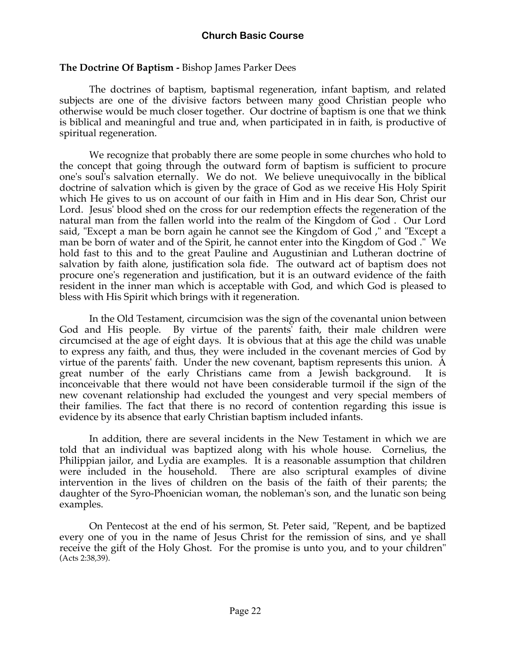### **The Doctrine Of Baptism -** Bishop James Parker Dees

The doctrines of baptism, baptismal regeneration, infant baptism, and related subjects are one of the divisive factors between many good Christian people who otherwise would be much closer together. Our doctrine of baptism is one that we think is biblical and meaningful and true and, when participated in in faith, is productive of spiritual regeneration.

 We recognize that probably there are some people in some churches who hold to the concept that going through the outward form of baptism is sufficient to procure one's soul's salvation eternally. We do not. We believe unequivocally in the biblical doctrine of salvation which is given by the grace of God as we receive His Holy Spirit which He gives to us on account of our faith in Him and in His dear Son, Christ our Lord. Jesus' blood shed on the cross for our redemption effects the regeneration of the natural man from the fallen world into the realm of the Kingdom of God . Our Lord said, "Except a man be born again he cannot see the Kingdom of God ," and "Except a man be born of water and of the Spirit, he cannot enter into the Kingdom of God ." We hold fast to this and to the great Pauline and Augustinian and Lutheran doctrine of salvation by faith alone, justification sola fide. The outward act of baptism does not procure one's regeneration and justification, but it is an outward evidence of the faith resident in the inner man which is acceptable with God, and which God is pleased to bless with His Spirit which brings with it regeneration.

 In the Old Testament, circumcision was the sign of the covenantal union between God and His people. By virtue of the parents' faith, their male children were circumcised at the age of eight days. It is obvious that at this age the child was unable to express any faith, and thus, they were included in the covenant mercies of God by virtue of the parents' faith. Under the new covenant, baptism represents this union. A great number of the early Christians came from a Jewish background. It is inconceivable that there would not have been considerable turmoil if the sign of the new covenant relationship had excluded the youngest and very special members of their families. The fact that there is no record of contention regarding this issue is evidence by its absence that early Christian baptism included infants.

 In addition, there are several incidents in the New Testament in which we are told that an individual was baptized along with his whole house. Cornelius, the Philippian jailor, and Lydia are examples. It is a reasonable assumption that children were included in the household. There are also scriptural examples of divine intervention in the lives of children on the basis of the faith of their parents; the daughter of the Syro-Phoenician woman, the nobleman's son, and the lunatic son being examples.

 On Pentecost at the end of his sermon, St. Peter said, "Repent, and be baptized every one of you in the name of Jesus Christ for the remission of sins, and ye shall receive the gift of the Holy Ghost. For the promise is unto you, and to your children" (Acts 2:38,39).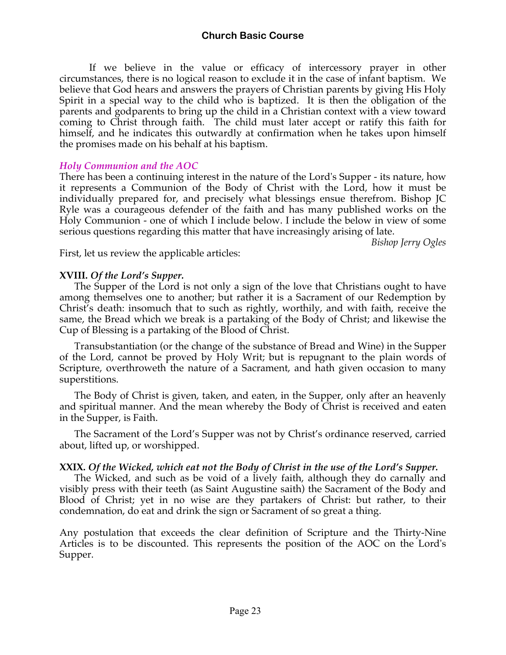If we believe in the value or efficacy of intercessory prayer in other circumstances, there is no logical reason to exclude it in the case of infant baptism. We believe that God hears and answers the prayers of Christian parents by giving His Holy Spirit in a special way to the child who is baptized. It is then the obligation of the parents and godparents to bring up the child in a Christian context with a view toward coming to Christ through faith. The child must later accept or ratify this faith for himself, and he indicates this outwardly at confirmation when he takes upon himself the promises made on his behalf at his baptism.

### *Holy Communion and the AOC*

There has been a continuing interest in the nature of the Lord's Supper - its nature, how it represents a Communion of the Body of Christ with the Lord, how it must be individually prepared for, and precisely what blessings ensue therefrom. Bishop JC Ryle was a courageous defender of the faith and has many published works on the Holy Communion - one of which I include below. I include the below in view of some serious questions regarding this matter that have increasingly arising of late.

*Bishop Jerry Ogles*

First, let us review the applicable articles:

### **XVIII.** *Of the Lord's Supper.*

The Supper of the Lord is not only a sign of the love that Christians ought to have among themselves one to another; but rather it is a Sacrament of our Redemption by Christ's death: insomuch that to such as rightly, worthily, and with faith, receive the same, the Bread which we break is a partaking of the Body of Christ; and likewise the Cup of Blessing is a partaking of the Blood of Christ.

Transubstantiation (or the change of the substance of Bread and Wine) in the Supper of the Lord, cannot be proved by Holy Writ; but is repugnant to the plain words of Scripture, overthroweth the nature of a Sacrament, and hath given occasion to many superstitions.

The Body of Christ is given, taken, and eaten, in the Supper, only after an heavenly and spiritual manner. And the mean whereby the Body of Christ is received and eaten in the Supper, is Faith.

The Sacrament of the Lord's Supper was not by Christ's ordinance reserved, carried about, lifted up, or worshipped.

### **XXIX.** *Of the Wicked, which eat not the Body of Christ in the use of the Lord's Supper.*

The Wicked, and such as be void of a lively faith, although they do carnally and visibly press with their teeth (as Saint Augustine saith) the Sacrament of the Body and Blood of Christ; yet in no wise are they partakers of Christ: but rather, to their condemnation, do eat and drink the sign or Sacrament of so great a thing.

Any postulation that exceeds the clear definition of Scripture and the Thirty-Nine Articles is to be discounted. This represents the position of the AOC on the Lord's Supper.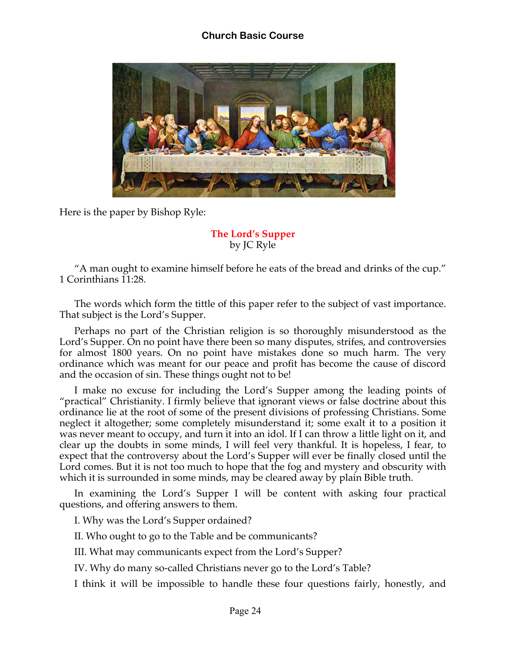

Here is the paper by Bishop Ryle:

### **The Lord's Supper** by JC Ryle

"A man ought to examine himself before he eats of the bread and drinks of the cup." 1 Corinthians 11:28.

The words which form the tittle of this paper refer to the subject of vast importance. That subject is the Lord's Supper.

Perhaps no part of the Christian religion is so thoroughly misunderstood as the Lord's Supper. On no point have there been so many disputes, strifes, and controversies for almost 1800 years. On no point have mistakes done so much harm. The very ordinance which was meant for our peace and profit has become the cause of discord and the occasion of sin. These things ought not to be!

I make no excuse for including the Lord's Supper among the leading points of "practical" Christianity. I firmly believe that ignorant views or false doctrine about this ordinance lie at the root of some of the present divisions of professing Christians. Some neglect it altogether; some completely misunderstand it; some exalt it to a position it was never meant to occupy, and turn it into an idol. If I can throw a little light on it, and clear up the doubts in some minds, I will feel very thankful. It is hopeless, I fear, to expect that the controversy about the Lord's Supper will ever be finally closed until the Lord comes. But it is not too much to hope that the fog and mystery and obscurity with which it is surrounded in some minds, may be cleared away by plain Bible truth.

In examining the Lord's Supper I will be content with asking four practical questions, and offering answers to them.

I. Why was the Lord's Supper ordained?

II. Who ought to go to the Table and be communicants?

III. What may communicants expect from the Lord's Supper?

IV. Why do many so-called Christians never go to the Lord's Table?

I think it will be impossible to handle these four questions fairly, honestly, and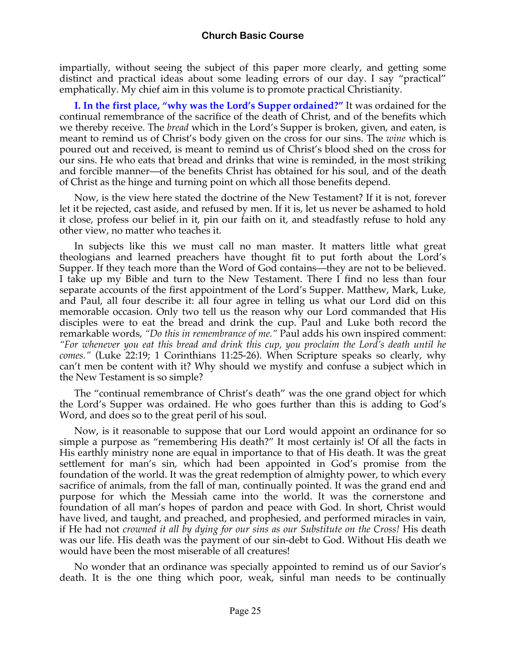### **Church Basic Course**

impartially, without seeing the subject of this paper more clearly, and getting some distinct and practical ideas about some leading errors of our day. I say "practical" emphatically. My chief aim in this volume is to promote practical Christianity.

**I. In the first place, "why was the Lord's Supper ordained?"** It was ordained for the continual remembrance of the sacrifice of the death of Christ, and of the benefits which we thereby receive. The *bread* which in the Lord's Supper is broken, given, and eaten, is meant to remind us of Christ's body given on the cross for our sins. The *wine* which is poured out and received, is meant to remind us of Christ's blood shed on the cross for our sins. He who eats that bread and drinks that wine is reminded, in the most striking and forcible manner—of the benefits Christ has obtained for his soul, and of the death of Christ as the hinge and turning point on which all those benefits depend.

Now, is the view here stated the doctrine of the New Testament? If it is not, forever let it be rejected, cast aside, and refused by men. If it is, let us never be ashamed to hold it close, profess our belief in it, pin our faith on it, and steadfastly refuse to hold any other view, no matter who teaches it.

In subjects like this we must call no man master. It matters little what great theologians and learned preachers have thought fit to put forth about the Lord's Supper. If they teach more than the Word of God contains—they are not to be believed. I take up my Bible and turn to the New Testament. There I find no less than four separate accounts of the first appointment of the Lord's Supper. Matthew, Mark, Luke, and Paul, all four describe it: all four agree in telling us what our Lord did on this memorable occasion. Only two tell us the reason why our Lord commanded that His disciples were to eat the bread and drink the cup. Paul and Luke both record the remarkable words, *"Do this in remembrance of me."* Paul adds his own inspired comment: *"For whenever you eat this bread and drink this cup, you proclaim the Lord's death until he comes."* (Luke 22:19; 1 Corinthians 11:25-26). When Scripture speaks so clearly, why can't men be content with it? Why should we mystify and confuse a subject which in the New Testament is so simple?

The "continual remembrance of Christ's death" was the one grand object for which the Lord's Supper was ordained. He who goes further than this is adding to God's Word, and does so to the great peril of his soul.

Now, is it reasonable to suppose that our Lord would appoint an ordinance for so simple a purpose as "remembering His death?" It most certainly is! Of all the facts in His earthly ministry none are equal in importance to that of His death. It was the great settlement for man's sin, which had been appointed in God's promise from the foundation of the world. It was the great redemption of almighty power, to which every sacrifice of animals, from the fall of man, continually pointed. It was the grand end and purpose for which the Messiah came into the world. It was the cornerstone and foundation of all man's hopes of pardon and peace with God. In short, Christ would have lived, and taught, and preached, and prophesied, and performed miracles in vain, if He had not *crowned it all by dying for our sins as our Substitute on the Cross!* His death was our life. His death was the payment of our sin-debt to God. Without His death we would have been the most miserable of all creatures!

No wonder that an ordinance was specially appointed to remind us of our Savior's death. It is the one thing which poor, weak, sinful man needs to be continually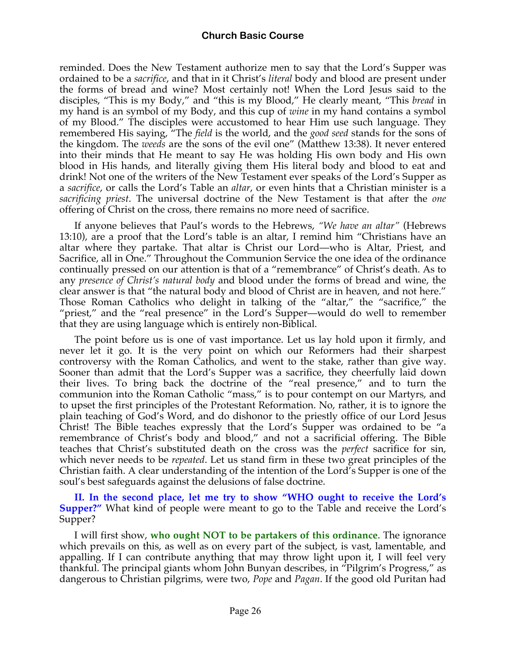reminded. Does the New Testament authorize men to say that the Lord's Supper was ordained to be a *sacrifice*, and that in it Christ's *literal* body and blood are present under the forms of bread and wine? Most certainly not! When the Lord Jesus said to the disciples, "This is my Body," and "this is my Blood," He clearly meant, "This *bread* in my hand is an symbol of my Body, and this cup of *wine* in my hand contains a symbol of my Blood." The disciples were accustomed to hear Him use such language. They remembered His saying, "The *field* is the world, and the *good seed* stands for the sons of the kingdom. The *weeds* are the sons of the evil one" (Matthew 13:38). It never entered into their minds that He meant to say He was holding His own body and His own blood in His hands, and literally giving them His literal body and blood to eat and drink! Not one of the writers of the New Testament ever speaks of the Lord's Supper as a *sacrifice*, or calls the Lord's Table an *altar*, or even hints that a Christian minister is a *sacrificing priest*. The universal doctrine of the New Testament is that after the *one*  offering of Christ on the cross, there remains no more need of sacrifice.

If anyone believes that Paul's words to the Hebrews, *"We have an altar"* (Hebrews 13:10), are a proof that the Lord's table is an altar, I remind him "Christians have an altar where they partake. That altar is Christ our Lord—who is Altar, Priest, and Sacrifice, all in One." Throughout the Communion Service the one idea of the ordinance continually pressed on our attention is that of a "remembrance" of Christ's death. As to any *presence of Christ's natural body* and blood under the forms of bread and wine, the clear answer is that "the natural body and blood of Christ are in heaven, and not here." Those Roman Catholics who delight in talking of the "altar," the "sacrifice," the "priest," and the "real presence" in the Lord's Supper—would do well to remember that they are using language which is entirely non-Biblical.

The point before us is one of vast importance. Let us lay hold upon it firmly, and never let it go. It is the very point on which our Reformers had their sharpest controversy with the Roman Catholics, and went to the stake, rather than give way. Sooner than admit that the Lord's Supper was a sacrifice, they cheerfully laid down their lives. To bring back the doctrine of the "real presence," and to turn the communion into the Roman Catholic "mass," is to pour contempt on our Martyrs, and to upset the first principles of the Protestant Reformation. No, rather, it is to ignore the plain teaching of God's Word, and do dishonor to the priestly office of our Lord Jesus Christ! The Bible teaches expressly that the Lord's Supper was ordained to be "a remembrance of Christ's body and blood," and not a sacrificial offering. The Bible teaches that Christ's substituted death on the cross was the *perfect* sacrifice for sin, which never needs to be *repeated*. Let us stand firm in these two great principles of the Christian faith. A clear understanding of the intention of the Lord's Supper is one of the soul's best safeguards against the delusions of false doctrine.

**II. In the second place, let me try to show "WHO ought to receive the Lord's Supper?"** What kind of people were meant to go to the Table and receive the Lord's Supper?

I will first show, **who ought NOT to be partakers of this ordinance**. The ignorance which prevails on this, as well as on every part of the subject, is vast, lamentable, and appalling. If I can contribute anything that may throw light upon it, I will feel very thankful. The principal giants whom John Bunyan describes, in "Pilgrim's Progress," as dangerous to Christian pilgrims, were two, *Pope* and *Pagan*. If the good old Puritan had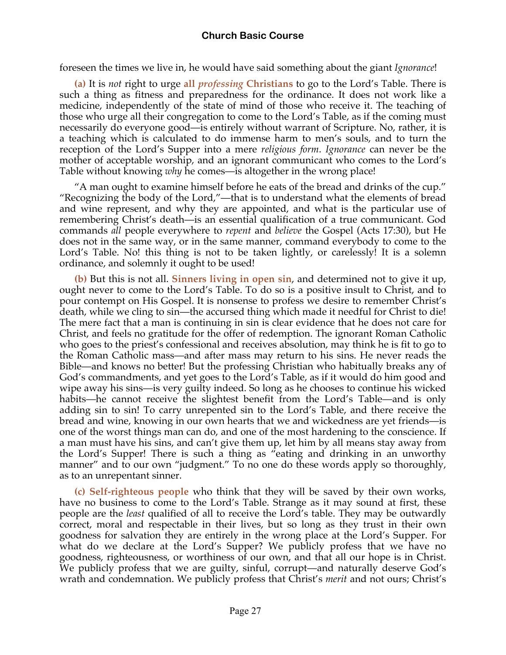foreseen the times we live in, he would have said something about the giant *Ignorance*!

**(a)** It is *not* right to urge **all** *professing* **Christians** to go to the Lord's Table. There is such a thing as fitness and preparedness for the ordinance. It does not work like a medicine, independently of the state of mind of those who receive it. The teaching of those who urge all their congregation to come to the Lord's Table, as if the coming must necessarily do everyone good—is entirely without warrant of Scripture. No, rather, it is a teaching which is calculated to do immense harm to men's souls, and to turn the reception of the Lord's Supper into a mere *religious form*. *Ignorance* can never be the mother of acceptable worship, and an ignorant communicant who comes to the Lord's Table without knowing *why* he comes—is altogether in the wrong place!

"A man ought to examine himself before he eats of the bread and drinks of the cup." "Recognizing the body of the Lord,"—that is to understand what the elements of bread and wine represent, and why they are appointed, and what is the particular use of remembering Christ's death—is an essential qualification of a true communicant. God commands *all* people everywhere to *repent* and *believe* the Gospel (Acts 17:30), but He does not in the same way, or in the same manner, command everybody to come to the Lord's Table. No! this thing is not to be taken lightly, or carelessly! It is a solemn ordinance, and solemnly it ought to be used!

**(b)** But this is not all. **Sinners living in open sin**, and determined not to give it up, ought never to come to the Lord's Table. To do so is a positive insult to Christ, and to pour contempt on His Gospel. It is nonsense to profess we desire to remember Christ's death, while we cling to sin—the accursed thing which made it needful for Christ to die! The mere fact that a man is continuing in sin is clear evidence that he does not care for Christ, and feels no gratitude for the offer of redemption. The ignorant Roman Catholic who goes to the priest's confessional and receives absolution, may think he is fit to go to the Roman Catholic mass—and after mass may return to his sins. He never reads the Bible—and knows no better! But the professing Christian who habitually breaks any of God's commandments, and yet goes to the Lord's Table, as if it would do him good and wipe away his sins—is very guilty indeed. So long as he chooses to continue his wicked habits—he cannot receive the slightest benefit from the Lord's Table—and is only adding sin to sin! To carry unrepented sin to the Lord's Table, and there receive the bread and wine, knowing in our own hearts that we and wickedness are yet friends—is one of the worst things man can do, and one of the most hardening to the conscience. If a man must have his sins, and can't give them up, let him by all means stay away from the Lord's Supper! There is such a thing as "eating and drinking in an unworthy manner" and to our own "judgment." To no one do these words apply so thoroughly, as to an unrepentant sinner.

**(c) Self-righteous people** who think that they will be saved by their own works, have no business to come to the Lord's Table. Strange as it may sound at first, these people are the *least* qualified of all to receive the Lord's table. They may be outwardly correct, moral and respectable in their lives, but so long as they trust in their own goodness for salvation they are entirely in the wrong place at the Lord's Supper. For what do we declare at the Lord's Supper? We publicly profess that we have no goodness, righteousness, or worthiness of our own, and that all our hope is in Christ. We publicly profess that we are guilty, sinful, corrupt—and naturally deserve God's wrath and condemnation. We publicly profess that Christ's *merit* and not ours; Christ's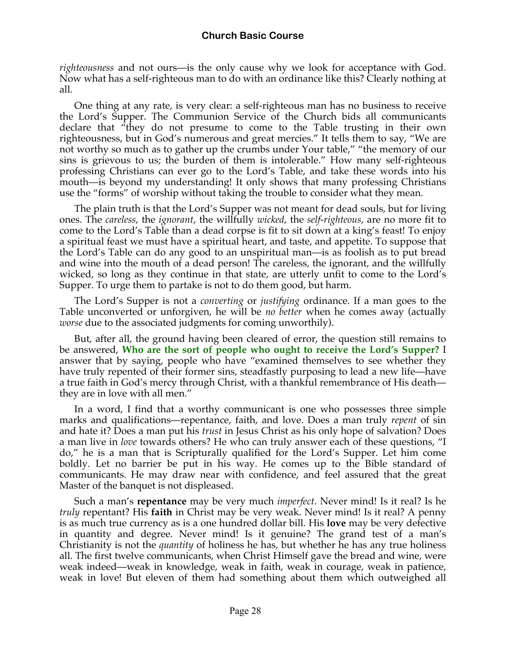*righteousness* and not ours—is the only cause why we look for acceptance with God. Now what has a self-righteous man to do with an ordinance like this? Clearly nothing at all.

One thing at any rate, is very clear: a self-righteous man has no business to receive the Lord's Supper. The Communion Service of the Church bids all communicants declare that "they do not presume to come to the Table trusting in their own righteousness, but in God's numerous and great mercies." It tells them to say, "We are not worthy so much as to gather up the crumbs under Your table," "the memory of our sins is grievous to us; the burden of them is intolerable." How many self-righteous professing Christians can ever go to the Lord's Table, and take these words into his mouth—is beyond my understanding! It only shows that many professing Christians use the "forms" of worship without taking the trouble to consider what they mean.

The plain truth is that the Lord's Supper was not meant for dead souls, but for living ones. The *careless*, the *ignorant*, the willfully *wicked*, the *self-righteous*, are no more fit to come to the Lord's Table than a dead corpse is fit to sit down at a king's feast! To enjoy a spiritual feast we must have a spiritual heart, and taste, and appetite. To suppose that the Lord's Table can do any good to an unspiritual man—is as foolish as to put bread and wine into the mouth of a dead person! The careless, the ignorant, and the willfully wicked, so long as they continue in that state, are utterly unfit to come to the Lord's Supper. To urge them to partake is not to do them good, but harm.

The Lord's Supper is not a *converting* or *justifying* ordinance. If a man goes to the Table unconverted or unforgiven, he will be *no better* when he comes away (actually *worse* due to the associated judgments for coming unworthily).

But, after all, the ground having been cleared of error, the question still remains to be answered, **Who are the sort of people who ought to receive the Lord's Supper?** I answer that by saying, people who have "examined themselves to see whether they have truly repented of their former sins, steadfastly purposing to lead a new life—have a true faith in God's mercy through Christ, with a thankful remembrance of His death they are in love with all men."

In a word, I find that a worthy communicant is one who possesses three simple marks and qualifications—repentance, faith, and love. Does a man truly *repent* of sin and hate it? Does a man put his *trust* in Jesus Christ as his only hope of salvation? Does a man live in *love* towards others? He who can truly answer each of these questions, "I do," he is a man that is Scripturally qualified for the Lord's Supper. Let him come boldly. Let no barrier be put in his way. He comes up to the Bible standard of communicants. He may draw near with confidence, and feel assured that the great Master of the banquet is not displeased.

Such a man's **repentance** may be very much *imperfect*. Never mind! Is it real? Is he *truly* repentant? His **faith** in Christ may be very weak. Never mind! Is it real? A penny is as much true currency as is a one hundred dollar bill. His **love** may be very defective in quantity and degree. Never mind! Is it genuine? The grand test of a man's Christianity is not the *quantity* of holiness he has, but whether he has any true holiness all. The first twelve communicants, when Christ Himself gave the bread and wine, were weak indeed—weak in knowledge, weak in faith, weak in courage, weak in patience, weak in love! But eleven of them had something about them which outweighed all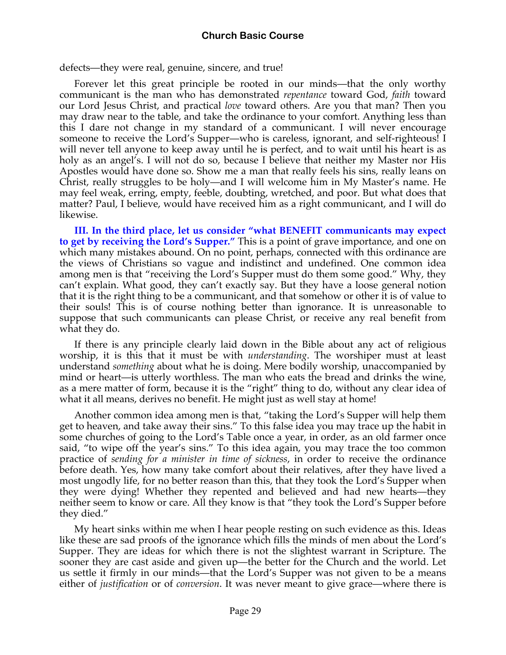defects—they were real, genuine, sincere, and true!

Forever let this great principle be rooted in our minds—that the only worthy communicant is the man who has demonstrated *repentance* toward God, *faith* toward our Lord Jesus Christ, and practical *love* toward others. Are you that man? Then you may draw near to the table, and take the ordinance to your comfort. Anything less than this I dare not change in my standard of a communicant. I will never encourage someone to receive the Lord's Supper—who is careless, ignorant, and self-righteous! I will never tell anyone to keep away until he is perfect, and to wait until his heart is as holy as an angel's. I will not do so, because I believe that neither my Master nor His Apostles would have done so. Show me a man that really feels his sins, really leans on Christ, really struggles to be holy—and I will welcome him in My Master's name. He may feel weak, erring, empty, feeble, doubting, wretched, and poor. But what does that matter? Paul, I believe, would have received him as a right communicant, and I will do likewise.

**III. In the third place, let us consider "what BENEFIT communicants may expect to get by receiving the Lord's Supper."** This is a point of grave importance, and one on which many mistakes abound. On no point, perhaps, connected with this ordinance are the views of Christians so vague and indistinct and undefined. One common idea among men is that "receiving the Lord's Supper must do them some good." Why, they can't explain. What good, they can't exactly say. But they have a loose general notion that it is the right thing to be a communicant, and that somehow or other it is of value to their souls! This is of course nothing better than ignorance. It is unreasonable to suppose that such communicants can please Christ, or receive any real benefit from what they do.

If there is any principle clearly laid down in the Bible about any act of religious worship, it is this that it must be with *understanding*. The worshiper must at least understand *something* about what he is doing. Mere bodily worship, unaccompanied by mind or heart—is utterly worthless. The man who eats the bread and drinks the wine, as a mere matter of form, because it is the "right" thing to do, without any clear idea of what it all means, derives no benefit. He might just as well stay at home!

Another common idea among men is that, "taking the Lord's Supper will help them get to heaven, and take away their sins." To this false idea you may trace up the habit in some churches of going to the Lord's Table once a year, in order, as an old farmer once said, "to wipe off the year's sins." To this idea again, you may trace the too common practice of *sending for a minister in time of sickness*, in order to receive the ordinance before death. Yes, how many take comfort about their relatives, after they have lived a most ungodly life, for no better reason than this, that they took the Lord's Supper when they were dying! Whether they repented and believed and had new hearts—they neither seem to know or care. All they know is that "they took the Lord's Supper before they died."

My heart sinks within me when I hear people resting on such evidence as this. Ideas like these are sad proofs of the ignorance which fills the minds of men about the Lord's Supper. They are ideas for which there is not the slightest warrant in Scripture. The sooner they are cast aside and given up—the better for the Church and the world. Let us settle it firmly in our minds—that the Lord's Supper was not given to be a means either of *justification* or of *conversion*. It was never meant to give grace—where there is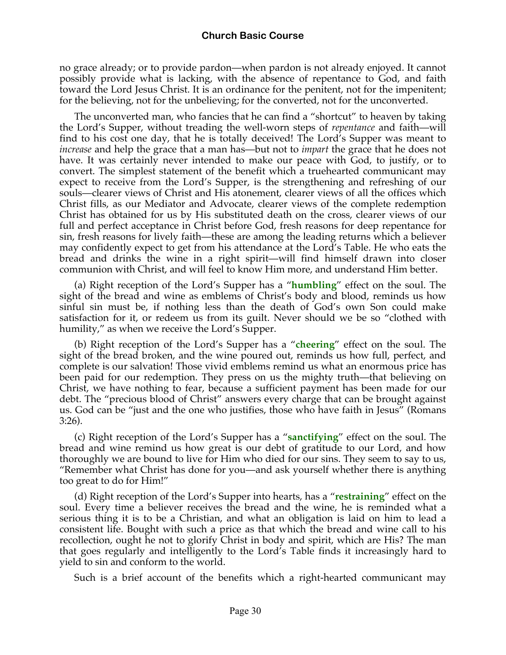### **Church Basic Course**

no grace already; or to provide pardon—when pardon is not already enjoyed. It cannot possibly provide what is lacking, with the absence of repentance to God, and faith toward the Lord Jesus Christ. It is an ordinance for the penitent, not for the impenitent; for the believing, not for the unbelieving; for the converted, not for the unconverted.

The unconverted man, who fancies that he can find a "shortcut" to heaven by taking the Lord's Supper, without treading the well-worn steps of *repentance* and faith—will find to his cost one day, that he is totally deceived! The Lord's Supper was meant to *increase* and help the grace that a man has—but not to *impart* the grace that he does not have. It was certainly never intended to make our peace with God, to justify, or to convert. The simplest statement of the benefit which a truehearted communicant may expect to receive from the Lord's Supper, is the strengthening and refreshing of our souls—clearer views of Christ and His atonement, clearer views of all the offices which Christ fills, as our Mediator and Advocate, clearer views of the complete redemption Christ has obtained for us by His substituted death on the cross, clearer views of our full and perfect acceptance in Christ before God, fresh reasons for deep repentance for sin, fresh reasons for lively faith—these are among the leading returns which a believer may confidently expect to get from his attendance at the Lord's Table. He who eats the bread and drinks the wine in a right spirit—will find himself drawn into closer communion with Christ, and will feel to know Him more, and understand Him better.

(a) Right reception of the Lord's Supper has a "**humbling**" effect on the soul. The sight of the bread and wine as emblems of Christ's body and blood, reminds us how sinful sin must be, if nothing less than the death of God's own Son could make satisfaction for it, or redeem us from its guilt. Never should we be so "clothed with humility," as when we receive the Lord's Supper.

(b) Right reception of the Lord's Supper has a "**cheering**" effect on the soul. The sight of the bread broken, and the wine poured out, reminds us how full, perfect, and complete is our salvation! Those vivid emblems remind us what an enormous price has been paid for our redemption. They press on us the mighty truth—that believing on Christ, we have nothing to fear, because a sufficient payment has been made for our debt. The "precious blood of Christ" answers every charge that can be brought against us. God can be "just and the one who justifies, those who have faith in Jesus" (Romans 3:26).

(c) Right reception of the Lord's Supper has a "**sanctifying**" effect on the soul. The bread and wine remind us how great is our debt of gratitude to our Lord, and how thoroughly we are bound to live for Him who died for our sins. They seem to say to us, "Remember what Christ has done for you—and ask yourself whether there is anything too great to do for Him!"

(d) Right reception of the Lord's Supper into hearts, has a "**restraining**" effect on the soul. Every time a believer receives the bread and the wine, he is reminded what a serious thing it is to be a Christian, and what an obligation is laid on him to lead a consistent life. Bought with such a price as that which the bread and wine call to his recollection, ought he not to glorify Christ in body and spirit, which are His? The man that goes regularly and intelligently to the Lord's Table finds it increasingly hard to yield to sin and conform to the world.

Such is a brief account of the benefits which a right-hearted communicant may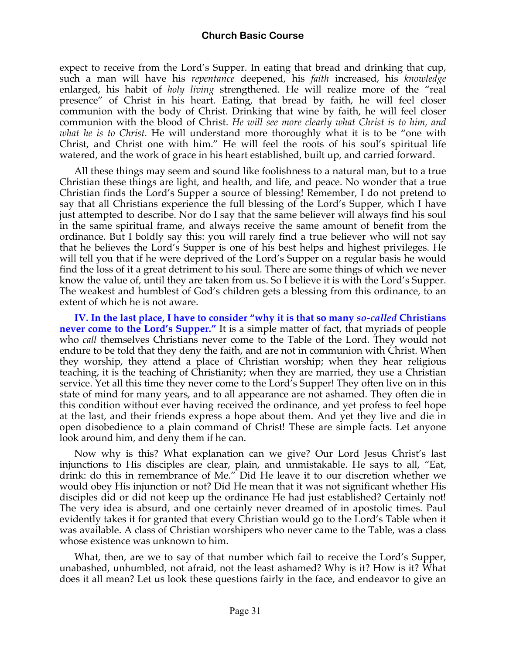expect to receive from the Lord's Supper. In eating that bread and drinking that cup, such a man will have his *repentance* deepened, his *faith* increased, his *knowledge*  enlarged, his habit of *holy living* strengthened. He will realize more of the "real presence" of Christ in his heart. Eating, that bread by faith, he will feel closer communion with the body of Christ. Drinking that wine by faith, he will feel closer communion with the blood of Christ. *He will see more clearly what Christ is to him, and what he is to Christ.* He will understand more thoroughly what it is to be "one with Christ, and Christ one with him." He will feel the roots of his soul's spiritual life watered, and the work of grace in his heart established, built up, and carried forward.

All these things may seem and sound like foolishness to a natural man, but to a true Christian these things are light, and health, and life, and peace. No wonder that a true Christian finds the Lord's Supper a source of blessing! Remember, I do not pretend to say that all Christians experience the full blessing of the Lord's Supper, which I have just attempted to describe. Nor do I say that the same believer will always find his soul in the same spiritual frame, and always receive the same amount of benefit from the ordinance. But I boldly say this: you will rarely find a true believer who will not say that he believes the Lord's Supper is one of his best helps and highest privileges. He will tell you that if he were deprived of the Lord's Supper on a regular basis he would find the loss of it a great detriment to his soul. There are some things of which we never know the value of, until they are taken from us. So I believe it is with the Lord's Supper. The weakest and humblest of God's children gets a blessing from this ordinance, to an extent of which he is not aware.

**IV. In the last place, I have to consider "why it is that so many** *so-called* **Christians never come to the Lord's Supper."** It is a simple matter of fact, that myriads of people who *call* themselves Christians never come to the Table of the Lord. They would not endure to be told that they deny the faith, and are not in communion with Christ. When they worship, they attend a place of Christian worship; when they hear religious teaching, it is the teaching of Christianity; when they are married, they use a Christian service. Yet all this time they never come to the Lord's Supper! They often live on in this state of mind for many years, and to all appearance are not ashamed. They often die in this condition without ever having received the ordinance, and yet profess to feel hope at the last, and their friends express a hope about them. And yet they live and die in open disobedience to a plain command of Christ! These are simple facts. Let anyone look around him, and deny them if he can.

Now why is this? What explanation can we give? Our Lord Jesus Christ's last injunctions to His disciples are clear, plain, and unmistakable. He says to all, "Eat, drink: do this in remembrance of Me." Did He leave it to our discretion whether we would obey His injunction or not? Did He mean that it was not significant whether His disciples did or did not keep up the ordinance He had just established? Certainly not! The very idea is absurd, and one certainly never dreamed of in apostolic times. Paul evidently takes it for granted that every Christian would go to the Lord's Table when it was available. A class of Christian worshipers who never came to the Table, was a class whose existence was unknown to him.

What, then, are we to say of that number which fail to receive the Lord's Supper, unabashed, unhumbled, not afraid, not the least ashamed? Why is it? How is it? What does it all mean? Let us look these questions fairly in the face, and endeavor to give an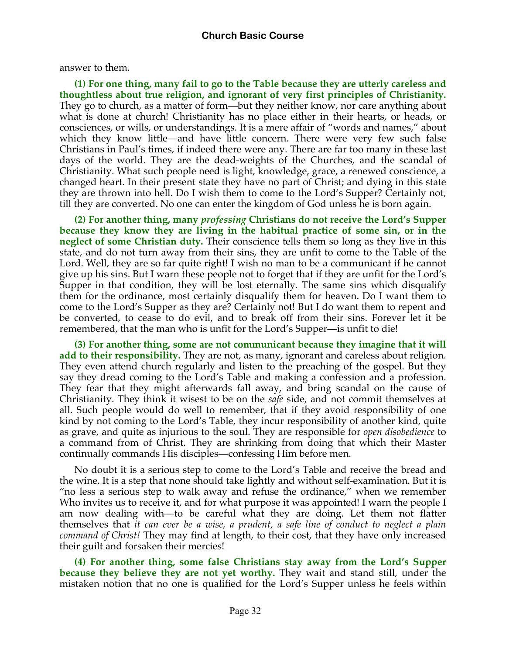answer to them.

**(1) For one thing, many fail to go to the Table because they are utterly careless and thoughtless about true religion, and ignorant of very first principles of Christianity.** They go to church, as a matter of form—but they neither know, nor care anything about what is done at church! Christianity has no place either in their hearts, or heads, or consciences, or wills, or understandings. It is a mere affair of "words and names," about which they know little—and have little concern. There were very few such false Christians in Paul's times, if indeed there were any. There are far too many in these last days of the world. They are the dead-weights of the Churches, and the scandal of Christianity. What such people need is light, knowledge, grace, a renewed conscience, a changed heart. In their present state they have no part of Christ; and dying in this state they are thrown into hell. Do I wish them to come to the Lord's Supper? Certainly not, till they are converted. No one can enter the kingdom of God unless he is born again.

**(2) For another thing, many** *professing* **Christians do not receive the Lord's Supper because they know they are living in the habitual practice of some sin, or in the neglect of some Christian duty.** Their conscience tells them so long as they live in this state, and do not turn away from their sins, they are unfit to come to the Table of the Lord. Well, they are so far quite right! I wish no man to be a communicant if he cannot give up his sins. But I warn these people not to forget that if they are unfit for the Lord's Supper in that condition, they will be lost eternally. The same sins which disqualify them for the ordinance, most certainly disqualify them for heaven. Do I want them to come to the Lord's Supper as they are? Certainly not! But I do want them to repent and be converted, to cease to do evil, and to break off from their sins. Forever let it be remembered, that the man who is unfit for the Lord's Supper—is unfit to die!

**(3) For another thing, some are not communicant because they imagine that it will add to their responsibility.** They are not, as many, ignorant and careless about religion. They even attend church regularly and listen to the preaching of the gospel. But they say they dread coming to the Lord's Table and making a confession and a profession. They fear that they might afterwards fall away, and bring scandal on the cause of Christianity. They think it wisest to be on the *safe* side, and not commit themselves at all. Such people would do well to remember, that if they avoid responsibility of one kind by not coming to the Lord's Table, they incur responsibility of another kind, quite as grave, and quite as injurious to the soul. They are responsible for *open disobedience* to a command from of Christ. They are shrinking from doing that which their Master continually commands His disciples—confessing Him before men.

No doubt it is a serious step to come to the Lord's Table and receive the bread and the wine. It is a step that none should take lightly and without self-examination. But it is "no less a serious step to walk away and refuse the ordinance," when we remember Who invites us to receive it, and for what purpose it was appointed! I warn the people I am now dealing with—to be careful what they are doing. Let them not flatter themselves that *it can ever be a wise, a prudent, a safe line of conduct to neglect a plain command of Christ!* They may find at length, to their cost, that they have only increased their guilt and forsaken their mercies!

**(4) For another thing, some false Christians stay away from the Lord's Supper because they believe they are not yet worthy.** They wait and stand still, under the mistaken notion that no one is qualified for the Lord's Supper unless he feels within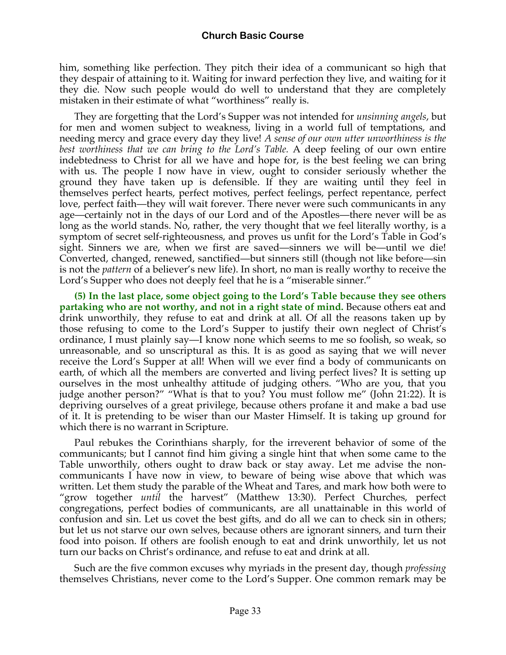him, something like perfection. They pitch their idea of a communicant so high that they despair of attaining to it. Waiting for inward perfection they live, and waiting for it they die. Now such people would do well to understand that they are completely mistaken in their estimate of what "worthiness" really is.

They are forgetting that the Lord's Supper was not intended for *unsinning angels*, but for men and women subject to weakness, living in a world full of temptations, and needing mercy and grace every day they live! *A sense of our own utter unworthiness is the best worthiness that we can bring to the Lord's Table.* A deep feeling of our own entire indebtedness to Christ for all we have and hope for, is the best feeling we can bring with us. The people I now have in view, ought to consider seriously whether the ground they have taken up is defensible. If they are waiting until they feel in themselves perfect hearts, perfect motives, perfect feelings, perfect repentance, perfect love, perfect faith—they will wait forever. There never were such communicants in any age—certainly not in the days of our Lord and of the Apostles—there never will be as long as the world stands. No, rather, the very thought that we feel literally worthy, is a symptom of secret self-righteousness, and proves us unfit for the Lord's Table in God's sight. Sinners we are, when we first are saved—sinners we will be—until we die! Converted, changed, renewed, sanctified—but sinners still (though not like before—sin is not the *pattern* of a believer's new life). In short, no man is really worthy to receive the Lord's Supper who does not deeply feel that he is a "miserable sinner."

**(5) In the last place, some object going to the Lord's Table because they see others partaking who are not worthy, and not in a right state of mind.** Because others eat and drink unworthily, they refuse to eat and drink at all. Of all the reasons taken up by those refusing to come to the Lord's Supper to justify their own neglect of Christ's ordinance, I must plainly say—I know none which seems to me so foolish, so weak, so unreasonable, and so unscriptural as this. It is as good as saying that we will never receive the Lord's Supper at all! When will we ever find a body of communicants on earth, of which all the members are converted and living perfect lives? It is setting up ourselves in the most unhealthy attitude of judging others. "Who are you, that you judge another person?" "What is that to you? You must follow me" (John 21:22). It is depriving ourselves of a great privilege, because others profane it and make a bad use of it. It is pretending to be wiser than our Master Himself. It is taking up ground for which there is no warrant in Scripture.

Paul rebukes the Corinthians sharply, for the irreverent behavior of some of the communicants; but I cannot find him giving a single hint that when some came to the Table unworthily, others ought to draw back or stay away. Let me advise the noncommunicants I have now in view, to beware of being wise above that which was written. Let them study the parable of the Wheat and Tares, and mark how both were to "grow together *until* the harvest" (Matthew 13:30). Perfect Churches, perfect congregations, perfect bodies of communicants, are all unattainable in this world of confusion and sin. Let us covet the best gifts, and do all we can to check sin in others; but let us not starve our own selves, because others are ignorant sinners, and turn their food into poison. If others are foolish enough to eat and drink unworthily, let us not turn our backs on Christ's ordinance, and refuse to eat and drink at all.

Such are the five common excuses why myriads in the present day, though *professing*  themselves Christians, never come to the Lord's Supper. One common remark may be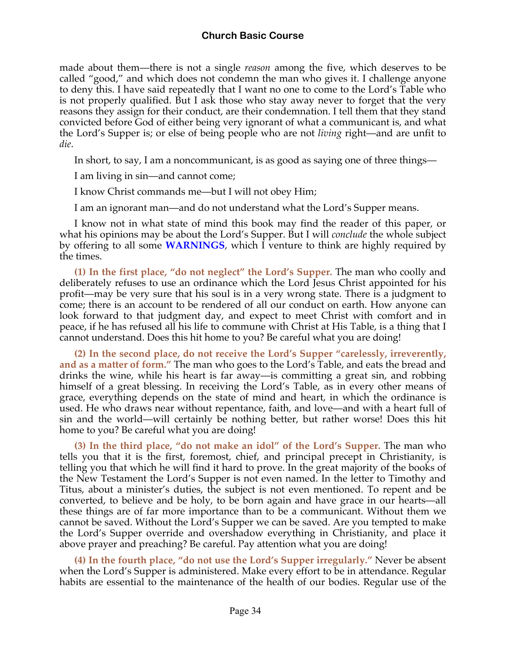made about them—there is not a single *reason* among the five, which deserves to be called "good," and which does not condemn the man who gives it. I challenge anyone to deny this. I have said repeatedly that I want no one to come to the Lord's Table who is not properly qualified. But I ask those who stay away never to forget that the very reasons they assign for their conduct, are their condemnation. I tell them that they stand convicted before God of either being very ignorant of what a communicant is, and what the Lord's Supper is; or else of being people who are not *living* right—and are unfit to *die*.

In short, to say, I am a noncommunicant, is as good as saying one of three things—

I am living in sin—and cannot come;

I know Christ commands me—but I will not obey Him;

I am an ignorant man—and do not understand what the Lord's Supper means.

I know not in what state of mind this book may find the reader of this paper, or what his opinions may be about the Lord's Supper. But I will *conclude* the whole subject by offering to all some **WARNINGS**, which I venture to think are highly required by the times.

**(1) In the first place, "do not neglect" the Lord's Supper.** The man who coolly and deliberately refuses to use an ordinance which the Lord Jesus Christ appointed for his profit—may be very sure that his soul is in a very wrong state. There is a judgment to come; there is an account to be rendered of all our conduct on earth. How anyone can look forward to that judgment day, and expect to meet Christ with comfort and in peace, if he has refused all his life to commune with Christ at His Table, is a thing that I cannot understand. Does this hit home to you? Be careful what you are doing!

**(2) In the second place, do not receive the Lord's Supper "carelessly, irreverently, and as a matter of form."** The man who goes to the Lord's Table, and eats the bread and drinks the wine, while his heart is far away—is committing a great sin, and robbing himself of a great blessing. In receiving the Lord's Table, as in every other means of grace, everything depends on the state of mind and heart, in which the ordinance is used. He who draws near without repentance, faith, and love—and with a heart full of sin and the world—will certainly be nothing better, but rather worse! Does this hit home to you? Be careful what you are doing!

**(3) In the third place, "do not make an idol" of the Lord's Supper.** The man who tells you that it is the first, foremost, chief, and principal precept in Christianity, is telling you that which he will find it hard to prove. In the great majority of the books of the New Testament the Lord's Supper is not even named. In the letter to Timothy and Titus, about a minister's duties, the subject is not even mentioned. To repent and be converted, to believe and be holy, to be born again and have grace in our hearts—all these things are of far more importance than to be a communicant. Without them we cannot be saved. Without the Lord's Supper we can be saved. Are you tempted to make the Lord's Supper override and overshadow everything in Christianity, and place it above prayer and preaching? Be careful. Pay attention what you are doing!

**(4) In the fourth place, "do not use the Lord's Supper irregularly."** Never be absent when the Lord's Supper is administered. Make every effort to be in attendance. Regular habits are essential to the maintenance of the health of our bodies. Regular use of the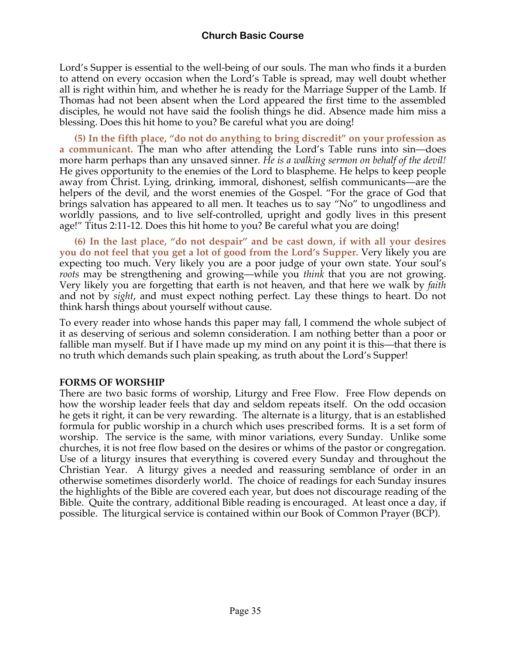Lord's Supper is essential to the well-being of our souls. The man who finds it a burden to attend on every occasion when the Lord's Table is spread, may well doubt whether all is right within him, and whether he is ready for the Marriage Supper of the Lamb. If Thomas had not been absent when the Lord appeared the first time to the assembled disciples, he would not have said the foolish things he did. Absence made him miss a blessing. Does this hit home to you? Be careful what you are doing!

**(5) In the fifth place, "do not do anything to bring discredit" on your profession as a communicant.** The man who after attending the Lord's Table runs into sin—does more harm perhaps than any unsaved sinner*. He is a walking sermon on behalf of the devil!*  He gives opportunity to the enemies of the Lord to blaspheme. He helps to keep people away from Christ. Lying, drinking, immoral, dishonest, selfish communicants—are the helpers of the devil, and the worst enemies of the Gospel. "For the grace of God that brings salvation has appeared to all men. It teaches us to say "No" to ungodliness and worldly passions, and to live self-controlled, upright and godly lives in this present age!" Titus 2:11-12. Does this hit home to you? Be careful what you are doing!

**(6) In the last place, "do not despair" and be cast down, if with all your desires you do not feel that you get a lot of good from the Lord's Supper.** Very likely you are expecting too much. Very likely you are a poor judge of your own state. Your soul's *roots* may be strengthening and growing—while you *think* that you are not growing. Very likely you are forgetting that earth is not heaven, and that here we walk by *faith*  and not by *sight*, and must expect nothing perfect. Lay these things to heart. Do not think harsh things about yourself without cause.

To every reader into whose hands this paper may fall, I commend the whole subject of it as deserving of serious and solemn consideration. I am nothing better than a poor or fallible man myself. But if I have made up my mind on any point it is this—that there is no truth which demands such plain speaking, as truth about the Lord's Supper!

### **FORMS OF WORSHIP**

There are two basic forms of worship, Liturgy and Free Flow. Free Flow depends on how the worship leader feels that day and seldom repeats itself. On the odd occasion he gets it right, it can be very rewarding. The alternate is a liturgy, that is an established formula for public worship in a church which uses prescribed forms. It is a set form of worship. The service is the same, with minor variations, every Sunday. Unlike some churches, it is not free flow based on the desires or whims of the pastor or congregation. Use of a liturgy insures that everything is covered every Sunday and throughout the Christian Year. A liturgy gives a needed and reassuring semblance of order in an otherwise sometimes disorderly world. The choice of readings for each Sunday insures the highlights of the Bible are covered each year, but does not discourage reading of the Bible. Quite the contrary, additional Bible reading is encouraged. At least once a day, if possible. The liturgical service is contained within our Book of Common Prayer (BCP).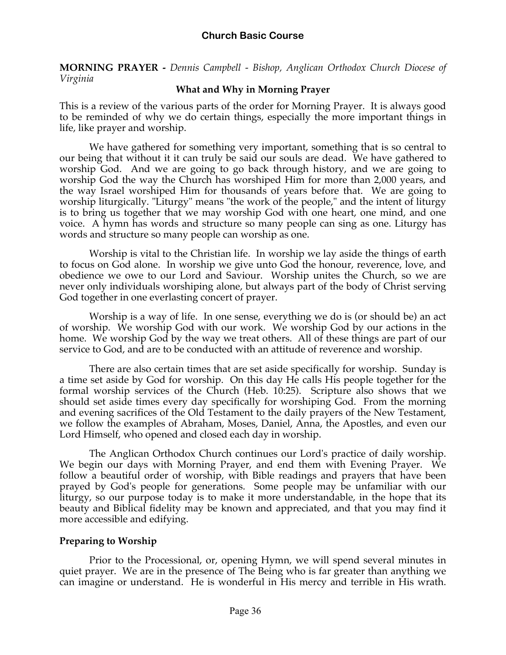**MORNING PRAYER -** *Dennis Campbell - Bishop, Anglican Orthodox Church Diocese of Virginia*

### **What and Why in Morning Prayer**

This is a review of the various parts of the order for Morning Prayer. It is always good to be reminded of why we do certain things, especially the more important things in life, like prayer and worship.

 We have gathered for something very important, something that is so central to our being that without it it can truly be said our souls are dead. We have gathered to worship God. And we are going to go back through history, and we are going to worship God the way the Church has worshiped Him for more than 2,000 years, and the way Israel worshiped Him for thousands of years before that. We are going to worship liturgically. "Liturgy" means "the work of the people," and the intent of liturgy is to bring us together that we may worship God with one heart, one mind, and one voice. A hymn has words and structure so many people can sing as one. Liturgy has words and structure so many people can worship as one.

 Worship is vital to the Christian life. In worship we lay aside the things of earth to focus on God alone. In worship we give unto God the honour, reverence, love, and obedience we owe to our Lord and Saviour. Worship unites the Church, so we are never only individuals worshiping alone, but always part of the body of Christ serving God together in one everlasting concert of prayer.

 Worship is a way of life. In one sense, everything we do is (or should be) an act of worship. We worship God with our work. We worship God by our actions in the home. We worship God by the way we treat others. All of these things are part of our service to God, and are to be conducted with an attitude of reverence and worship.

 There are also certain times that are set aside specifically for worship. Sunday is a time set aside by God for worship. On this day He calls His people together for the formal worship services of the Church (Heb. 10:25). Scripture also shows that we should set aside times every day specifically for worshiping God. From the morning and evening sacrifices of the Old Testament to the daily prayers of the New Testament, we follow the examples of Abraham, Moses, Daniel, Anna, the Apostles, and even our Lord Himself, who opened and closed each day in worship.

 The Anglican Orthodox Church continues our Lord's practice of daily worship. We begin our days with Morning Prayer, and end them with Evening Prayer. We follow a beautiful order of worship, with Bible readings and prayers that have been prayed by God's people for generations. Some people may be unfamiliar with our liturgy, so our purpose today is to make it more understandable, in the hope that its beauty and Biblical fidelity may be known and appreciated, and that you may find it more accessible and edifying.

### **Preparing to Worship**

 Prior to the Processional, or, opening Hymn, we will spend several minutes in quiet prayer. We are in the presence of The Being who is far greater than anything we can imagine or understand. He is wonderful in His mercy and terrible in His wrath.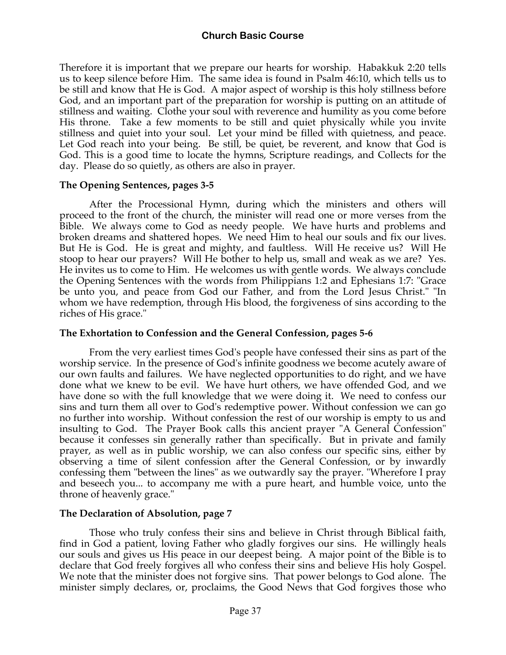Therefore it is important that we prepare our hearts for worship. Habakkuk 2:20 tells us to keep silence before Him. The same idea is found in Psalm 46:10, which tells us to be still and know that He is God. A major aspect of worship is this holy stillness before God, and an important part of the preparation for worship is putting on an attitude of stillness and waiting. Clothe your soul with reverence and humility as you come before His throne. Take a few moments to be still and quiet physically while you invite stillness and quiet into your soul. Let your mind be filled with quietness, and peace. Let God reach into your being. Be still, be quiet, be reverent, and know that God is God. This is a good time to locate the hymns, Scripture readings, and Collects for the day. Please do so quietly, as others are also in prayer.

### **The Opening Sentences, pages 3-5**

 After the Processional Hymn, during which the ministers and others will proceed to the front of the church, the minister will read one or more verses from the Bible. We always come to God as needy people. We have hurts and problems and broken dreams and shattered hopes. We need Him to heal our souls and fix our lives. But He is God. He is great and mighty, and faultless. Will He receive us? Will He stoop to hear our prayers? Will He bother to help us, small and weak as we are? Yes. He invites us to come to Him. He welcomes us with gentle words. We always conclude the Opening Sentences with the words from Philippians 1:2 and Ephesians 1:7: "Grace be unto you, and peace from God our Father, and from the Lord Jesus Christ." "In whom we have redemption, through His blood, the forgiveness of sins according to the riches of His grace."

### **The Exhortation to Confession and the General Confession, pages 5-6**

 From the very earliest times God's people have confessed their sins as part of the worship service. In the presence of God's infinite goodness we become acutely aware of our own faults and failures. We have neglected opportunities to do right, and we have done what we knew to be evil. We have hurt others, we have offended God, and we have done so with the full knowledge that we were doing it. We need to confess our sins and turn them all over to God's redemptive power. Without confession we can go no further into worship. Without confession the rest of our worship is empty to us and insulting to God. The Prayer Book calls this ancient prayer "A General Confession" because it confesses sin generally rather than specifically. But in private and family prayer, as well as in public worship, we can also confess our specific sins, either by observing a time of silent confession after the General Confession, or by inwardly confessing them "between the lines" as we outwardly say the prayer. "Wherefore I pray and beseech you... to accompany me with a pure heart, and humble voice, unto the throne of heavenly grace."

# **The Declaration of Absolution, page 7**

Those who truly confess their sins and believe in Christ through Biblical faith, find in God a patient, loving Father who gladly forgives our sins. He willingly heals our souls and gives us His peace in our deepest being. A major point of the Bible is to declare that God freely forgives all who confess their sins and believe His holy Gospel. We note that the minister does not forgive sins. That power belongs to God alone. The minister simply declares, or, proclaims, the Good News that God forgives those who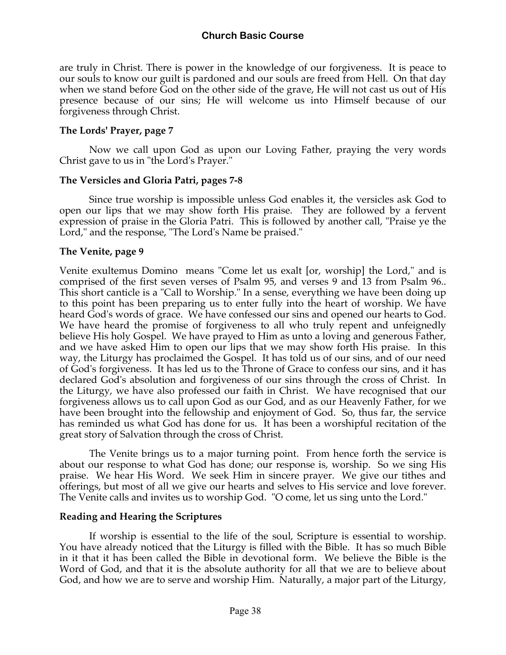are truly in Christ. There is power in the knowledge of our forgiveness. It is peace to our souls to know our guilt is pardoned and our souls are freed from Hell. On that day when we stand before God on the other side of the grave, He will not cast us out of His presence because of our sins; He will welcome us into Himself because of our forgiveness through Christ.

## **The Lords' Prayer, page 7**

Now we call upon God as upon our Loving Father, praying the very words Christ gave to us in "the Lord's Prayer."

#### **The Versicles and Gloria Patri, pages 7-8**

Since true worship is impossible unless God enables it, the versicles ask God to open our lips that we may show forth His praise. They are followed by a fervent expression of praise in the Gloria Patri. This is followed by another call, "Praise ye the Lord," and the response, "The Lord's Name be praised."

#### **The Venite, page 9**

Venite exultemus Domino means "Come let us exalt [or, worship] the Lord," and is comprised of the first seven verses of Psalm 95, and verses 9 and 13 from Psalm 96.. This short canticle is a "Call to Worship." In a sense, everything we have been doing up to this point has been preparing us to enter fully into the heart of worship. We have heard God's words of grace. We have confessed our sins and opened our hearts to God. We have heard the promise of forgiveness to all who truly repent and unfeignedly believe His holy Gospel. We have prayed to Him as unto a loving and generous Father, and we have asked Him to open our lips that we may show forth His praise. In this way, the Liturgy has proclaimed the Gospel. It has told us of our sins, and of our need of God's forgiveness. It has led us to the Throne of Grace to confess our sins, and it has declared God's absolution and forgiveness of our sins through the cross of Christ. In the Liturgy, we have also professed our faith in Christ. We have recognised that our forgiveness allows us to call upon God as our God, and as our Heavenly Father, for we have been brought into the fellowship and enjoyment of God. So, thus far, the service has reminded us what God has done for us. It has been a worshipful recitation of the great story of Salvation through the cross of Christ.

 The Venite brings us to a major turning point. From hence forth the service is about our response to what God has done; our response is, worship. So we sing His praise. We hear His Word. We seek Him in sincere prayer. We give our tithes and offerings, but most of all we give our hearts and selves to His service and love forever. The Venite calls and invites us to worship God. "O come, let us sing unto the Lord."

### **Reading and Hearing the Scriptures**

If worship is essential to the life of the soul, Scripture is essential to worship. You have already noticed that the Liturgy is filled with the Bible. It has so much Bible in it that it has been called the Bible in devotional form. We believe the Bible is the Word of God, and that it is the absolute authority for all that we are to believe about God, and how we are to serve and worship Him. Naturally, a major part of the Liturgy,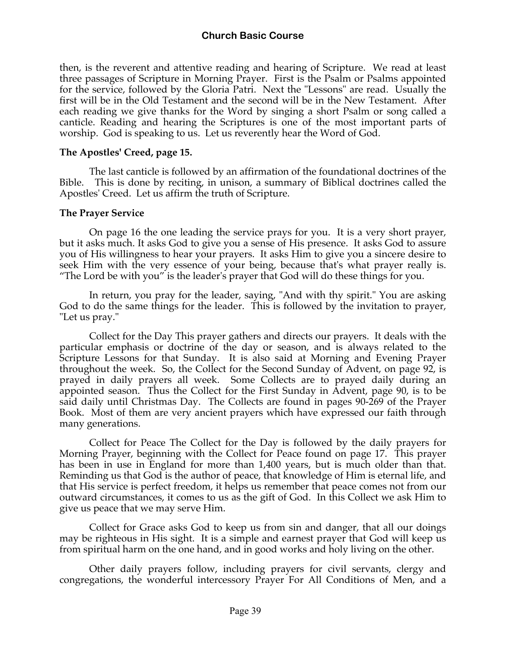then, is the reverent and attentive reading and hearing of Scripture. We read at least three passages of Scripture in Morning Prayer. First is the Psalm or Psalms appointed for the service, followed by the Gloria Patri. Next the "Lessons" are read. Usually the first will be in the Old Testament and the second will be in the New Testament. After each reading we give thanks for the Word by singing a short Psalm or song called a canticle. Reading and hearing the Scriptures is one of the most important parts of worship. God is speaking to us. Let us reverently hear the Word of God.

## **The Apostles' Creed, page 15.**

The last canticle is followed by an affirmation of the foundational doctrines of the Bible. This is done by reciting, in unison, a summary of Biblical doctrines called the Apostles' Creed. Let us affirm the truth of Scripture.

### **The Prayer Service**

 On page 16 the one leading the service prays for you. It is a very short prayer, but it asks much. It asks God to give you a sense of His presence. It asks God to assure you of His willingness to hear your prayers. It asks Him to give you a sincere desire to seek Him with the very essence of your being, because that's what prayer really is. "The Lord be with you" is the leader's prayer that God will do these things for you.

 In return, you pray for the leader, saying, "And with thy spirit." You are asking God to do the same things for the leader. This is followed by the invitation to prayer, "Let us pray."

Collect for the Day This prayer gathers and directs our prayers. It deals with the particular emphasis or doctrine of the day or season, and is always related to the Scripture Lessons for that Sunday. It is also said at Morning and Evening Prayer throughout the week. So, the Collect for the Second Sunday of Advent, on page 92, is prayed in daily prayers all week. Some Collects are to prayed daily during an appointed season. Thus the Collect for the First Sunday in Advent, page 90, is to be said daily until Christmas Day. The Collects are found in pages 90-269 of the Prayer Book. Most of them are very ancient prayers which have expressed our faith through many generations.

Collect for Peace The Collect for the Day is followed by the daily prayers for Morning Prayer, beginning with the Collect for Peace found on page 17. This prayer has been in use in England for more than 1,400 years, but is much older than that. Reminding us that God is the author of peace, that knowledge of Him is eternal life, and that His service is perfect freedom, it helps us remember that peace comes not from our outward circumstances, it comes to us as the gift of God. In this Collect we ask Him to give us peace that we may serve Him.

Collect for Grace asks God to keep us from sin and danger, that all our doings may be righteous in His sight. It is a simple and earnest prayer that God will keep us from spiritual harm on the one hand, and in good works and holy living on the other.

Other daily prayers follow, including prayers for civil servants, clergy and congregations, the wonderful intercessory Prayer For All Conditions of Men, and a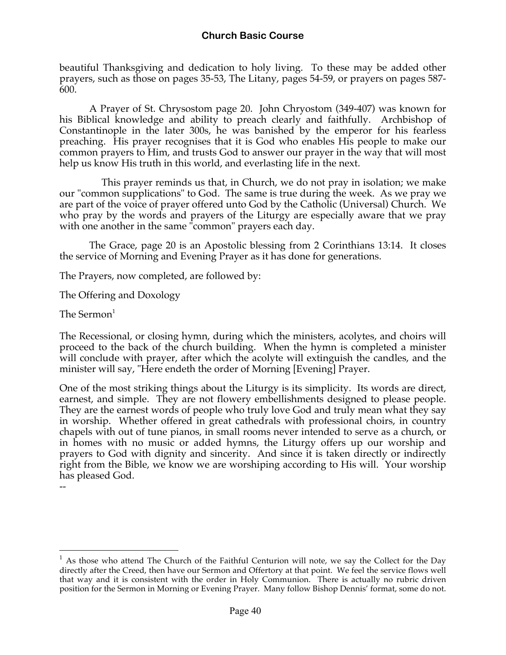beautiful Thanksgiving and dedication to holy living. To these may be added other prayers, such as those on pages 35-53, The Litany, pages 54-59, or prayers on pages 587- 600.

A Prayer of St. Chrysostom page 20. John Chryostom (349-407) was known for his Biblical knowledge and ability to preach clearly and faithfully. Archbishop of Constantinople in the later 300s, he was banished by the emperor for his fearless preaching. His prayer recognises that it is God who enables His people to make our common prayers to Him, and trusts God to answer our prayer in the way that will most help us know His truth in this world, and everlasting life in the next.

 This prayer reminds us that, in Church, we do not pray in isolation; we make our "common supplications" to God. The same is true during the week. As we pray we are part of the voice of prayer offered unto God by the Catholic (Universal) Church. We who pray by the words and prayers of the Liturgy are especially aware that we pray with one another in the same "common" prayers each day.

The Grace, page 20 is an Apostolic blessing from 2 Corinthians 13:14. It closes the service of Morning and Evening Prayer as it has done for generations.

The Prayers, now completed, are followed by:

The Offering and Doxology

The Sermon $1$ 

The Recessional, or closing hymn, during which the ministers, acolytes, and choirs will proceed to the back of the church building. When the hymn is completed a minister will conclude with prayer, after which the acolyte will extinguish the candles, and the minister will say, "Here endeth the order of Morning [Evening] Prayer.

One of the most striking things about the Liturgy is its simplicity. Its words are direct, earnest, and simple. They are not flowery embellishments designed to please people. They are the earnest words of people who truly love God and truly mean what they say in worship. Whether offered in great cathedrals with professional choirs, in country chapels with out of tune pianos, in small rooms never intended to serve as a church, or in homes with no music or added hymns, the Liturgy offers up our worship and prayers to God with dignity and sincerity. And since it is taken directly or indirectly right from the Bible, we know we are worshiping according to His will. Your worship has pleased God.

--

<sup>&</sup>lt;sup>1</sup> As those who attend The Church of the Faithful Centurion will note, we say the Collect for the Day directly after the Creed, then have our Sermon and Offertory at that point. We feel the service flows well that way and it is consistent with the order in Holy Communion. There is actually no rubric driven position for the Sermon in Morning or Evening Prayer. Many follow Bishop Dennis' format, some do not.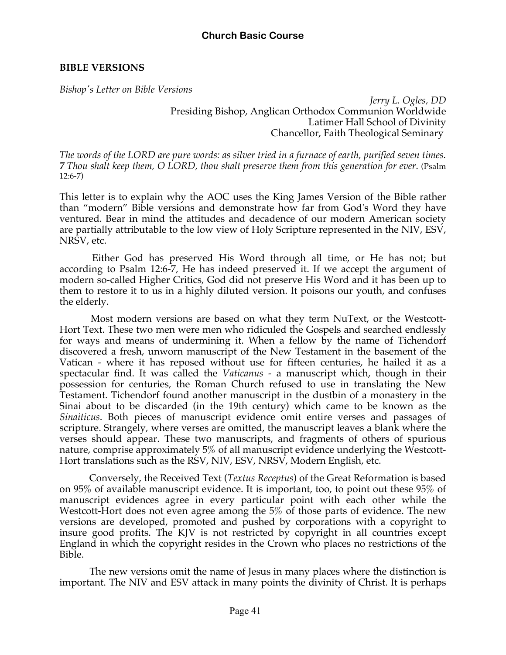### **BIBLE VERSIONS**

*Bishop's Letter on Bible Versions*

*Jerry L. Ogles, DD* Presiding Bishop, Anglican Orthodox Communion Worldwide Latimer Hall School of Divinity Chancellor, Faith Theological Seminary

*The words of the LORD are pure words: as silver tried in a furnace of earth, purified seven times. 7 Thou shalt keep them, O LORD, thou shalt preserve them from this generation for ever*. (Psalm 12:6-7)

This letter is to explain why the AOC uses the King James Version of the Bible rather than "modern" Bible versions and demonstrate how far from God's Word they have ventured. Bear in mind the attitudes and decadence of our modern American society are partially attributable to the low view of Holy Scripture represented in the NIV, ESV, NRSV, etc.

 Either God has preserved His Word through all time, or He has not; but according to Psalm 12:6-7, He has indeed preserved it. If we accept the argument of modern so-called Higher Critics, God did not preserve His Word and it has been up to them to restore it to us in a highly diluted version. It poisons our youth, and confuses the elderly.

 Most modern versions are based on what they term NuText, or the Westcott-Hort Text. These two men were men who ridiculed the Gospels and searched endlessly for ways and means of undermining it. When a fellow by the name of Tichendorf discovered a fresh, unworn manuscript of the New Testament in the basement of the Vatican - where it has reposed without use for fifteen centuries, he hailed it as a spectacular find. It was called the *Vaticanus* - a manuscript which, though in their possession for centuries, the Roman Church refused to use in translating the New Testament. Tichendorf found another manuscript in the dustbin of a monastery in the Sinai about to be discarded (in the 19th century) which came to be known as the *Sinaiticus*. Both pieces of manuscript evidence omit entire verses and passages of scripture. Strangely, where verses are omitted, the manuscript leaves a blank where the verses should appear. These two manuscripts, and fragments of others of spurious nature, comprise approximately 5% of all manuscript evidence underlying the Westcott-Hort translations such as the RSV, NIV, ESV, NRSV, Modern English, etc.

 Conversely, the Received Text (*Textus Receptus*) of the Great Reformation is based on 95% of available manuscript evidence. It is important, too, to point out these 95% of manuscript evidences agree in every particular point with each other while the Westcott-Hort does not even agree among the 5% of those parts of evidence. The new versions are developed, promoted and pushed by corporations with a copyright to insure good profits. The KJV is not restricted by copyright in all countries except England in which the copyright resides in the Crown who places no restrictions of the Bible.

 The new versions omit the name of Jesus in many places where the distinction is important. The NIV and ESV attack in many points the divinity of Christ. It is perhaps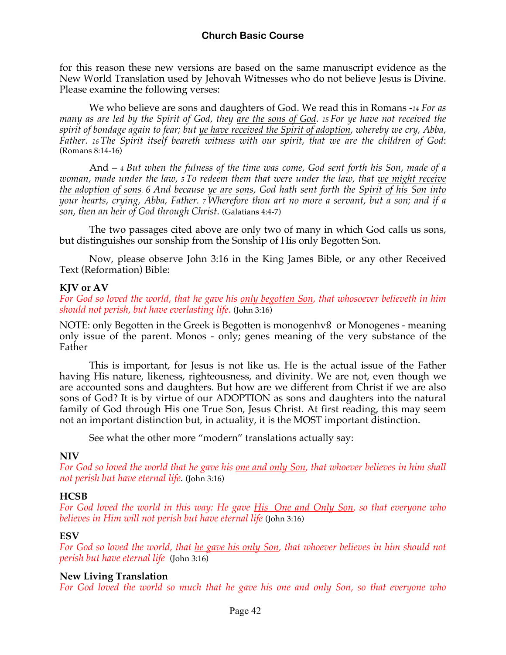for this reason these new versions are based on the same manuscript evidence as the New World Translation used by Jehovah Witnesses who do not believe Jesus is Divine. Please examine the following verses:

We who believe are sons and daughters of God. We read this in Romans -*<sup>14</sup> For as many as are led by the Spirit of God, they are the sons of God. 15 For ye have not received the spirit of bondage again to fear; but ye have received the Spirit of adoption, whereby we cry, Abba, Father. 16 The Spirit itself beareth witness with our spirit, that we are the children of God*: (Romans 8:14-16)

And – *4 But when the fulness of the time was come, God sent forth his Son, made of a woman, made under the law, 5 To redeem them that were under the law, that we might receive the adoption of sons. 6 And because ye are sons, God hath sent forth the Spirit of his Son into your hearts, crying, Abba, Father. <sup>7</sup> Wherefore thou art no more a servant, but a son; and if a son, then an heir of God through Christ*. (Galatians 4:4-7)

The two passages cited above are only two of many in which God calls us sons, but distinguishes our sonship from the Sonship of His only Begotten Son.

Now, please observe John 3:16 in the King James Bible, or any other Received Text (Reformation) Bible:

#### **KJV or AV**

*For God so loved the world, that he gave his only begotten Son, that whosoever believeth in him should not perish, but have everlasting life*. (John 3:16)

NOTE: only Begotten in the Greek is <u>Begotten</u> is monogenhvß or Monogenes - meaning only issue of the parent. Monos - only; genes meaning of the very substance of the Father

This is important, for Jesus is not like us. He is the actual issue of the Father having His nature, likeness, righteousness, and divinity. We are not, even though we are accounted sons and daughters. But how are we different from Christ if we are also sons of God? It is by virtue of our ADOPTION as sons and daughters into the natural family of God through His one True Son, Jesus Christ. At first reading, this may seem not an important distinction but, in actuality, it is the MOST important distinction.

See what the other more "modern" translations actually say:

### **NIV**

*For God so loved the world that he gave his one and only Son, that whoever believes in him shall not perish but have eternal life*. (John 3:16)

### **HCSB**

*For God loved the world in this way: He gave His One and Only Son, so that everyone who believes in Him will not perish but have eternal life* (John 3:16)

### **ESV**

*For God so loved the world, that he gave his only Son, that whoever believes in him should not perish but have eternal life* (John 3:16)

### **New Living Translation**

*For God loved the world so much that he gave his one and only Son, so that everyone who*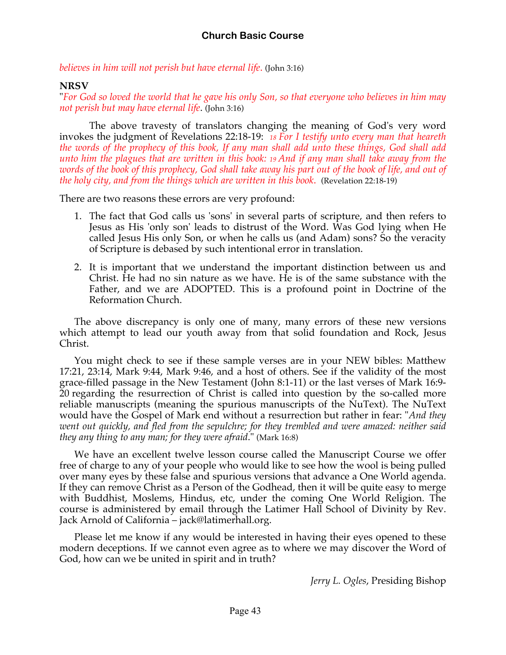*believes in him will not perish but have eternal life*. (John 3:16)

# **NRSV**

"*For God so loved the world that he gave his only Son, so that everyone who believes in him may not perish but may have eternal life*. (John 3:16)

The above travesty of translators changing the meaning of God's very word invokes the judgment of Revelations 22:18-19: *<sup>18</sup> For I testify unto every man that heareth the words of the prophecy of this book, If any man shall add unto these things, God shall add unto him the plagues that are written in this book: 19 And if any man shall take away from the words of the book of this prophecy, God shall take away his part out of the book of life, and out of the holy city, and from the things which are written in this book*. (Revelation 22:18-19)

There are two reasons these errors are very profound:

- 1. The fact that God calls us 'sons' in several parts of scripture, and then refers to Jesus as His 'only son' leads to distrust of the Word. Was God lying when He called Jesus His only Son, or when he calls us (and Adam) sons? So the veracity of Scripture is debased by such intentional error in translation.
- 2. It is important that we understand the important distinction between us and Christ. He had no sin nature as we have. He is of the same substance with the Father, and we are ADOPTED. This is a profound point in Doctrine of the Reformation Church.

The above discrepancy is only one of many, many errors of these new versions which attempt to lead our youth away from that solid foundation and Rock, Jesus Christ.

You might check to see if these sample verses are in your NEW bibles: Matthew 17:21, 23:14, Mark 9:44, Mark 9:46, and a host of others. See if the validity of the most grace-filled passage in the New Testament (John 8:1-11) or the last verses of Mark 16:9- 20 regarding the resurrection of Christ is called into question by the so-called more reliable manuscripts (meaning the spurious manuscripts of the NuText). The NuText would have the Gospel of Mark end without a resurrection but rather in fear: "*And they went out quickly, and fled from the sepulchre; for they trembled and were amazed: neither said they any thing to any man; for they were afraid*." (Mark 16:8)

We have an excellent twelve lesson course called the Manuscript Course we offer free of charge to any of your people who would like to see how the wool is being pulled over many eyes by these false and spurious versions that advance a One World agenda. If they can remove Christ as a Person of the Godhead, then it will be quite easy to merge with Buddhist, Moslems, Hindus, etc, under the coming One World Religion. The course is administered by email through the Latimer Hall School of Divinity by Rev. Jack Arnold of California – jack@latimerhall.org.

Please let me know if any would be interested in having their eyes opened to these modern deceptions. If we cannot even agree as to where we may discover the Word of God, how can we be united in spirit and in truth?

*Jerry L. Ogles*, Presiding Bishop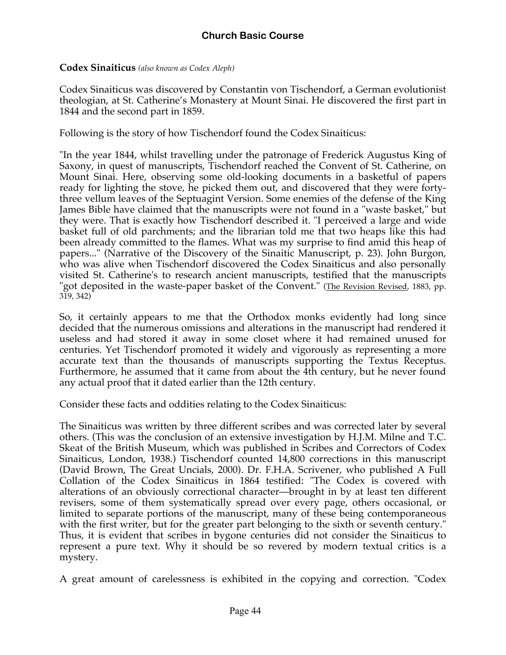### **Codex Sinaiticus** *(also known as Codex Aleph)*

Codex Sinaiticus was discovered by Constantin von Tischendorf, a German evolutionist theologian, at St. Catherine's Monastery at Mount Sinai. He discovered the first part in 1844 and the second part in 1859.

Following is the story of how Tischendorf found the Codex Sinaiticus:

"In the year 1844, whilst travelling under the patronage of Frederick Augustus King of Saxony, in quest of manuscripts, Tischendorf reached the Convent of St. Catherine, on Mount Sinai. Here, observing some old-looking documents in a basketful of papers ready for lighting the stove, he picked them out, and discovered that they were fortythree vellum leaves of the Septuagint Version. Some enemies of the defense of the King James Bible have claimed that the manuscripts were not found in a "waste basket," but they were. That is exactly how Tischendorf described it. "I perceived a large and wide basket full of old parchments; and the librarian told me that two heaps like this had been already committed to the flames. What was my surprise to find amid this heap of papers..." (Narrative of the Discovery of the Sinaitic Manuscript, p. 23). John Burgon, who was alive when Tischendorf discovered the Codex Sinaiticus and also personally visited St. Catherine's to research ancient manuscripts, testified that the manuscripts "got deposited in the waste-paper basket of the Convent." (The Revision Revised, 1883, pp. 319, 342)

So, it certainly appears to me that the Orthodox monks evidently had long since decided that the numerous omissions and alterations in the manuscript had rendered it useless and had stored it away in some closet where it had remained unused for centuries. Yet Tischendorf promoted it widely and vigorously as representing a more accurate text than the thousands of manuscripts supporting the Textus Receptus. Furthermore, he assumed that it came from about the 4th century, but he never found any actual proof that it dated earlier than the 12th century.

Consider these facts and oddities relating to the Codex Sinaiticus:

The Sinaiticus was written by three different scribes and was corrected later by several others. (This was the conclusion of an extensive investigation by H.J.M. Milne and T.C. Skeat of the British Museum, which was published in Scribes and Correctors of Codex Sinaiticus, London, 1938.) Tischendorf counted 14,800 corrections in this manuscript (David Brown, The Great Uncials, 2000). Dr. F.H.A. Scrivener, who published A Full Collation of the Codex Sinaiticus in 1864 testified: "The Codex is covered with alterations of an obviously correctional character—brought in by at least ten different revisers, some of them systematically spread over every page, others occasional, or limited to separate portions of the manuscript, many of these being contemporaneous with the first writer, but for the greater part belonging to the sixth or seventh century." Thus, it is evident that scribes in bygone centuries did not consider the Sinaiticus to represent a pure text. Why it should be so revered by modern textual critics is a mystery.

A great amount of carelessness is exhibited in the copying and correction. "Codex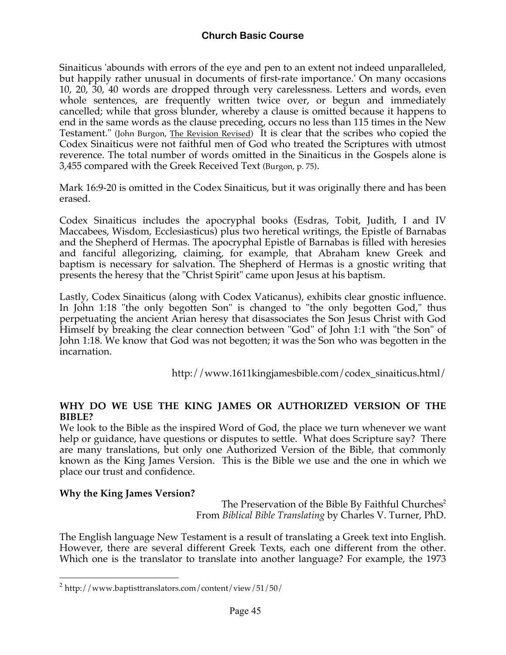Sinaiticus 'abounds with errors of the eye and pen to an extent not indeed unparalleled, but happily rather unusual in documents of first-rate importance.' On many occasions 10, 20, 30, 40 words are dropped through very carelessness. Letters and words, even whole sentences, are frequently written twice over, or begun and immediately cancelled; while that gross blunder, whereby a clause is omitted because it happens to end in the same words as the clause preceding, occurs no less than 115 times in the New Testament." (John Burgon, The Revision Revised) It is clear that the scribes who copied the Codex Sinaiticus were not faithful men of God who treated the Scriptures with utmost reverence. The total number of words omitted in the Sinaiticus in the Gospels alone is 3,455 compared with the Greek Received Text (Burgon, p. 75).

Mark 16:9-20 is omitted in the Codex Sinaiticus, but it was originally there and has been erased.

Codex Sinaiticus includes the apocryphal books (Esdras, Tobit, Judith, I and IV Maccabees, Wisdom, Ecclesiasticus) plus two heretical writings, the Epistle of Barnabas and the Shepherd of Hermas. The apocryphal Epistle of Barnabas is filled with heresies and fanciful allegorizing, claiming, for example, that Abraham knew Greek and baptism is necessary for salvation. The Shepherd of Hermas is a gnostic writing that presents the heresy that the "Christ Spirit" came upon Jesus at his baptism.

Lastly, Codex Sinaiticus (along with Codex Vaticanus), exhibits clear gnostic influence. In John 1:18 "the only begotten Son" is changed to "the only begotten God," thus perpetuating the ancient Arian heresy that disassociates the Son Jesus Christ with God Himself by breaking the clear connection between "God" of John 1:1 with "the Son" of John 1:18. We know that God was not begotten; it was the Son who was begotten in the incarnation.

http://www.1611kingjamesbible.com/codex\_sinaiticus.html/

### **WHY DO WE USE THE KING JAMES OR AUTHORIZED VERSION OF THE BIBLE?**

We look to the Bible as the inspired Word of God, the place we turn whenever we want help or guidance, have questions or disputes to settle. What does Scripture say? There are many translations, but only one Authorized Version of the Bible, that commonly known as the King James Version. This is the Bible we use and the one in which we place our trust and confidence.

### **Why the King James Version?**

The Preservation of the Bible By Faithful Churches<sup>2</sup> From *Biblical Bible Translating* by Charles V. Turner, PhD.

The English language New Testament is a result of translating a Greek text into English. However, there are several different Greek Texts, each one different from the other. Which one is the translator to translate into another language? For example, the 1973

 $2$  http://www.baptisttranslators.com/content/view/51/50/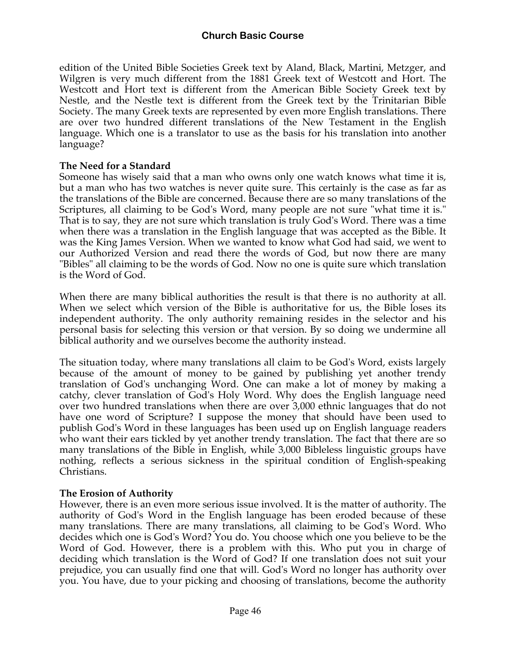edition of the United Bible Societies Greek text by Aland, Black, Martini, Metzger, and Wilgren is very much different from the 1881 Greek text of Westcott and Hort. The Westcott and Hort text is different from the American Bible Society Greek text by Nestle, and the Nestle text is different from the Greek text by the Trinitarian Bible Society. The many Greek texts are represented by even more English translations. There are over two hundred different translations of the New Testament in the English language. Which one is a translator to use as the basis for his translation into another language?

### **The Need for a Standard**

Someone has wisely said that a man who owns only one watch knows what time it is, but a man who has two watches is never quite sure. This certainly is the case as far as the translations of the Bible are concerned. Because there are so many translations of the Scriptures, all claiming to be God's Word, many people are not sure "what time it is." That is to say, they are not sure which translation is truly God's Word. There was a time when there was a translation in the English language that was accepted as the Bible. It was the King James Version. When we wanted to know what God had said, we went to our Authorized Version and read there the words of God, but now there are many "Bibles" all claiming to be the words of God. Now no one is quite sure which translation is the Word of God.

When there are many biblical authorities the result is that there is no authority at all. When we select which version of the Bible is authoritative for us, the Bible loses its independent authority. The only authority remaining resides in the selector and his personal basis for selecting this version or that version. By so doing we undermine all biblical authority and we ourselves become the authority instead.

The situation today, where many translations all claim to be God's Word, exists largely because of the amount of money to be gained by publishing yet another trendy translation of God's unchanging Word. One can make a lot of money by making a catchy, clever translation of God's Holy Word. Why does the English language need over two hundred translations when there are over 3,000 ethnic languages that do not have one word of Scripture? I suppose the money that should have been used to publish God's Word in these languages has been used up on English language readers who want their ears tickled by yet another trendy translation. The fact that there are so many translations of the Bible in English, while 3,000 Bibleless linguistic groups have nothing, reflects a serious sickness in the spiritual condition of English-speaking Christians.

# **The Erosion of Authority**

However, there is an even more serious issue involved. It is the matter of authority. The authority of God's Word in the English language has been eroded because of these many translations. There are many translations, all claiming to be God's Word. Who decides which one is God's Word? You do. You choose which one you believe to be the Word of God. However, there is a problem with this. Who put you in charge of deciding which translation is the Word of God? If one translation does not suit your prejudice, you can usually find one that will. God's Word no longer has authority over you. You have, due to your picking and choosing of translations, become the authority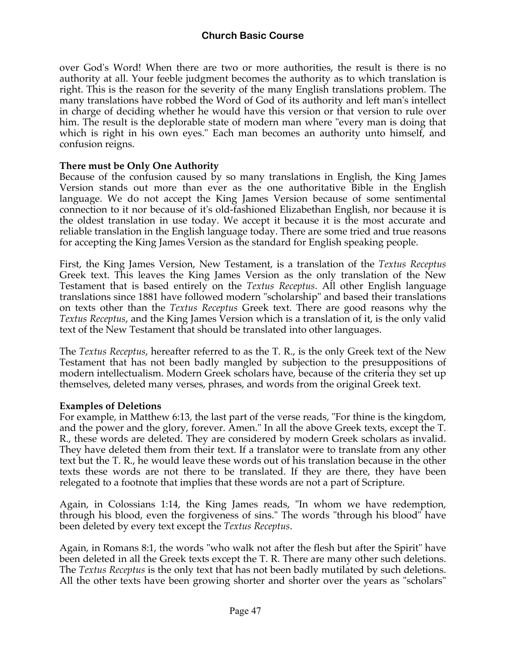# **Church Basic Course**

over God's Word! When there are two or more authorities, the result is there is no authority at all. Your feeble judgment becomes the authority as to which translation is right. This is the reason for the severity of the many English translations problem. The many translations have robbed the Word of God of its authority and left man's intellect in charge of deciding whether he would have this version or that version to rule over him. The result is the deplorable state of modern man where "every man is doing that which is right in his own eyes." Each man becomes an authority unto himself, and confusion reigns.

#### **There must be Only One Authority**

Because of the confusion caused by so many translations in English, the King James Version stands out more than ever as the one authoritative Bible in the English language. We do not accept the King James Version because of some sentimental connection to it nor because of it's old-fashioned Elizabethan English, nor because it is the oldest translation in use today. We accept it because it is the most accurate and reliable translation in the English language today. There are some tried and true reasons for accepting the King James Version as the standard for English speaking people.

First, the King James Version, New Testament, is a translation of the *Textus Receptus* Greek text. This leaves the King James Version as the only translation of the New Testament that is based entirely on the *Textus Receptus*. All other English language translations since 1881 have followed modern "scholarship" and based their translations on texts other than the *Textus Receptus* Greek text. There are good reasons why the *Textus Receptus*, and the King James Version which is a translation of it, is the only valid text of the New Testament that should be translated into other languages.

The *Textus Receptus*, hereafter referred to as the T. R., is the only Greek text of the New Testament that has not been badly mangled by subjection to the presuppositions of modern intellectualism. Modern Greek scholars have, because of the criteria they set up themselves, deleted many verses, phrases, and words from the original Greek text.

#### **Examples of Deletions**

For example, in Matthew 6:13, the last part of the verse reads, "For thine is the kingdom, and the power and the glory, forever. Amen." In all the above Greek texts, except the T. R., these words are deleted. They are considered by modern Greek scholars as invalid. They have deleted them from their text. If a translator were to translate from any other text but the T. R., he would leave these words out of his translation because in the other texts these words are not there to be translated. If they are there, they have been relegated to a footnote that implies that these words are not a part of Scripture.

Again, in Colossians 1:14, the King James reads, "In whom we have redemption, through his blood, even the forgiveness of sins." The words "through his blood" have been deleted by every text except the *Textus Receptus*.

Again, in Romans 8:1, the words "who walk not after the flesh but after the Spirit" have been deleted in all the Greek texts except the T. R. There are many other such deletions. The *Textus Receptus* is the only text that has not been badly mutilated by such deletions. All the other texts have been growing shorter and shorter over the years as "scholars"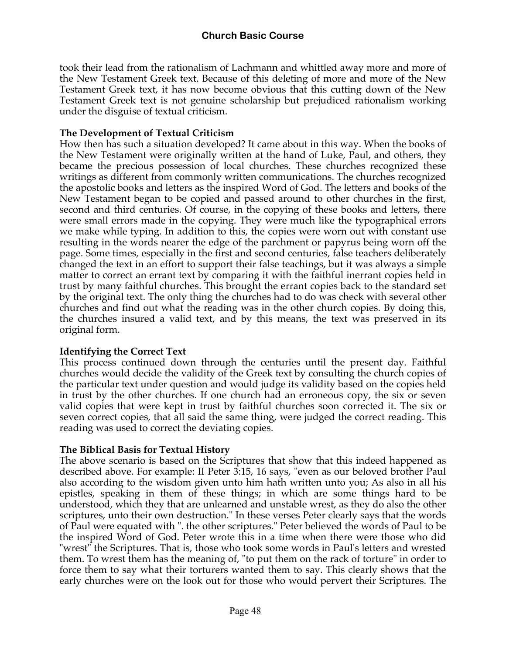took their lead from the rationalism of Lachmann and whittled away more and more of the New Testament Greek text. Because of this deleting of more and more of the New Testament Greek text, it has now become obvious that this cutting down of the New Testament Greek text is not genuine scholarship but prejudiced rationalism working under the disguise of textual criticism.

## **The Development of Textual Criticism**

How then has such a situation developed? It came about in this way. When the books of the New Testament were originally written at the hand of Luke, Paul, and others, they became the precious possession of local churches. These churches recognized these writings as different from commonly written communications. The churches recognized the apostolic books and letters as the inspired Word of God. The letters and books of the New Testament began to be copied and passed around to other churches in the first, second and third centuries. Of course, in the copying of these books and letters, there were small errors made in the copying. They were much like the typographical errors we make while typing. In addition to this, the copies were worn out with constant use resulting in the words nearer the edge of the parchment or papyrus being worn off the page. Some times, especially in the first and second centuries, false teachers deliberately changed the text in an effort to support their false teachings, but it was always a simple matter to correct an errant text by comparing it with the faithful inerrant copies held in trust by many faithful churches. This brought the errant copies back to the standard set by the original text. The only thing the churches had to do was check with several other churches and find out what the reading was in the other church copies. By doing this, the churches insured a valid text, and by this means, the text was preserved in its original form.

# **Identifying the Correct Text**

This process continued down through the centuries until the present day. Faithful churches would decide the validity of the Greek text by consulting the church copies of the particular text under question and would judge its validity based on the copies held in trust by the other churches. If one church had an erroneous copy, the six or seven valid copies that were kept in trust by faithful churches soon corrected it. The six or seven correct copies, that all said the same thing, were judged the correct reading. This reading was used to correct the deviating copies.

### **The Biblical Basis for Textual History**

The above scenario is based on the Scriptures that show that this indeed happened as described above. For example: II Peter 3:15, 16 says, "even as our beloved brother Paul also according to the wisdom given unto him hath written unto you; As also in all his epistles, speaking in them of these things; in which are some things hard to be understood, which they that are unlearned and unstable wrest, as they do also the other scriptures, unto their own destruction." In these verses Peter clearly says that the words of Paul were equated with ". the other scriptures." Peter believed the words of Paul to be the inspired Word of God. Peter wrote this in a time when there were those who did "wrest" the Scriptures. That is, those who took some words in Paul's letters and wrested them. To wrest them has the meaning of, "to put them on the rack of torture" in order to force them to say what their torturers wanted them to say. This clearly shows that the early churches were on the look out for those who would pervert their Scriptures. The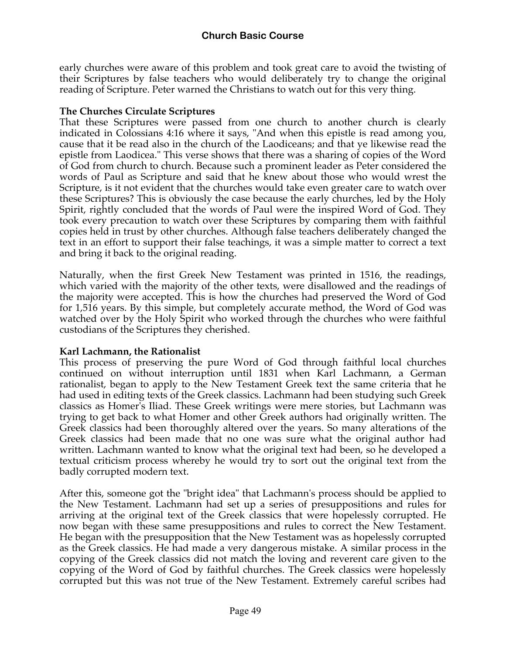early churches were aware of this problem and took great care to avoid the twisting of their Scriptures by false teachers who would deliberately try to change the original reading of Scripture. Peter warned the Christians to watch out for this very thing.

#### **The Churches Circulate Scriptures**

That these Scriptures were passed from one church to another church is clearly indicated in Colossians 4:16 where it says, "And when this epistle is read among you, cause that it be read also in the church of the Laodiceans; and that ye likewise read the epistle from Laodicea." This verse shows that there was a sharing of copies of the Word of God from church to church. Because such a prominent leader as Peter considered the words of Paul as Scripture and said that he knew about those who would wrest the Scripture, is it not evident that the churches would take even greater care to watch over these Scriptures? This is obviously the case because the early churches, led by the Holy Spirit, rightly concluded that the words of Paul were the inspired Word of God. They took every precaution to watch over these Scriptures by comparing them with faithful copies held in trust by other churches. Although false teachers deliberately changed the text in an effort to support their false teachings, it was a simple matter to correct a text and bring it back to the original reading.

Naturally, when the first Greek New Testament was printed in 1516, the readings, which varied with the majority of the other texts, were disallowed and the readings of the majority were accepted. This is how the churches had preserved the Word of God for 1,516 years. By this simple, but completely accurate method, the Word of God was watched over by the Holy Spirit who worked through the churches who were faithful custodians of the Scriptures they cherished.

#### **Karl Lachmann, the Rationalist**

This process of preserving the pure Word of God through faithful local churches continued on without interruption until 1831 when Karl Lachmann, a German rationalist, began to apply to the New Testament Greek text the same criteria that he had used in editing texts of the Greek classics. Lachmann had been studying such Greek classics as Homer's Iliad. These Greek writings were mere stories, but Lachmann was trying to get back to what Homer and other Greek authors had originally written. The Greek classics had been thoroughly altered over the years. So many alterations of the Greek classics had been made that no one was sure what the original author had written. Lachmann wanted to know what the original text had been, so he developed a textual criticism process whereby he would try to sort out the original text from the badly corrupted modern text.

After this, someone got the "bright idea" that Lachmann's process should be applied to the New Testament. Lachmann had set up a series of presuppositions and rules for arriving at the original text of the Greek classics that were hopelessly corrupted. He now began with these same presuppositions and rules to correct the New Testament. He began with the presupposition that the New Testament was as hopelessly corrupted as the Greek classics. He had made a very dangerous mistake. A similar process in the copying of the Greek classics did not match the loving and reverent care given to the copying of the Word of God by faithful churches. The Greek classics were hopelessly corrupted but this was not true of the New Testament. Extremely careful scribes had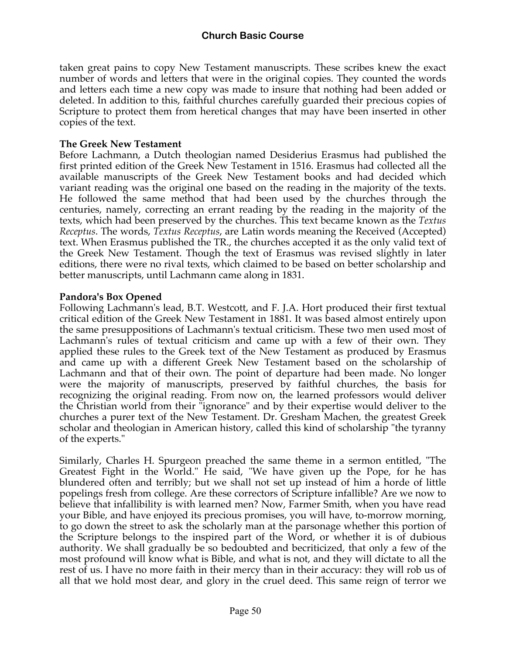taken great pains to copy New Testament manuscripts. These scribes knew the exact number of words and letters that were in the original copies. They counted the words and letters each time a new copy was made to insure that nothing had been added or deleted. In addition to this, faithful churches carefully guarded their precious copies of Scripture to protect them from heretical changes that may have been inserted in other copies of the text.

#### **The Greek New Testament**

Before Lachmann, a Dutch theologian named Desiderius Erasmus had published the first printed edition of the Greek New Testament in 1516. Erasmus had collected all the available manuscripts of the Greek New Testament books and had decided which variant reading was the original one based on the reading in the majority of the texts. He followed the same method that had been used by the churches through the centuries, namely, correcting an errant reading by the reading in the majority of the texts, which had been preserved by the churches. This text became known as the *Textus Receptus*. The words, *Textus Receptus*, are Latin words meaning the Received (Accepted) text. When Erasmus published the TR., the churches accepted it as the only valid text of the Greek New Testament. Though the text of Erasmus was revised slightly in later editions, there were no rival texts, which claimed to be based on better scholarship and better manuscripts, until Lachmann came along in 1831.

#### **Pandora's Box Opened**

Following Lachmann's lead, B.T. Westcott, and F. J.A. Hort produced their first textual critical edition of the Greek New Testament in 1881. It was based almost entirely upon the same presuppositions of Lachmann's textual criticism. These two men used most of Lachmann's rules of textual criticism and came up with a few of their own. They applied these rules to the Greek text of the New Testament as produced by Erasmus and came up with a different Greek New Testament based on the scholarship of Lachmann and that of their own. The point of departure had been made. No longer were the majority of manuscripts, preserved by faithful churches, the basis for recognizing the original reading. From now on, the learned professors would deliver the Christian world from their "ignorance" and by their expertise would deliver to the churches a purer text of the New Testament. Dr. Gresham Machen, the greatest Greek scholar and theologian in American history, called this kind of scholarship "the tyranny of the experts."

Similarly, Charles H. Spurgeon preached the same theme in a sermon entitled, "The Greatest Fight in the World." He said, "We have given up the Pope, for he has blundered often and terribly; but we shall not set up instead of him a horde of little popelings fresh from college. Are these correctors of Scripture infallible? Are we now to believe that infallibility is with learned men? Now, Farmer Smith, when you have read your Bible, and have enjoyed its precious promises, you will have, to-morrow morning, to go down the street to ask the scholarly man at the parsonage whether this portion of the Scripture belongs to the inspired part of the Word, or whether it is of dubious authority. We shall gradually be so bedoubted and becriticized, that only a few of the most profound will know what is Bible, and what is not, and they will dictate to all the rest of us. I have no more faith in their mercy than in their accuracy: they will rob us of all that we hold most dear, and glory in the cruel deed. This same reign of terror we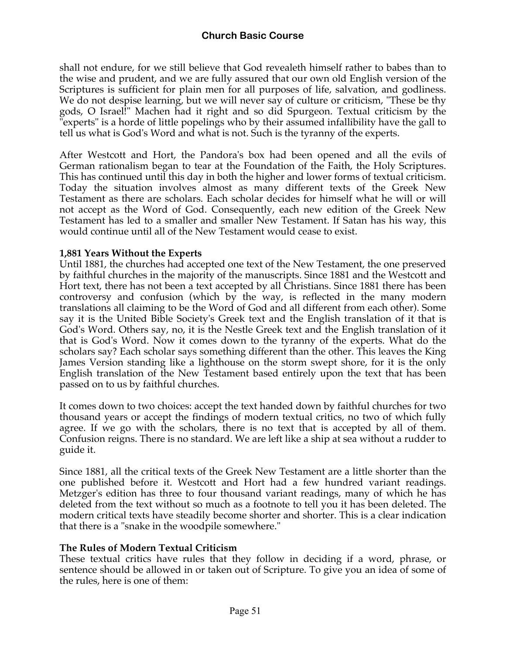shall not endure, for we still believe that God revealeth himself rather to babes than to the wise and prudent, and we are fully assured that our own old English version of the Scriptures is sufficient for plain men for all purposes of life, salvation, and godliness. We do not despise learning, but we will never say of culture or criticism, "These be thy gods, O Israel!" Machen had it right and so did Spurgeon. Textual criticism by the "experts" is a horde of little popelings who by their assumed infallibility have the gall to tell us what is God's Word and what is not. Such is the tyranny of the experts.

After Westcott and Hort, the Pandora's box had been opened and all the evils of German rationalism began to tear at the Foundation of the Faith, the Holy Scriptures. This has continued until this day in both the higher and lower forms of textual criticism. Today the situation involves almost as many different texts of the Greek New Testament as there are scholars. Each scholar decides for himself what he will or will not accept as the Word of God. Consequently, each new edition of the Greek New Testament has led to a smaller and smaller New Testament. If Satan has his way, this would continue until all of the New Testament would cease to exist.

### **1,881 Years Without the Experts**

Until 1881, the churches had accepted one text of the New Testament, the one preserved by faithful churches in the majority of the manuscripts. Since 1881 and the Westcott and Hort text, there has not been a text accepted by all Christians. Since 1881 there has been controversy and confusion (which by the way, is reflected in the many modern translations all claiming to be the Word of God and all different from each other). Some say it is the United Bible Society's Greek text and the English translation of it that is God's Word. Others say, no, it is the Nestle Greek text and the English translation of it that is God's Word. Now it comes down to the tyranny of the experts. What do the scholars say? Each scholar says something different than the other. This leaves the King James Version standing like a lighthouse on the storm swept shore, for it is the only English translation of the New Testament based entirely upon the text that has been passed on to us by faithful churches.

It comes down to two choices: accept the text handed down by faithful churches for two thousand years or accept the findings of modern textual critics, no two of which fully agree. If we go with the scholars, there is no text that is accepted by all of them. Confusion reigns. There is no standard. We are left like a ship at sea without a rudder to guide it.

Since 1881, all the critical texts of the Greek New Testament are a little shorter than the one published before it. Westcott and Hort had a few hundred variant readings. Metzger's edition has three to four thousand variant readings, many of which he has deleted from the text without so much as a footnote to tell you it has been deleted. The modern critical texts have steadily become shorter and shorter. This is a clear indication that there is a "snake in the woodpile somewhere."

### **The Rules of Modern Textual Criticism**

These textual critics have rules that they follow in deciding if a word, phrase, or sentence should be allowed in or taken out of Scripture. To give you an idea of some of the rules, here is one of them: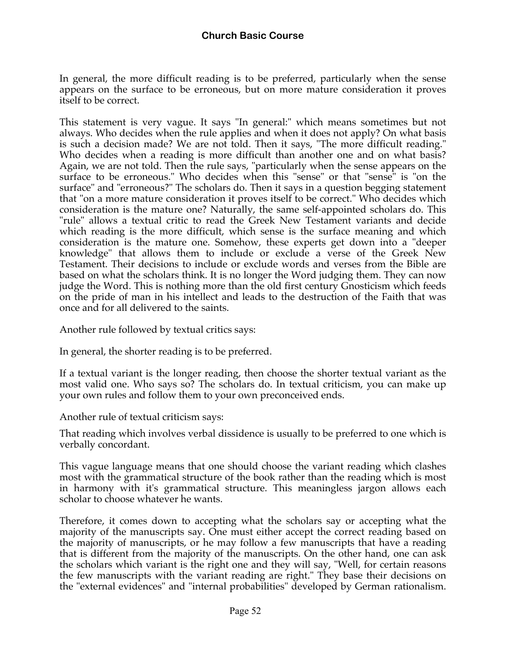In general, the more difficult reading is to be preferred, particularly when the sense appears on the surface to be erroneous, but on more mature consideration it proves itself to be correct.

This statement is very vague. It says "In general:" which means sometimes but not always. Who decides when the rule applies and when it does not apply? On what basis is such a decision made? We are not told. Then it says, "The more difficult reading." Who decides when a reading is more difficult than another one and on what basis? Again, we are not told. Then the rule says, "particularly when the sense appears on the surface to be erroneous." Who decides when this "sense" or that "sense" is "on the surface" and "erroneous?" The scholars do. Then it says in a question begging statement that "on a more mature consideration it proves itself to be correct." Who decides which consideration is the mature one? Naturally, the same self-appointed scholars do. This "rule" allows a textual critic to read the Greek New Testament variants and decide which reading is the more difficult, which sense is the surface meaning and which consideration is the mature one. Somehow, these experts get down into a "deeper knowledge" that allows them to include or exclude a verse of the Greek New Testament. Their decisions to include or exclude words and verses from the Bible are based on what the scholars think. It is no longer the Word judging them. They can now judge the Word. This is nothing more than the old first century Gnosticism which feeds on the pride of man in his intellect and leads to the destruction of the Faith that was once and for all delivered to the saints.

Another rule followed by textual critics says:

In general, the shorter reading is to be preferred.

If a textual variant is the longer reading, then choose the shorter textual variant as the most valid one. Who says so? The scholars do. In textual criticism, you can make up your own rules and follow them to your own preconceived ends.

Another rule of textual criticism says:

That reading which involves verbal dissidence is usually to be preferred to one which is verbally concordant.

This vague language means that one should choose the variant reading which clashes most with the grammatical structure of the book rather than the reading which is most in harmony with it's grammatical structure. This meaningless jargon allows each scholar to choose whatever he wants.

Therefore, it comes down to accepting what the scholars say or accepting what the majority of the manuscripts say. One must either accept the correct reading based on the majority of manuscripts, or he may follow a few manuscripts that have a reading that is different from the majority of the manuscripts. On the other hand, one can ask the scholars which variant is the right one and they will say, "Well, for certain reasons the few manuscripts with the variant reading are right." They base their decisions on the "external evidences" and "internal probabilities" developed by German rationalism.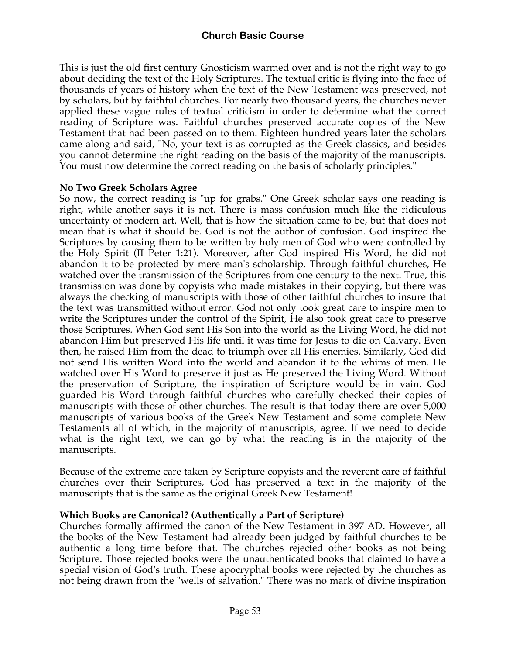# **Church Basic Course**

This is just the old first century Gnosticism warmed over and is not the right way to go about deciding the text of the Holy Scriptures. The textual critic is flying into the face of thousands of years of history when the text of the New Testament was preserved, not by scholars, but by faithful churches. For nearly two thousand years, the churches never applied these vague rules of textual criticism in order to determine what the correct reading of Scripture was. Faithful churches preserved accurate copies of the New Testament that had been passed on to them. Eighteen hundred years later the scholars came along and said, "No, your text is as corrupted as the Greek classics, and besides you cannot determine the right reading on the basis of the majority of the manuscripts. You must now determine the correct reading on the basis of scholarly principles."

#### **No Two Greek Scholars Agree**

So now, the correct reading is "up for grabs." One Greek scholar says one reading is right, while another says it is not. There is mass confusion much like the ridiculous uncertainty of modern art. Well, that is how the situation came to be, but that does not mean that is what it should be. God is not the author of confusion. God inspired the Scriptures by causing them to be written by holy men of God who were controlled by the Holy Spirit (II Peter 1:21). Moreover, after God inspired His Word, he did not abandon it to be protected by mere man's scholarship. Through faithful churches, He watched over the transmission of the Scriptures from one century to the next. True, this transmission was done by copyists who made mistakes in their copying, but there was always the checking of manuscripts with those of other faithful churches to insure that the text was transmitted without error. God not only took great care to inspire men to write the Scriptures under the control of the Spirit, He also took great care to preserve those Scriptures. When God sent His Son into the world as the Living Word, he did not abandon Him but preserved His life until it was time for Jesus to die on Calvary. Even then, he raised Him from the dead to triumph over all His enemies. Similarly, God did not send His written Word into the world and abandon it to the whims of men. He watched over His Word to preserve it just as He preserved the Living Word. Without the preservation of Scripture, the inspiration of Scripture would be in vain. God guarded his Word through faithful churches who carefully checked their copies of manuscripts with those of other churches. The result is that today there are over 5,000 manuscripts of various books of the Greek New Testament and some complete New Testaments all of which, in the majority of manuscripts, agree. If we need to decide what is the right text, we can go by what the reading is in the majority of the manuscripts.

Because of the extreme care taken by Scripture copyists and the reverent care of faithful churches over their Scriptures, God has preserved a text in the majority of the manuscripts that is the same as the original Greek New Testament!

#### **Which Books are Canonical? (Authentically a Part of Scripture)**

Churches formally affirmed the canon of the New Testament in 397 AD. However, all the books of the New Testament had already been judged by faithful churches to be authentic a long time before that. The churches rejected other books as not being Scripture. Those rejected books were the unauthenticated books that claimed to have a special vision of God's truth. These apocryphal books were rejected by the churches as not being drawn from the "wells of salvation." There was no mark of divine inspiration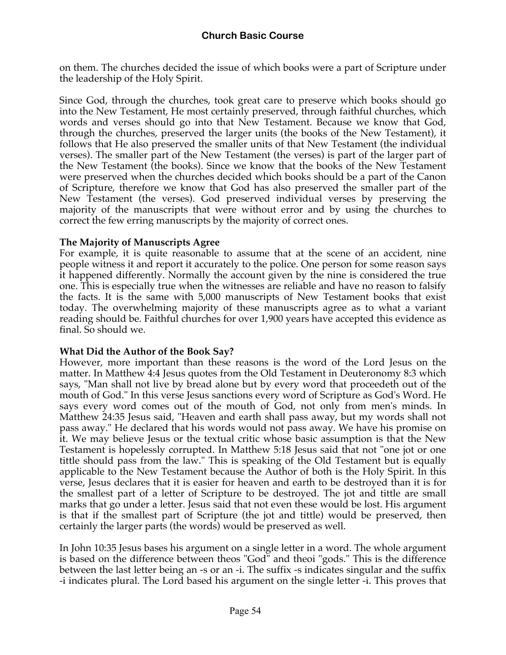on them. The churches decided the issue of which books were a part of Scripture under the leadership of the Holy Spirit.

Since God, through the churches, took great care to preserve which books should go into the New Testament, He most certainly preserved, through faithful churches, which words and verses should go into that New Testament. Because we know that God, through the churches, preserved the larger units (the books of the New Testament), it follows that He also preserved the smaller units of that New Testament (the individual verses). The smaller part of the New Testament (the verses) is part of the larger part of the New Testament (the books). Since we know that the books of the New Testament were preserved when the churches decided which books should be a part of the Canon of Scripture, therefore we know that God has also preserved the smaller part of the New Testament (the verses). God preserved individual verses by preserving the majority of the manuscripts that were without error and by using the churches to correct the few erring manuscripts by the majority of correct ones.

#### **The Majority of Manuscripts Agree**

For example, it is quite reasonable to assume that at the scene of an accident, nine people witness it and report it accurately to the police. One person for some reason says it happened differently. Normally the account given by the nine is considered the true one. This is especially true when the witnesses are reliable and have no reason to falsify the facts. It is the same with 5,000 manuscripts of New Testament books that exist today. The overwhelming majority of these manuscripts agree as to what a variant reading should be. Faithful churches for over 1,900 years have accepted this evidence as final. So should we.

### **What Did the Author of the Book Say?**

However, more important than these reasons is the word of the Lord Jesus on the matter. In Matthew 4:4 Jesus quotes from the Old Testament in Deuteronomy 8:3 which says, "Man shall not live by bread alone but by every word that proceedeth out of the mouth of God." In this verse Jesus sanctions every word of Scripture as God's Word. He says every word comes out of the mouth of God, not only from men's minds. In Matthew 24:35 Jesus said, "Heaven and earth shall pass away, but my words shall not pass away." He declared that his words would not pass away. We have his promise on it. We may believe Jesus or the textual critic whose basic assumption is that the New Testament is hopelessly corrupted. In Matthew 5:18 Jesus said that not "one jot or one tittle should pass from the law." This is speaking of the Old Testament but is equally applicable to the New Testament because the Author of both is the Holy Spirit. In this verse, Jesus declares that it is easier for heaven and earth to be destroyed than it is for the smallest part of a letter of Scripture to be destroyed. The jot and tittle are small marks that go under a letter. Jesus said that not even these would be lost. His argument is that if the smallest part of Scripture (the jot and tittle) would be preserved, then certainly the larger parts (the words) would be preserved as well.

In John 10:35 Jesus bases his argument on a single letter in a word. The whole argument is based on the difference between theos "God" and theoi "gods." This is the difference between the last letter being an -s or an -i. The suffix -s indicates singular and the suffix -i indicates plural. The Lord based his argument on the single letter -i. This proves that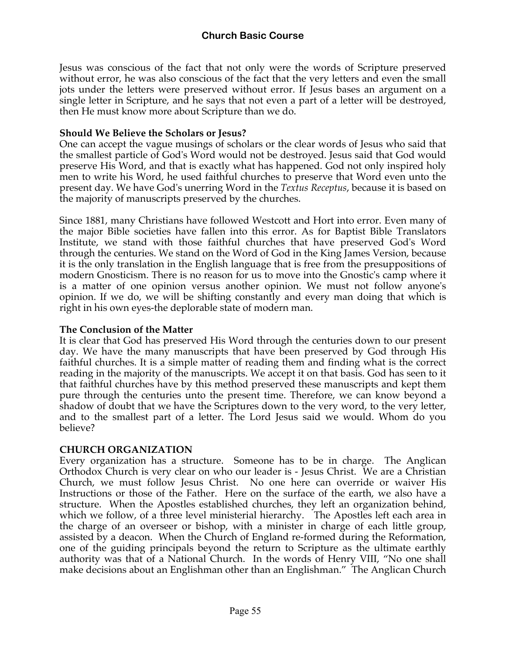Jesus was conscious of the fact that not only were the words of Scripture preserved without error, he was also conscious of the fact that the very letters and even the small jots under the letters were preserved without error. If Jesus bases an argument on a single letter in Scripture, and he says that not even a part of a letter will be destroyed, then He must know more about Scripture than we do.

#### **Should We Believe the Scholars or Jesus?**

One can accept the vague musings of scholars or the clear words of Jesus who said that the smallest particle of God's Word would not be destroyed. Jesus said that God would preserve His Word, and that is exactly what has happened. God not only inspired holy men to write his Word, he used faithful churches to preserve that Word even unto the present day. We have God's unerring Word in the *Textus Receptus*, because it is based on the majority of manuscripts preserved by the churches.

Since 1881, many Christians have followed Westcott and Hort into error. Even many of the major Bible societies have fallen into this error. As for Baptist Bible Translators Institute, we stand with those faithful churches that have preserved God's Word through the centuries. We stand on the Word of God in the King James Version, because it is the only translation in the English language that is free from the presuppositions of modern Gnosticism. There is no reason for us to move into the Gnostic's camp where it is a matter of one opinion versus another opinion. We must not follow anyone's opinion. If we do, we will be shifting constantly and every man doing that which is right in his own eyes-the deplorable state of modern man.

#### **The Conclusion of the Matter**

It is clear that God has preserved His Word through the centuries down to our present day. We have the many manuscripts that have been preserved by God through His faithful churches. It is a simple matter of reading them and finding what is the correct reading in the majority of the manuscripts. We accept it on that basis. God has seen to it that faithful churches have by this method preserved these manuscripts and kept them pure through the centuries unto the present time. Therefore, we can know beyond a shadow of doubt that we have the Scriptures down to the very word, to the very letter, and to the smallest part of a letter. The Lord Jesus said we would. Whom do you believe?

### **CHURCH ORGANIZATION**

Every organization has a structure. Someone has to be in charge. The Anglican Orthodox Church is very clear on who our leader is - Jesus Christ. We are a Christian Church, we must follow Jesus Christ. No one here can override or waiver His Instructions or those of the Father. Here on the surface of the earth, we also have a structure. When the Apostles established churches, they left an organization behind, which we follow, of a three level ministerial hierarchy. The Apostles left each area in the charge of an overseer or bishop, with a minister in charge of each little group, assisted by a deacon. When the Church of England re-formed during the Reformation, one of the guiding principals beyond the return to Scripture as the ultimate earthly authority was that of a National Church. In the words of Henry VIII, "No one shall make decisions about an Englishman other than an Englishman." The Anglican Church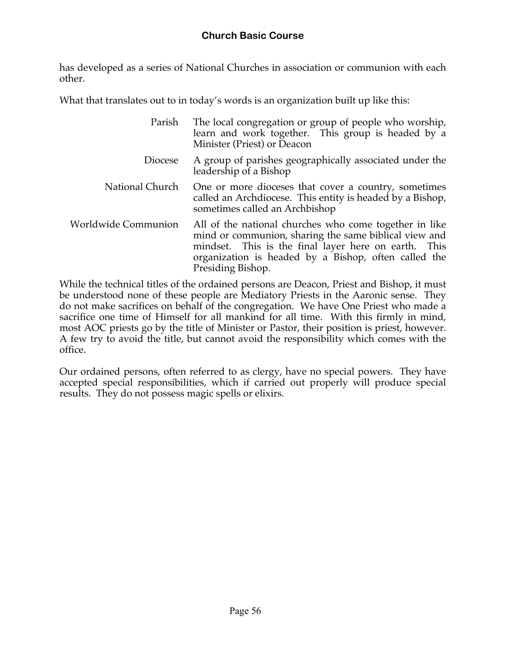has developed as a series of National Churches in association or communion with each other.

What that translates out to in today's words is an organization built up like this:

| Parish              | The local congregation or group of people who worship,<br>learn and work together. This group is headed by a<br>Minister (Priest) or Deacon                                                                                                          |
|---------------------|------------------------------------------------------------------------------------------------------------------------------------------------------------------------------------------------------------------------------------------------------|
| <b>Diocese</b>      | A group of parishes geographically associated under the<br>leadership of a Bishop                                                                                                                                                                    |
| National Church     | One or more dioceses that cover a country, sometimes<br>called an Archdiocese. This entity is headed by a Bishop,<br>sometimes called an Archbishop                                                                                                  |
| Worldwide Communion | All of the national churches who come together in like<br>mind or communion, sharing the same biblical view and<br>mindset. This is the final layer here on earth. This<br>organization is headed by a Bishop, often called the<br>Presiding Bishop. |

While the technical titles of the ordained persons are Deacon, Priest and Bishop, it must be understood none of these people are Mediatory Priests in the Aaronic sense. They do not make sacrifices on behalf of the congregation. We have One Priest who made a sacrifice one time of Himself for all mankind for all time. With this firmly in mind, most AOC priests go by the title of Minister or Pastor, their position is priest, however. A few try to avoid the title, but cannot avoid the responsibility which comes with the office.

Our ordained persons, often referred to as clergy, have no special powers. They have accepted special responsibilities, which if carried out properly will produce special results. They do not possess magic spells or elixirs.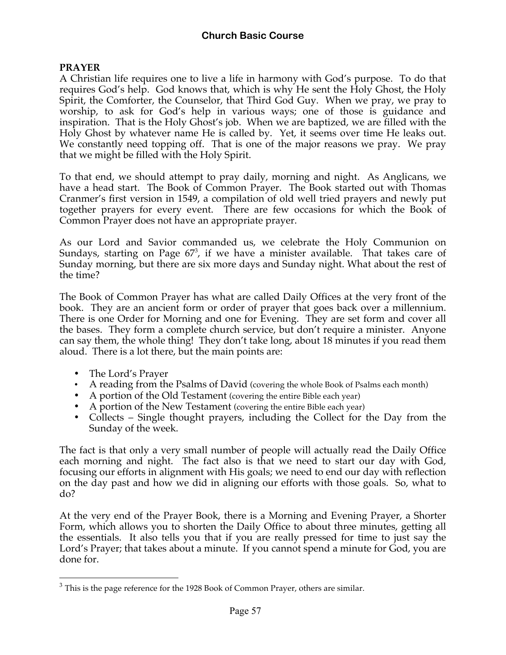# **Church Basic Course**

## **PRAYER**

A Christian life requires one to live a life in harmony with God's purpose. To do that requires God's help. God knows that, which is why He sent the Holy Ghost, the Holy Spirit, the Comforter, the Counselor, that Third God Guy. When we pray, we pray to worship, to ask for God's help in various ways; one of those is guidance and inspiration. That is the Holy Ghost's job. When we are baptized, we are filled with the Holy Ghost by whatever name He is called by. Yet, it seems over time He leaks out. We constantly need topping off. That is one of the major reasons we pray. We pray that we might be filled with the Holy Spirit.

To that end, we should attempt to pray daily, morning and night. As Anglicans, we have a head start. The Book of Common Prayer. The Book started out with Thomas Cranmer's first version in 1549, a compilation of old well tried prayers and newly put together prayers for every event. There are few occasions for which the Book of Common Prayer does not have an appropriate prayer.

As our Lord and Savior commanded us, we celebrate the Holy Communion on Sundays, starting on Page  $67^3$ , if we have a minister available. That takes care of Sunday morning, but there are six more days and Sunday night. What about the rest of the time?

The Book of Common Prayer has what are called Daily Offices at the very front of the book. They are an ancient form or order of prayer that goes back over a millennium. There is one Order for Morning and one for Evening. They are set form and cover all the bases. They form a complete church service, but don't require a minister. Anyone can say them, the whole thing! They don't take long, about 18 minutes if you read them aloud. There is a lot there, but the main points are:

- The Lord's Prayer
- A reading from the Psalms of David (covering the whole Book of Psalms each month)
- A portion of the Old Testament (covering the entire Bible each year)
- A portion of the New Testament (covering the entire Bible each year)
- Collects Single thought prayers, including the Collect for the Day from the Sunday of the week.

The fact is that only a very small number of people will actually read the Daily Office each morning and night. The fact also is that we need to start our day with God, focusing our efforts in alignment with His goals; we need to end our day with reflection on the day past and how we did in aligning our efforts with those goals. So, what to do?

At the very end of the Prayer Book, there is a Morning and Evening Prayer, a Shorter Form, which allows you to shorten the Daily Office to about three minutes, getting all the essentials. It also tells you that if you are really pressed for time to just say the Lord's Prayer; that takes about a minute. If you cannot spend a minute for God, you are done for.

 $3$  This is the page reference for the 1928 Book of Common Prayer, others are similar.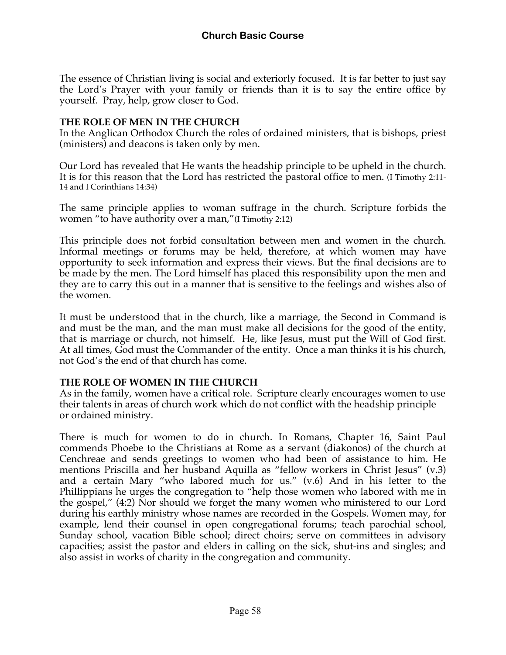The essence of Christian living is social and exteriorly focused. It is far better to just say the Lord's Prayer with your family or friends than it is to say the entire office by yourself. Pray, help, grow closer to God.

# **THE ROLE OF MEN IN THE CHURCH**

In the Anglican Orthodox Church the roles of ordained ministers, that is bishops, priest (ministers) and deacons is taken only by men.

Our Lord has revealed that He wants the headship principle to be upheld in the church. It is for this reason that the Lord has restricted the pastoral office to men. (I Timothy 2:11- 14 and I Corinthians 14:34)

The same principle applies to woman suffrage in the church. Scripture forbids the women "to have authority over a man,"(I Timothy 2:12)

This principle does not forbid consultation between men and women in the church. Informal meetings or forums may be held, therefore, at which women may have opportunity to seek information and express their views. But the final decisions are to be made by the men. The Lord himself has placed this responsibility upon the men and they are to carry this out in a manner that is sensitive to the feelings and wishes also of the women.

It must be understood that in the church, like a marriage, the Second in Command is and must be the man, and the man must make all decisions for the good of the entity, that is marriage or church, not himself. He, like Jesus, must put the Will of God first. At all times, God must the Commander of the entity. Once a man thinks it is his church, not God's the end of that church has come.

### **THE ROLE OF WOMEN IN THE CHURCH**

As in the family, women have a critical role. Scripture clearly encourages women to use their talents in areas of church work which do not conflict with the headship principle or ordained ministry.

There is much for women to do in church. In Romans, Chapter 16, Saint Paul commends Phoebe to the Christians at Rome as a servant (diakonos) of the church at Cenchreae and sends greetings to women who had been of assistance to him. He mentions Priscilla and her husband Aquilla as "fellow workers in Christ Jesus" (v.3) and a certain Mary "who labored much for us." (v.6) And in his letter to the Phillippians he urges the congregation to "help those women who labored with me in the gospel," (4:2) Nor should we forget the many women who ministered to our Lord during his earthly ministry whose names are recorded in the Gospels. Women may, for example, lend their counsel in open congregational forums; teach parochial school, Sunday school, vacation Bible school; direct choirs; serve on committees in advisory capacities; assist the pastor and elders in calling on the sick, shut-ins and singles; and also assist in works of charity in the congregation and community.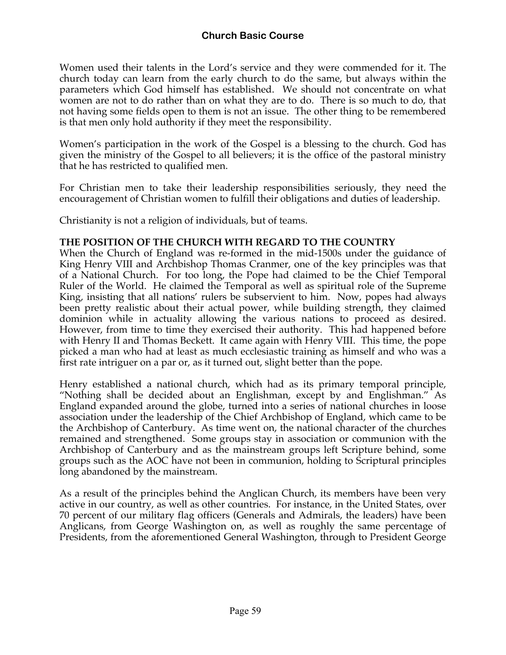Women used their talents in the Lord's service and they were commended for it. The church today can learn from the early church to do the same, but always within the parameters which God himself has established. We should not concentrate on what women are not to do rather than on what they are to do. There is so much to do, that not having some fields open to them is not an issue. The other thing to be remembered is that men only hold authority if they meet the responsibility.

Women's participation in the work of the Gospel is a blessing to the church. God has given the ministry of the Gospel to all believers; it is the office of the pastoral ministry that he has restricted to qualified men.

For Christian men to take their leadership responsibilities seriously, they need the encouragement of Christian women to fulfill their obligations and duties of leadership.

Christianity is not a religion of individuals, but of teams.

#### **THE POSITION OF THE CHURCH WITH REGARD TO THE COUNTRY**

When the Church of England was re-formed in the mid-1500s under the guidance of King Henry VIII and Archbishop Thomas Cranmer, one of the key principles was that of a National Church. For too long, the Pope had claimed to be the Chief Temporal Ruler of the World. He claimed the Temporal as well as spiritual role of the Supreme King, insisting that all nations' rulers be subservient to him. Now, popes had always been pretty realistic about their actual power, while building strength, they claimed dominion while in actuality allowing the various nations to proceed as desired. However, from time to time they exercised their authority. This had happened before with Henry II and Thomas Beckett. It came again with Henry VIII. This time, the pope picked a man who had at least as much ecclesiastic training as himself and who was a first rate intriguer on a par or, as it turned out, slight better than the pope.

Henry established a national church, which had as its primary temporal principle, "Nothing shall be decided about an Englishman, except by and Englishman." As England expanded around the globe, turned into a series of national churches in loose association under the leadership of the Chief Archbishop of England, which came to be the Archbishop of Canterbury. As time went on, the national character of the churches remained and strengthened. Some groups stay in association or communion with the Archbishop of Canterbury and as the mainstream groups left Scripture behind, some groups such as the AOC have not been in communion, holding to Scriptural principles long abandoned by the mainstream.

As a result of the principles behind the Anglican Church, its members have been very active in our country, as well as other countries. For instance, in the United States, over 70 percent of our military flag officers (Generals and Admirals, the leaders) have been Anglicans, from George Washington on, as well as roughly the same percentage of Presidents, from the aforementioned General Washington, through to President George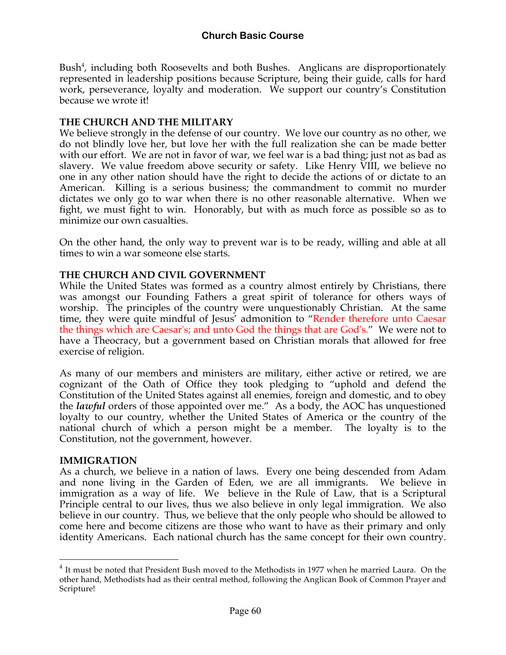Bush<sup>4</sup>, including both Roosevelts and both Bushes. Anglicans are disproportionately represented in leadership positions because Scripture, being their guide, calls for hard work, perseverance, loyalty and moderation. We support our country's Constitution because we wrote it!

## **THE CHURCH AND THE MILITARY**

We believe strongly in the defense of our country. We love our country as no other, we do not blindly love her, but love her with the full realization she can be made better with our effort. We are not in favor of war, we feel war is a bad thing; just not as bad as slavery. We value freedom above security or safety. Like Henry VIII, we believe no one in any other nation should have the right to decide the actions of or dictate to an American. Killing is a serious business; the commandment to commit no murder dictates we only go to war when there is no other reasonable alternative. When we fight, we must fight to win. Honorably, but with as much force as possible so as to minimize our own casualties.

On the other hand, the only way to prevent war is to be ready, willing and able at all times to win a war someone else starts.

### **THE CHURCH AND CIVIL GOVERNMENT**

While the United States was formed as a country almost entirely by Christians, there was amongst our Founding Fathers a great spirit of tolerance for others ways of worship. The principles of the country were unquestionably Christian. At the same time, they were quite mindful of Jesus' admonition to "Render therefore unto Caesar the things which are Caesar's; and unto God the things that are God's." We were not to have a Theocracy, but a government based on Christian morals that allowed for free exercise of religion.

As many of our members and ministers are military, either active or retired, we are cognizant of the Oath of Office they took pledging to "uphold and defend the Constitution of the United States against all enemies, foreign and domestic, and to obey the *lawful* orders of those appointed over me." As a body, the AOC has unquestioned loyalty to our country, whether the United States of America or the country of the national church of which a person might be a member. The loyalty is to the Constitution, not the government, however.

### **IMMIGRATION**

As a church, we believe in a nation of laws. Every one being descended from Adam and none living in the Garden of Eden, we are all immigrants. We believe in immigration as a way of life. We believe in the Rule of Law, that is a Scriptural Principle central to our lives, thus we also believe in only legal immigration. We also believe in our country. Thus, we believe that the only people who should be allowed to come here and become citizens are those who want to have as their primary and only identity Americans. Each national church has the same concept for their own country.

<sup>&</sup>lt;sup>4</sup> It must be noted that President Bush moved to the Methodists in 1977 when he married Laura. On the other hand, Methodists had as their central method, following the Anglican Book of Common Prayer and Scripture!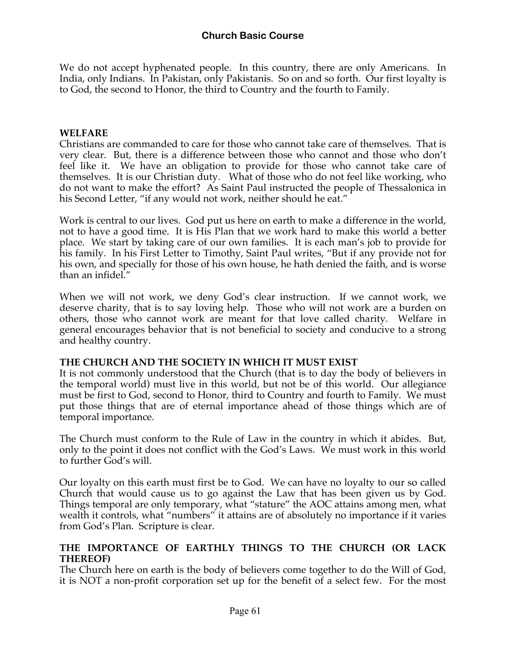We do not accept hyphenated people. In this country, there are only Americans. In India, only Indians. In Pakistan, only Pakistanis. So on and so forth. Our first loyalty is to God, the second to Honor, the third to Country and the fourth to Family.

#### **WELFARE**

Christians are commanded to care for those who cannot take care of themselves. That is very clear. But, there is a difference between those who cannot and those who don't feel like it. We have an obligation to provide for those who cannot take care of themselves. It is our Christian duty. What of those who do not feel like working, who do not want to make the effort? As Saint Paul instructed the people of Thessalonica in his Second Letter, "if any would not work, neither should he eat."

Work is central to our lives. God put us here on earth to make a difference in the world, not to have a good time. It is His Plan that we work hard to make this world a better place. We start by taking care of our own families. It is each man's job to provide for his family. In his First Letter to Timothy, Saint Paul writes, "But if any provide not for his own, and specially for those of his own house, he hath denied the faith, and is worse than an infidel."

When we will not work, we deny God's clear instruction. If we cannot work, we deserve charity, that is to say loving help. Those who will not work are a burden on others, those who cannot work are meant for that love called charity. Welfare in general encourages behavior that is not beneficial to society and conducive to a strong and healthy country.

#### **THE CHURCH AND THE SOCIETY IN WHICH IT MUST EXIST**

It is not commonly understood that the Church (that is to day the body of believers in the temporal world) must live in this world, but not be of this world. Our allegiance must be first to God, second to Honor, third to Country and fourth to Family. We must put those things that are of eternal importance ahead of those things which are of temporal importance.

The Church must conform to the Rule of Law in the country in which it abides. But, only to the point it does not conflict with the God's Laws. We must work in this world to further God's will.

Our loyalty on this earth must first be to God. We can have no loyalty to our so called Church that would cause us to go against the Law that has been given us by God. Things temporal are only temporary, what "stature" the AOC attains among men, what wealth it controls, what "numbers" it attains are of absolutely no importance if it varies from God's Plan. Scripture is clear.

### **THE IMPORTANCE OF EARTHLY THINGS TO THE CHURCH (OR LACK THEREOF)**

The Church here on earth is the body of believers come together to do the Will of God, it is NOT a non-profit corporation set up for the benefit of a select few. For the most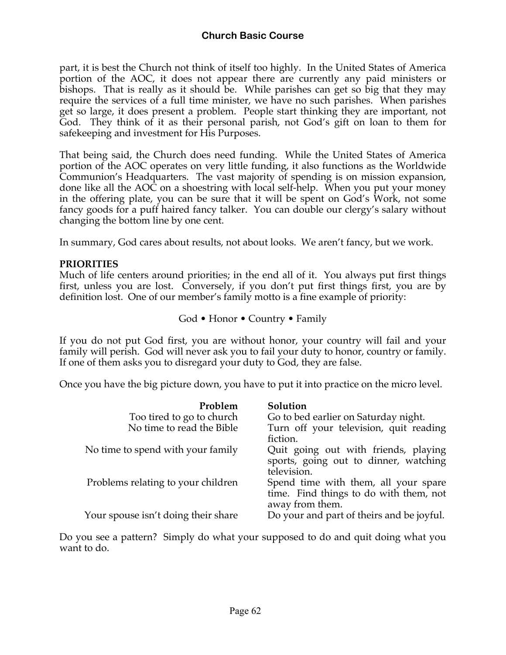part, it is best the Church not think of itself too highly. In the United States of America portion of the AOC, it does not appear there are currently any paid ministers or bishops. That is really as it should be. While parishes can get so big that they may require the services of a full time minister, we have no such parishes. When parishes get so large, it does present a problem. People start thinking they are important, not God. They think of it as their personal parish, not God's gift on loan to them for safekeeping and investment for His Purposes.

That being said, the Church does need funding. While the United States of America portion of the AOC operates on very little funding, it also functions as the Worldwide Communion's Headquarters. The vast majority of spending is on mission expansion, done like all the AOC on a shoestring with local self-help. When you put your money in the offering plate, you can be sure that it will be spent on God's Work, not some fancy goods for a puff haired fancy talker. You can double our clergy's salary without changing the bottom line by one cent.

In summary, God cares about results, not about looks. We aren't fancy, but we work.

# **PRIORITIES**

Much of life centers around priorities; in the end all of it. You always put first things first, unless you are lost. Conversely, if you don't put first things first, you are by definition lost. One of our member's family motto is a fine example of priority:

# God • Honor • Country • Family

If you do not put God first, you are without honor, your country will fail and your family will perish. God will never ask you to fail your duty to honor, country or family. If one of them asks you to disregard your duty to God, they are false.

Once you have the big picture down, you have to put it into practice on the micro level.

| Problem                             | Solution                                                                                          |
|-------------------------------------|---------------------------------------------------------------------------------------------------|
| Too tired to go to church           | Go to bed earlier on Saturday night.                                                              |
| No time to read the Bible           | Turn off your television, quit reading<br>fiction.                                                |
| No time to spend with your family   | Quit going out with friends, playing<br>sports, going out to dinner, watching<br>television.      |
| Problems relating to your children  | Spend time with them, all your spare<br>time. Find things to do with them, not<br>away from them. |
| Your spouse isn't doing their share | Do your and part of theirs and be joyful.                                                         |

Do you see a pattern? Simply do what your supposed to do and quit doing what you want to do.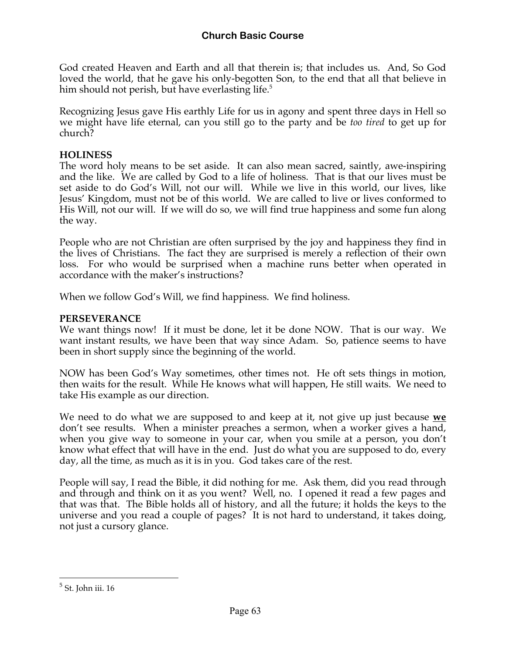God created Heaven and Earth and all that therein is; that includes us. And, So God loved the world, that he gave his only-begotten Son, to the end that all that believe in him should not perish, but have everlasting life.<sup>5</sup>

Recognizing Jesus gave His earthly Life for us in agony and spent three days in Hell so we might have life eternal, can you still go to the party and be *too tired* to get up for church?

## **HOLINESS**

The word holy means to be set aside. It can also mean sacred, saintly, awe-inspiring and the like. We are called by God to a life of holiness. That is that our lives must be set aside to do God's Will, not our will. While we live in this world, our lives, like Jesus' Kingdom, must not be of this world. We are called to live or lives conformed to His Will, not our will. If we will do so, we will find true happiness and some fun along the way.

People who are not Christian are often surprised by the joy and happiness they find in the lives of Christians. The fact they are surprised is merely a reflection of their own loss. For who would be surprised when a machine runs better when operated in accordance with the maker's instructions?

When we follow God's Will, we find happiness. We find holiness.

### **PERSEVERANCE**

We want things now! If it must be done, let it be done NOW. That is our way. We want instant results, we have been that way since Adam. So, patience seems to have been in short supply since the beginning of the world.

NOW has been God's Way sometimes, other times not. He oft sets things in motion, then waits for the result. While He knows what will happen, He still waits. We need to take His example as our direction.

We need to do what we are supposed to and keep at it, not give up just because **we** don't see results. When a minister preaches a sermon, when a worker gives a hand, when you give way to someone in your car, when you smile at a person, you don't know what effect that will have in the end. Just do what you are supposed to do, every day, all the time, as much as it is in you. God takes care of the rest.

People will say, I read the Bible, it did nothing for me. Ask them, did you read through and through and think on it as you went? Well, no. I opened it read a few pages and that was that. The Bible holds all of history, and all the future; it holds the keys to the universe and you read a couple of pages? It is not hard to understand, it takes doing, not just a cursory glance.

 $<sup>5</sup>$  St. John iii. 16</sup>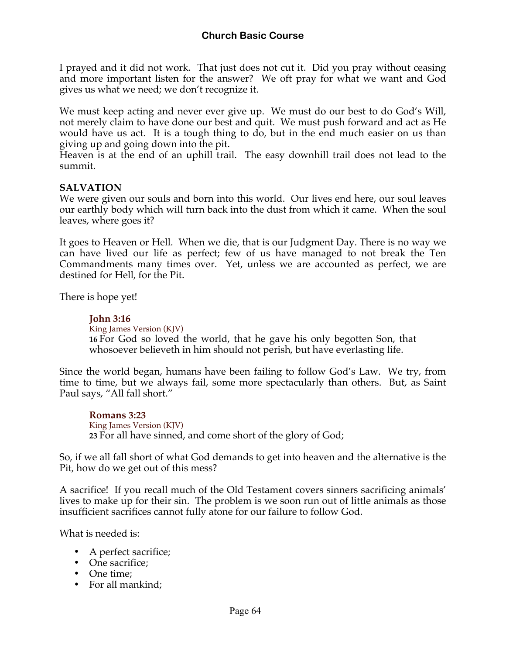I prayed and it did not work. That just does not cut it. Did you pray without ceasing and more important listen for the answer? We oft pray for what we want and God gives us what we need; we don't recognize it.

We must keep acting and never ever give up. We must do our best to do God's Will, not merely claim to have done our best and quit. We must push forward and act as He would have us act. It is a tough thing to do, but in the end much easier on us than giving up and going down into the pit.

Heaven is at the end of an uphill trail. The easy downhill trail does not lead to the summit.

#### **SALVATION**

We were given our souls and born into this world. Our lives end here, our soul leaves our earthly body which will turn back into the dust from which it came. When the soul leaves, where goes it?

It goes to Heaven or Hell. When we die, that is our Judgment Day. There is no way we can have lived our life as perfect; few of us have managed to not break the Ten Commandments many times over. Yet, unless we are accounted as perfect, we are destined for Hell, for the Pit.

There is hope yet!

#### **John 3:16**

King James Version (KJV)

**16** For God so loved the world, that he gave his only begotten Son, that whosoever believeth in him should not perish, but have everlasting life.

Since the world began, humans have been failing to follow God's Law. We try, from time to time, but we always fail, some more spectacularly than others. But, as Saint Paul says, "All fall short."

#### **Romans 3:23** King James Version (KJV) **23** For all have sinned, and come short of the glory of God;

So, if we all fall short of what God demands to get into heaven and the alternative is the Pit, how do we get out of this mess?

A sacrifice! If you recall much of the Old Testament covers sinners sacrificing animals' lives to make up for their sin. The problem is we soon run out of little animals as those insufficient sacrifices cannot fully atone for our failure to follow God.

What is needed is:

- A perfect sacrifice;
- One sacrifice;
- One time:
- For all mankind;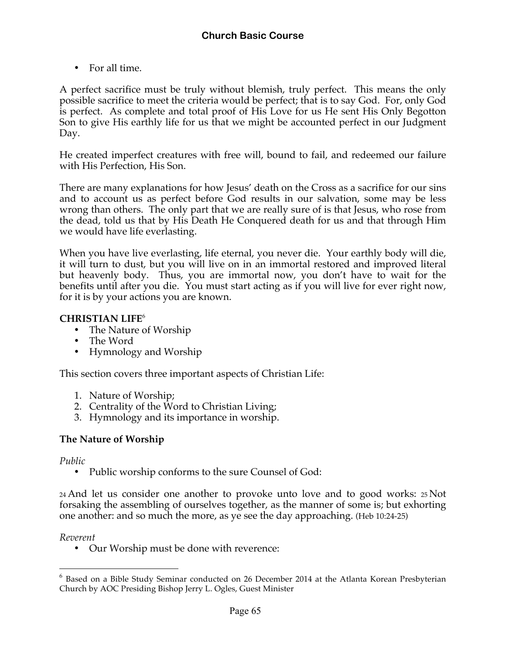• For all time.

A perfect sacrifice must be truly without blemish, truly perfect. This means the only possible sacrifice to meet the criteria would be perfect; that is to say God. For, only God is perfect. As complete and total proof of His Love for us He sent His Only Begotton Son to give His earthly life for us that we might be accounted perfect in our Judgment Day.

He created imperfect creatures with free will, bound to fail, and redeemed our failure with His Perfection, His Son.

There are many explanations for how Jesus' death on the Cross as a sacrifice for our sins and to account us as perfect before God results in our salvation, some may be less wrong than others. The only part that we are really sure of is that Jesus, who rose from the dead, told us that by His Death He Conquered death for us and that through Him we would have life everlasting.

When you have live everlasting, life eternal, you never die. Your earthly body will die, it will turn to dust, but you will live on in an immortal restored and improved literal but heavenly body. Thus, you are immortal now, you don't have to wait for the benefits until after you die. You must start acting as if you will live for ever right now, for it is by your actions you are known.

# **CHRISTIAN LIFE**<sup>6</sup>

- The Nature of Worship
- The Word
- Hymnology and Worship

This section covers three important aspects of Christian Life:

- 1. Nature of Worship;
- 2. Centrality of the Word to Christian Living;
- 3. Hymnology and its importance in worship.

# **The Nature of Worship**

### *Public*

Public worship conforms to the sure Counsel of God:

<sup>24</sup> And let us consider one another to provoke unto love and to good works: 25 Not forsaking the assembling of ourselves together, as the manner of some is; but exhorting one another: and so much the more, as ye see the day approaching. (Heb 10:24-25)

### *Reverent*

• Our Worship must be done with reverence:

<sup>&</sup>lt;sup>6</sup> Based on a Bible Study Seminar conducted on 26 December 2014 at the Atlanta Korean Presbyterian Church by AOC Presiding Bishop Jerry L. Ogles, Guest Minister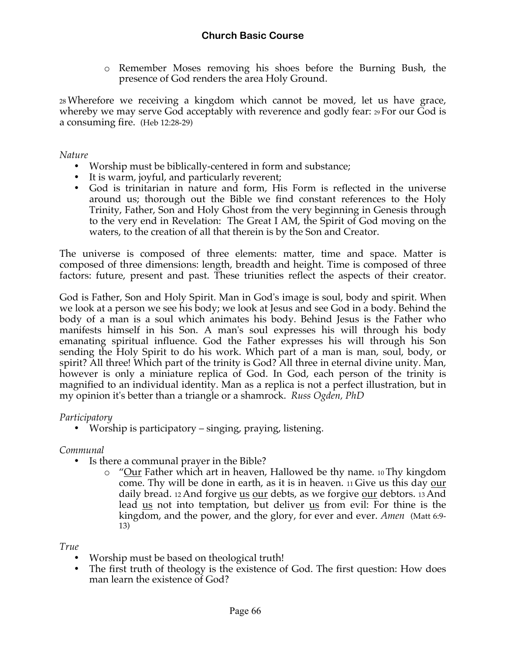o Remember Moses removing his shoes before the Burning Bush, the presence of God renders the area Holy Ground.

<sup>28</sup> Wherefore we receiving a kingdom which cannot be moved, let us have grace, whereby we may serve God acceptably with reverence and godly fear: 29 For our God is a consuming fire. (Heb 12:28-29)

*Nature*

- Worship must be biblically-centered in form and substance;
- It is warm, joyful, and particularly reverent;
- God is trinitarian in nature and form, His Form is reflected in the universe around us; thorough out the Bible we find constant references to the Holy Trinity, Father, Son and Holy Ghost from the very beginning in Genesis through to the very end in Revelation: The Great I AM, the Spirit of God moving on the waters, to the creation of all that therein is by the Son and Creator.

The universe is composed of three elements: matter, time and space. Matter is composed of three dimensions: length, breadth and height. Time is composed of three factors: future, present and past. These triunities reflect the aspects of their creator.

God is Father, Son and Holy Spirit. Man in God's image is soul, body and spirit. When we look at a person we see his body; we look at Jesus and see God in a body. Behind the body of a man is a soul which animates his body. Behind Jesus is the Father who manifests himself in his Son. A man's soul expresses his will through his body emanating spiritual influence. God the Father expresses his will through his Son sending the Holy Spirit to do his work. Which part of a man is man, soul, body, or spirit? All three! Which part of the trinity is God? All three in eternal divine unity. Man, however is only a miniature replica of God. In God, each person of the trinity is magnified to an individual identity. Man as a replica is not a perfect illustration, but in my opinion it's better than a triangle or a shamrock. *Russ Ogden, PhD*

#### *Participatory*

• Worship is participatory – singing, praying, listening.

*Communal*

- Is there a communal prayer in the Bible?
	- o "Our Father which art in heaven, Hallowed be thy name. 10 Thy kingdom come. Thy will be done in earth, as it is in heaven. 11 Give us this day our daily bread. 12 And forgive us our debts, as we forgive our debtors. 13 And lead us not into temptation, but deliver us from evil: For thine is the kingdom, and the power, and the glory, for ever and ever. *Amen* (Matt 6:9- 13)

*True*

- Worship must be based on theological truth!
- The first truth of theology is the existence of God. The first question: How does man learn the existence of God?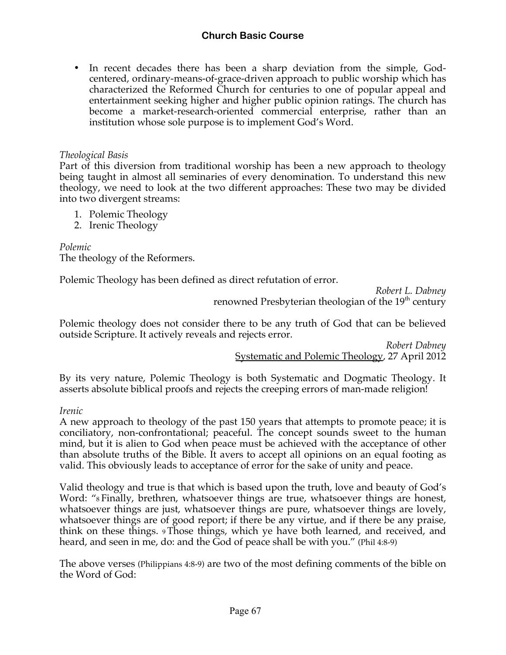• In recent decades there has been a sharp deviation from the simple, Godcentered, ordinary-means-of-grace-driven approach to public worship which has characterized the Reformed Church for centuries to one of popular appeal and entertainment seeking higher and higher public opinion ratings. The church has become a market-research-oriented commercial enterprise, rather than an institution whose sole purpose is to implement God's Word.

## *Theological Basis*

Part of this diversion from traditional worship has been a new approach to theology being taught in almost all seminaries of every denomination. To understand this new theology, we need to look at the two different approaches: These two may be divided into two divergent streams:

- 1. Polemic Theology
- 2. Irenic Theology

*Polemic*

The theology of the Reformers.

Polemic Theology has been defined as direct refutation of error.

*Robert L. Dabney* renowned Presbyterian theologian of the  $19<sup>th</sup>$  century

Polemic theology does not consider there to be any truth of God that can be believed outside Scripture. It actively reveals and rejects error.

> *Robert Dabney* Systematic and Polemic Theology, 27 April 2012

By its very nature, Polemic Theology is both Systematic and Dogmatic Theology. It asserts absolute biblical proofs and rejects the creeping errors of man-made religion!

### *Irenic*

A new approach to theology of the past 150 years that attempts to promote peace; it is conciliatory, non-confrontational; peaceful. The concept sounds sweet to the human mind, but it is alien to God when peace must be achieved with the acceptance of other than absolute truths of the Bible. It avers to accept all opinions on an equal footing as valid. This obviously leads to acceptance of error for the sake of unity and peace.

Valid theology and true is that which is based upon the truth, love and beauty of God's Word: "8 Finally, brethren, whatsoever things are true, whatsoever things are honest, whatsoever things are just, whatsoever things are pure, whatsoever things are lovely, whatsoever things are of good report; if there be any virtue, and if there be any praise, think on these things. 9 Those things, which ye have both learned, and received, and heard, and seen in me, do: and the God of peace shall be with you." (Phil 4:8-9)

The above verses (Philippians 4:8-9) are two of the most defining comments of the bible on the Word of God: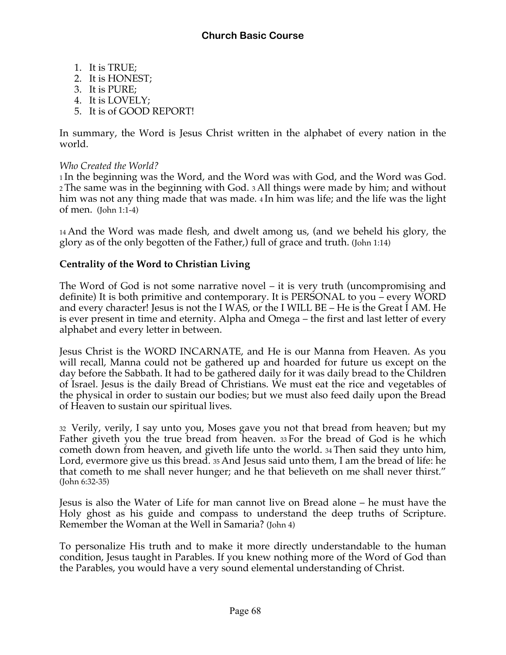- 1. It is TRUE;
- 2. It is HONEST;
- 3. It is PURE;
- 4. It is LOVELY;
- 5. It is of GOOD REPORT!

In summary, the Word is Jesus Christ written in the alphabet of every nation in the world.

# *Who Created the World?*

<sup>1</sup> In the beginning was the Word, and the Word was with God, and the Word was God. <sup>2</sup> The same was in the beginning with God. 3 All things were made by him; and without him was not any thing made that was made. 4 In him was life; and the life was the light of men. (John 1:1-4)

<sup>14</sup> And the Word was made flesh, and dwelt among us, (and we beheld his glory, the glory as of the only begotten of the Father,) full of grace and truth. (John 1:14)

# **Centrality of the Word to Christian Living**

The Word of God is not some narrative novel – it is very truth (uncompromising and definite) It is both primitive and contemporary. It is PERSONAL to you – every WORD and every character! Jesus is not the I WAS, or the I WILL BE – He is the Great I AM. He is ever present in time and eternity. Alpha and Omega – the first and last letter of every alphabet and every letter in between.

Jesus Christ is the WORD INCARNATE, and He is our Manna from Heaven. As you will recall, Manna could not be gathered up and hoarded for future us except on the day before the Sabbath. It had to be gathered daily for it was daily bread to the Children of Israel. Jesus is the daily Bread of Christians. We must eat the rice and vegetables of the physical in order to sustain our bodies; but we must also feed daily upon the Bread of Heaven to sustain our spiritual lives.

32 Verily, verily, I say unto you, Moses gave you not that bread from heaven; but my Father giveth you the true bread from heaven. 33 For the bread of God is he which cometh down from heaven, and giveth life unto the world. 34 Then said they unto him, Lord, evermore give us this bread. 35 And Jesus said unto them, I am the bread of life: he that cometh to me shall never hunger; and he that believeth on me shall never thirst." (John 6:32-35)

Jesus is also the Water of Life for man cannot live on Bread alone – he must have the Holy ghost as his guide and compass to understand the deep truths of Scripture. Remember the Woman at the Well in Samaria? (John 4)

To personalize His truth and to make it more directly understandable to the human condition, Jesus taught in Parables. If you knew nothing more of the Word of God than the Parables, you would have a very sound elemental understanding of Christ.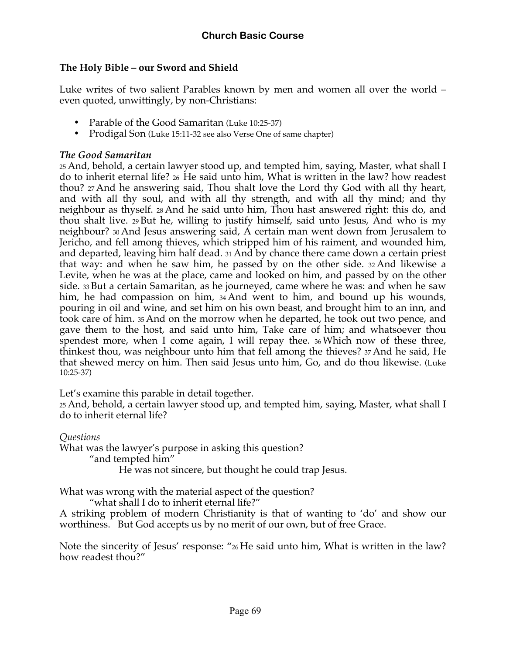# **The Holy Bible – our Sword and Shield**

Luke writes of two salient Parables known by men and women all over the world – even quoted, unwittingly, by non-Christians:

- Parable of the Good Samaritan (Luke 10:25-37)
- Prodigal Son (Luke 15:11-32 see also Verse One of same chapter)

# *The Good Samaritan*

<sup>25</sup> And, behold, a certain lawyer stood up, and tempted him, saying, Master, what shall I do to inherit eternal life? 26 He said unto him, What is written in the law? how readest thou? 27 And he answering said, Thou shalt love the Lord thy God with all thy heart, and with all thy soul, and with all thy strength, and with all thy mind; and thy neighbour as thyself. 28 And he said unto him, Thou hast answered right: this do, and thou shalt live. 29 But he, willing to justify himself, said unto Jesus, And who is my neighbour? 30 And Jesus answering said, A certain man went down from Jerusalem to Jericho, and fell among thieves, which stripped him of his raiment, and wounded him, and departed, leaving him half dead. 31 And by chance there came down a certain priest that way: and when he saw him, he passed by on the other side. 32 And likewise a Levite, when he was at the place, came and looked on him, and passed by on the other side. 33 But a certain Samaritan, as he journeyed, came where he was: and when he saw him, he had compassion on him, 34 And went to him, and bound up his wounds, pouring in oil and wine, and set him on his own beast, and brought him to an inn, and took care of him. 35 And on the morrow when he departed, he took out two pence, and gave them to the host, and said unto him, Take care of him; and whatsoever thou spendest more, when I come again, I will repay thee. 36 Which now of these three, thinkest thou, was neighbour unto him that fell among the thieves? 37 And he said, He that shewed mercy on him. Then said Jesus unto him, Go, and do thou likewise. (Luke 10:25-37)

Let's examine this parable in detail together.

<sup>25</sup> And, behold, a certain lawyer stood up, and tempted him, saying, Master, what shall I do to inherit eternal life?

*Questions*

What was the lawyer's purpose in asking this question? "and tempted him" He was not sincere, but thought he could trap Jesus.

What was wrong with the material aspect of the question?

"what shall I do to inherit eternal life?"

A striking problem of modern Christianity is that of wanting to 'do' and show our worthiness. But God accepts us by no merit of our own, but of free Grace.

Note the sincerity of Jesus' response: "26 He said unto him, What is written in the law? how readest thou?"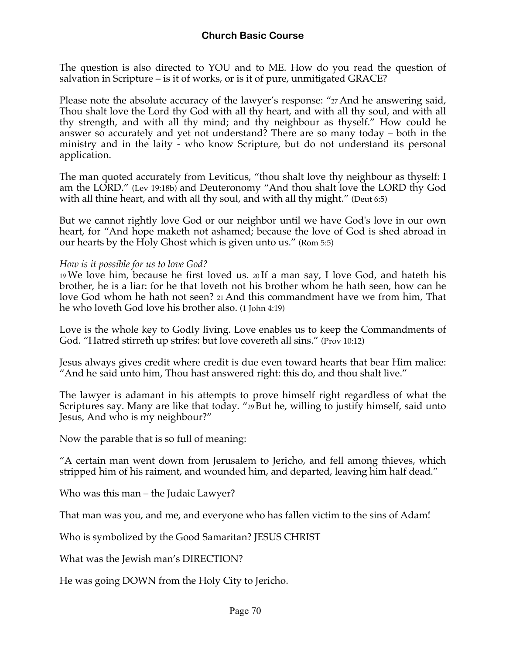The question is also directed to YOU and to ME. How do you read the question of salvation in Scripture – is it of works, or is it of pure, unmitigated GRACE?

Please note the absolute accuracy of the lawyer's response: "27 And he answering said, Thou shalt love the Lord thy God with all thy heart, and with all thy soul, and with all thy strength, and with all thy mind; and thy neighbour as thyself." How could he answer so accurately and yet not understand? There are so many today – both in the ministry and in the laity - who know Scripture, but do not understand its personal application.

The man quoted accurately from Leviticus, "thou shalt love thy neighbour as thyself: I am the LORD." (Lev 19:18b) and Deuteronomy "And thou shalt love the LORD thy God with all thine heart, and with all thy soul, and with all thy might." (Deut 6:5)

But we cannot rightly love God or our neighbor until we have God's love in our own heart, for "And hope maketh not ashamed; because the love of God is shed abroad in our hearts by the Holy Ghost which is given unto us." (Rom 5:5)

*How is it possible for us to love God?*

<sup>19</sup> We love him, because he first loved us. 20 If a man say, I love God, and hateth his brother, he is a liar: for he that loveth not his brother whom he hath seen, how can he love God whom he hath not seen? 21 And this commandment have we from him, That he who loveth God love his brother also. (1 John 4:19)

Love is the whole key to Godly living. Love enables us to keep the Commandments of God. "Hatred stirreth up strifes: but love covereth all sins." (Prov 10:12)

Jesus always gives credit where credit is due even toward hearts that bear Him malice: "And he said unto him, Thou hast answered right: this do, and thou shalt live."

The lawyer is adamant in his attempts to prove himself right regardless of what the Scriptures say. Many are like that today. "29 But he, willing to justify himself, said unto Jesus, And who is my neighbour?"

Now the parable that is so full of meaning:

"A certain man went down from Jerusalem to Jericho, and fell among thieves, which stripped him of his raiment, and wounded him, and departed, leaving him half dead."

Who was this man – the Judaic Lawyer?

That man was you, and me, and everyone who has fallen victim to the sins of Adam!

Who is symbolized by the Good Samaritan? JESUS CHRIST

What was the Jewish man's DIRECTION?

He was going DOWN from the Holy City to Jericho.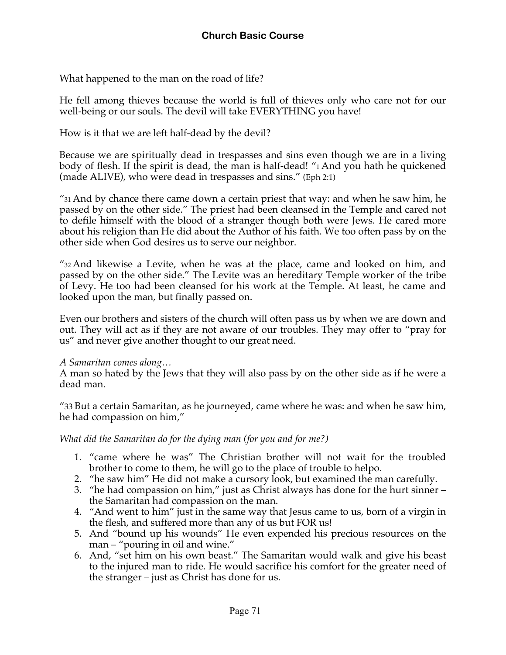What happened to the man on the road of life?

He fell among thieves because the world is full of thieves only who care not for our well-being or our souls. The devil will take EVERYTHING you have!

How is it that we are left half-dead by the devil?

Because we are spiritually dead in trespasses and sins even though we are in a living body of flesh. If the spirit is dead, the man is half-dead! "1 And you hath he quickened (made ALIVE), who were dead in trespasses and sins." (Eph 2:1)

"31 And by chance there came down a certain priest that way: and when he saw him, he passed by on the other side." The priest had been cleansed in the Temple and cared not to defile himself with the blood of a stranger though both were Jews. He cared more about his religion than He did about the Author of his faith. We too often pass by on the other side when God desires us to serve our neighbor.

"32 And likewise a Levite, when he was at the place, came and looked on him, and passed by on the other side." The Levite was an hereditary Temple worker of the tribe of Levy. He too had been cleansed for his work at the Temple. At least, he came and looked upon the man, but finally passed on.

Even our brothers and sisters of the church will often pass us by when we are down and out. They will act as if they are not aware of our troubles. They may offer to "pray for us" and never give another thought to our great need.

### *A Samaritan comes along…*

A man so hated by the Jews that they will also pass by on the other side as if he were a dead man.

"33 But a certain Samaritan, as he journeyed, came where he was: and when he saw him, he had compassion on him,"

*What did the Samaritan do for the dying man (for you and for me?)* 

- 1. "came where he was" The Christian brother will not wait for the troubled brother to come to them, he will go to the place of trouble to helpo.
- 2. "he saw him" He did not make a cursory look, but examined the man carefully.
- 3. "he had compassion on him," just as Christ always has done for the hurt sinner the Samaritan had compassion on the man.
- 4. "And went to him" just in the same way that Jesus came to us, born of a virgin in the flesh, and suffered more than any of us but FOR us!
- 5. And "bound up his wounds" He even expended his precious resources on the man – "pouring in oil and wine."
- 6. And, "set him on his own beast." The Samaritan would walk and give his beast to the injured man to ride. He would sacrifice his comfort for the greater need of the stranger – just as Christ has done for us.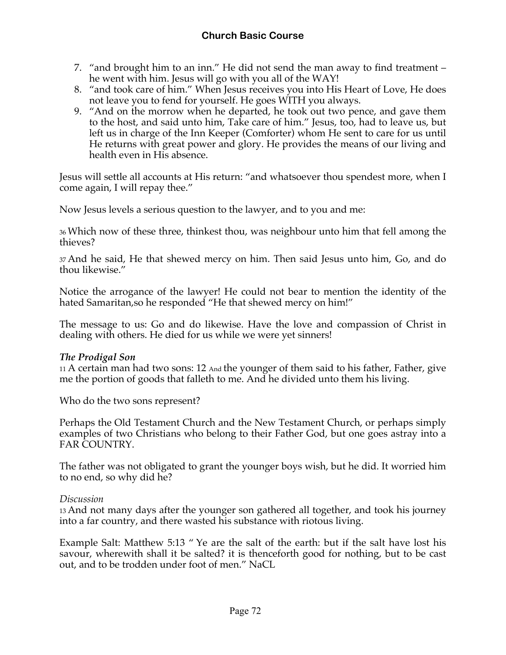- 7. "and brought him to an inn." He did not send the man away to find treatment he went with him. Jesus will go with you all of the WAY!
- 8. "and took care of him." When Jesus receives you into His Heart of Love, He does not leave you to fend for yourself. He goes WITH you always.
- 9. "And on the morrow when he departed, he took out two pence, and gave them to the host, and said unto him, Take care of him." Jesus, too, had to leave us, but left us in charge of the Inn Keeper (Comforter) whom He sent to care for us until He returns with great power and glory. He provides the means of our living and health even in His absence.

Jesus will settle all accounts at His return: "and whatsoever thou spendest more, when I come again, I will repay thee."

Now Jesus levels a serious question to the lawyer, and to you and me:

<sup>36</sup> Which now of these three, thinkest thou, was neighbour unto him that fell among the thieves?

<sup>37</sup> And he said, He that shewed mercy on him. Then said Jesus unto him, Go, and do thou likewise."

Notice the arrogance of the lawyer! He could not bear to mention the identity of the hated Samaritan,so he responded "He that shewed mercy on him!"

The message to us: Go and do likewise. Have the love and compassion of Christ in dealing with others. He died for us while we were yet sinners!

### *The Prodigal Son*

11 A certain man had two sons: 12 And the younger of them said to his father, Father, give me the portion of goods that falleth to me. And he divided unto them his living.

Who do the two sons represent?

Perhaps the Old Testament Church and the New Testament Church, or perhaps simply examples of two Christians who belong to their Father God, but one goes astray into a FAR COUNTRY.

The father was not obligated to grant the younger boys wish, but he did. It worried him to no end, so why did he?

### *Discussion*

<sup>13</sup> And not many days after the younger son gathered all together, and took his journey into a far country, and there wasted his substance with riotous living.

Example Salt: Matthew 5:13 " Ye are the salt of the earth: but if the salt have lost his savour, wherewith shall it be salted? it is thenceforth good for nothing, but to be cast out, and to be trodden under foot of men." NaCL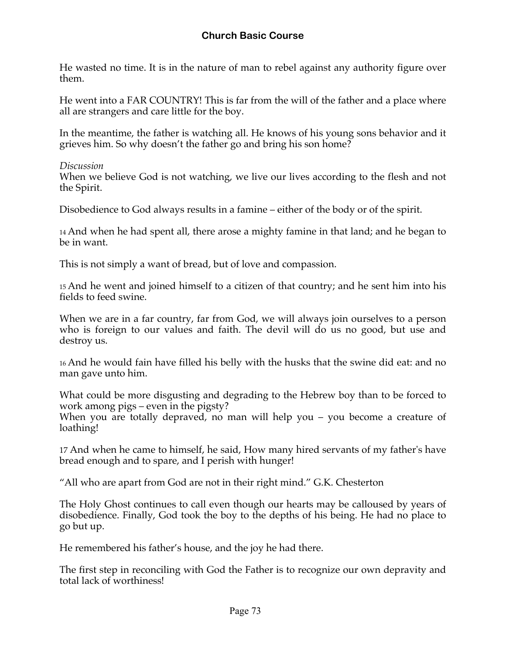He wasted no time. It is in the nature of man to rebel against any authority figure over them.

He went into a FAR COUNTRY! This is far from the will of the father and a place where all are strangers and care little for the boy.

In the meantime, the father is watching all. He knows of his young sons behavior and it grieves him. So why doesn't the father go and bring his son home?

*Discussion*

When we believe God is not watching, we live our lives according to the flesh and not the Spirit.

Disobedience to God always results in a famine – either of the body or of the spirit.

<sup>14</sup> And when he had spent all, there arose a mighty famine in that land; and he began to be in want.

This is not simply a want of bread, but of love and compassion.

<sup>15</sup> And he went and joined himself to a citizen of that country; and he sent him into his fields to feed swine.

When we are in a far country, far from God, we will always join ourselves to a person who is foreign to our values and faith. The devil will do us no good, but use and destroy us.

<sup>16</sup> And he would fain have filled his belly with the husks that the swine did eat: and no man gave unto him.

What could be more disgusting and degrading to the Hebrew boy than to be forced to work among pigs – even in the pigsty?

When you are totally depraved, no man will help you – you become a creature of loathing!

17 And when he came to himself, he said, How many hired servants of my father's have bread enough and to spare, and I perish with hunger!

"All who are apart from God are not in their right mind." G.K. Chesterton

The Holy Ghost continues to call even though our hearts may be calloused by years of disobedience. Finally, God took the boy to the depths of his being. He had no place to go but up.

He remembered his father's house, and the joy he had there.

The first step in reconciling with God the Father is to recognize our own depravity and total lack of worthiness!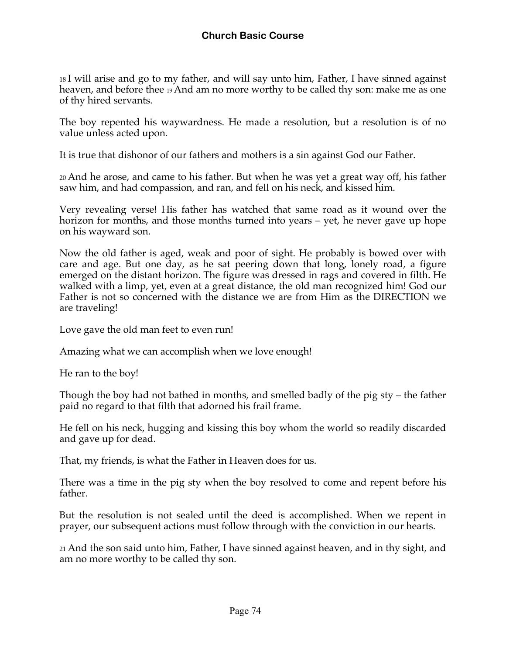<sup>18</sup> I will arise and go to my father, and will say unto him, Father, I have sinned against heaven, and before thee 19And am no more worthy to be called thy son: make me as one of thy hired servants.

The boy repented his waywardness. He made a resolution, but a resolution is of no value unless acted upon.

It is true that dishonor of our fathers and mothers is a sin against God our Father.

<sup>20</sup> And he arose, and came to his father. But when he was yet a great way off, his father saw him, and had compassion, and ran, and fell on his neck, and kissed him.

Very revealing verse! His father has watched that same road as it wound over the horizon for months, and those months turned into years – yet, he never gave up hope on his wayward son.

Now the old father is aged, weak and poor of sight. He probably is bowed over with care and age. But one day, as he sat peering down that long, lonely road, a figure emerged on the distant horizon. The figure was dressed in rags and covered in filth. He walked with a limp, yet, even at a great distance, the old man recognized him! God our Father is not so concerned with the distance we are from Him as the DIRECTION we are traveling!

Love gave the old man feet to even run!

Amazing what we can accomplish when we love enough!

He ran to the boy!

Though the boy had not bathed in months, and smelled badly of the pig sty – the father paid no regard to that filth that adorned his frail frame.

He fell on his neck, hugging and kissing this boy whom the world so readily discarded and gave up for dead.

That, my friends, is what the Father in Heaven does for us.

There was a time in the pig sty when the boy resolved to come and repent before his father.

But the resolution is not sealed until the deed is accomplished. When we repent in prayer, our subsequent actions must follow through with the conviction in our hearts.

<sup>21</sup> And the son said unto him, Father, I have sinned against heaven, and in thy sight, and am no more worthy to be called thy son.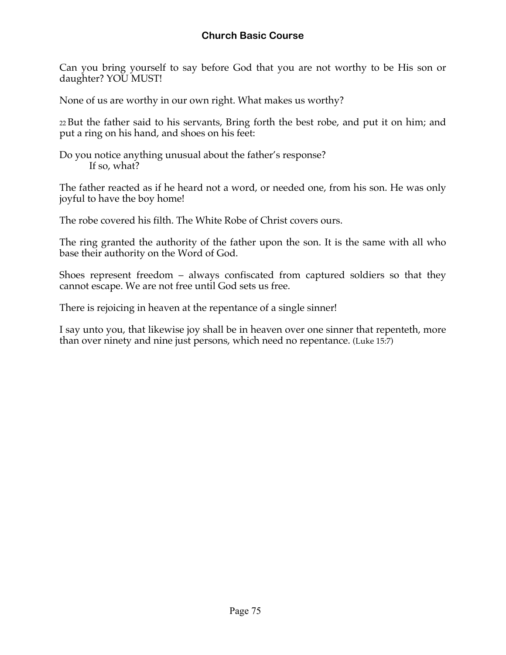Can you bring yourself to say before God that you are not worthy to be His son or daughter? YOU MUST!

None of us are worthy in our own right. What makes us worthy?

<sup>22</sup> But the father said to his servants, Bring forth the best robe, and put it on him; and put a ring on his hand, and shoes on his feet:

Do you notice anything unusual about the father's response? If so, what?

The father reacted as if he heard not a word, or needed one, from his son. He was only joyful to have the boy home!

The robe covered his filth. The White Robe of Christ covers ours.

The ring granted the authority of the father upon the son. It is the same with all who base their authority on the Word of God.

Shoes represent freedom – always confiscated from captured soldiers so that they cannot escape. We are not free until God sets us free.

There is rejoicing in heaven at the repentance of a single sinner!

I say unto you, that likewise joy shall be in heaven over one sinner that repenteth, more than over ninety and nine just persons, which need no repentance. (Luke 15:7)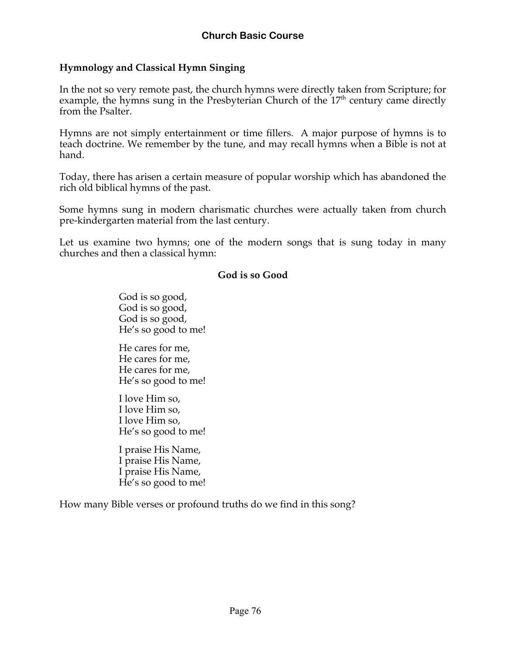# **Hymnology and Classical Hymn Singing**

In the not so very remote past, the church hymns were directly taken from Scripture; for example, the hymns sung in the Presbyterian Church of the  $17<sup>th</sup>$  century came directly from the Psalter.

Hymns are not simply entertainment or time fillers. A major purpose of hymns is to teach doctrine. We remember by the tune, and may recall hymns when a Bible is not at hand.

Today, there has arisen a certain measure of popular worship which has abandoned the rich old biblical hymns of the past.

Some hymns sung in modern charismatic churches were actually taken from church pre-kindergarten material from the last century.

Let us examine two hymns; one of the modern songs that is sung today in many churches and then a classical hymn:

## **God is so Good**

God is so good, God is so good, God is so good, He's so good to me!

He cares for me, He cares for me, He cares for me, He's so good to me!

I love Him so, I love Him so, I love Him so, He's so good to me!

I praise His Name, I praise His Name, I praise His Name, He's so good to me!

How many Bible verses or profound truths do we find in this song?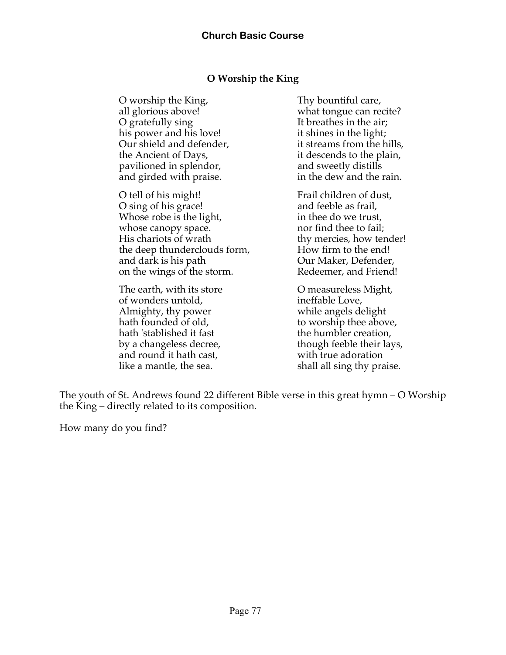# **O Worship the King**

O worship the King, Thy bountiful care, all glorious above! what tongue can recite? O gratefully sing It breathes in the air; his power and his love! it shines in the light; Our shield and defender, it streams from the hills, the Ancient of Days, it descends to the plain, pavilioned in splendor, and sweetly distills and girded with praise. in the dew and the rain.

O tell of his might! Frail children of dust, O sing of his grace! and feeble as frail, Whose robe is the light, in thee do we trust, whose canopy space. nor find thee to fail; His chariots of wrath thy mercies, how tender! the deep thunderclouds form, How firm to the end! and dark is his path Our Maker, Defender, on the wings of the storm. Redeemer, and Friend!

The earth, with its store **O** measureless Might, of wonders untold, ineffable Love, Almighty, thy power while angels delight hath founded of old, to worship thee above, hath 'stablished it fast the humbler creation, and round it hath cast, with true adoration like a mantle, the sea. shall all sing thy praise.

by a changeless decree, though feeble their lays,

The youth of St. Andrews found 22 different Bible verse in this great hymn – O Worship the King – directly related to its composition.

How many do you find?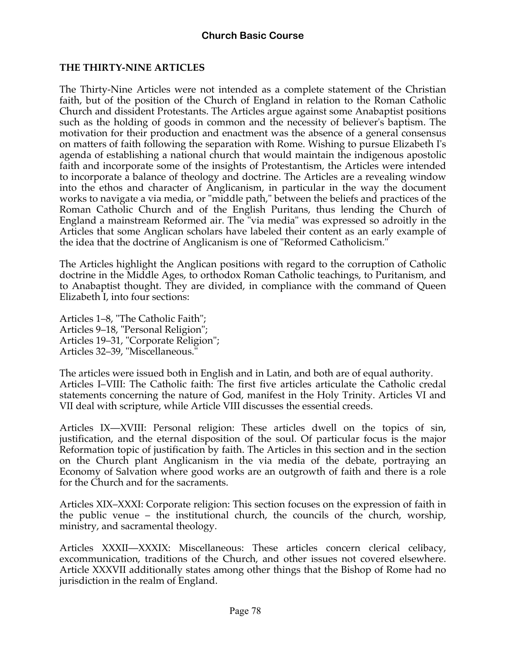# **THE THIRTY-NINE ARTICLES**

The Thirty-Nine Articles were not intended as a complete statement of the Christian faith, but of the position of the Church of England in relation to the Roman Catholic Church and dissident Protestants. The Articles argue against some Anabaptist positions such as the holding of goods in common and the necessity of believer's baptism. The motivation for their production and enactment was the absence of a general consensus on matters of faith following the separation with Rome. Wishing to pursue Elizabeth I's agenda of establishing a national church that would maintain the indigenous apostolic faith and incorporate some of the insights of Protestantism, the Articles were intended to incorporate a balance of theology and doctrine. The Articles are a revealing window into the ethos and character of Anglicanism, in particular in the way the document works to navigate a via media, or "middle path," between the beliefs and practices of the Roman Catholic Church and of the English Puritans, thus lending the Church of England a mainstream Reformed air. The "via media" was expressed so adroitly in the Articles that some Anglican scholars have labeled their content as an early example of the idea that the doctrine of Anglicanism is one of "Reformed Catholicism."

The Articles highlight the Anglican positions with regard to the corruption of Catholic doctrine in the Middle Ages, to orthodox Roman Catholic teachings, to Puritanism, and to Anabaptist thought. They are divided, in compliance with the command of Queen Elizabeth I, into four sections:

Articles 1–8, "The Catholic Faith"; Articles 9–18, "Personal Religion"; Articles 19–31, "Corporate Religion"; Articles 32–39, "Miscellaneous."

The articles were issued both in English and in Latin, and both are of equal authority. Articles I–VIII: The Catholic faith: The first five articles articulate the Catholic credal statements concerning the nature of God, manifest in the Holy Trinity. Articles VI and VII deal with scripture, while Article VIII discusses the essential creeds.

Articles IX—XVIII: Personal religion: These articles dwell on the topics of sin, justification, and the eternal disposition of the soul. Of particular focus is the major Reformation topic of justification by faith. The Articles in this section and in the section on the Church plant Anglicanism in the via media of the debate, portraying an Economy of Salvation where good works are an outgrowth of faith and there is a role for the Church and for the sacraments.

Articles XIX–XXXI: Corporate religion: This section focuses on the expression of faith in the public venue – the institutional church, the councils of the church, worship, ministry, and sacramental theology.

Articles XXXII—XXXIX: Miscellaneous: These articles concern clerical celibacy, excommunication, traditions of the Church, and other issues not covered elsewhere. Article XXXVII additionally states among other things that the Bishop of Rome had no jurisdiction in the realm of England.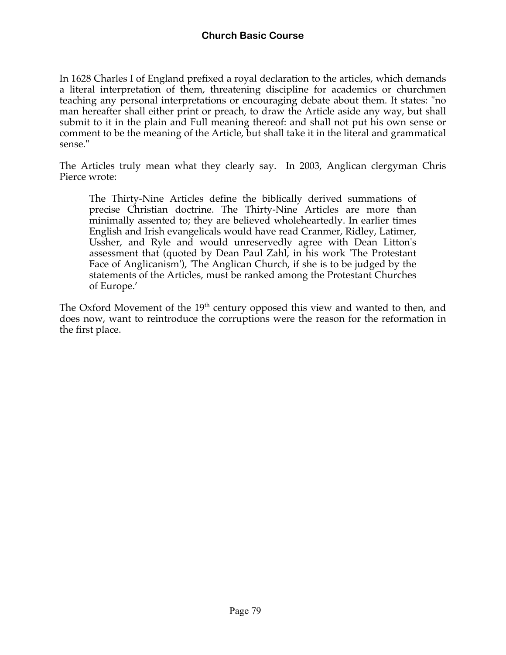In 1628 Charles I of England prefixed a royal declaration to the articles, which demands a literal interpretation of them, threatening discipline for academics or churchmen teaching any personal interpretations or encouraging debate about them. It states: "no man hereafter shall either print or preach, to draw the Article aside any way, but shall submit to it in the plain and Full meaning thereof: and shall not put his own sense or comment to be the meaning of the Article, but shall take it in the literal and grammatical sense."

The Articles truly mean what they clearly say. In 2003, Anglican clergyman Chris Pierce wrote:

The Thirty-Nine Articles define the biblically derived summations of precise Christian doctrine. The Thirty-Nine Articles are more than minimally assented to; they are believed wholeheartedly. In earlier times English and Irish evangelicals would have read Cranmer, Ridley, Latimer, Ussher, and Ryle and would unreservedly agree with Dean Litton's assessment that (quoted by Dean Paul Zahl, in his work 'The Protestant Face of Anglicanism'), 'The Anglican Church, if she is to be judged by the statements of the Articles, must be ranked among the Protestant Churches of Europe.'

The Oxford Movement of the 19<sup>th</sup> century opposed this view and wanted to then, and does now, want to reintroduce the corruptions were the reason for the reformation in the first place.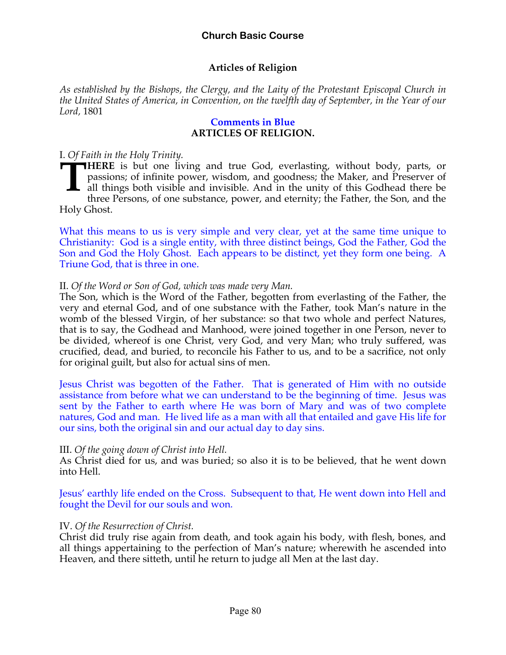# **Articles of Religion**

*As established by the Bishops, the Clergy, and the Laity of the Protestant Episcopal Church in the United States of America, in Convention, on the twelfth day of September, in the Year of our Lord,* 1801

#### **Comments in Blue ARTICLES OF RELIGION.**

## I. *Of Faith in the Holy Trinity.*

**HERE** is but one living and true God, everlasting, without body, parts, or passions; of infinite power, wisdom, and goodness; the Maker, and Preserver of all things both visible and invisible. And in the unity of this Godhead there be three Persons, of one substance, power, and eternity; the Father, the Son, and the Holy Ghost. **T**

What this means to us is very simple and very clear, yet at the same time unique to Christianity: God is a single entity, with three distinct beings, God the Father, God the Son and God the Holy Ghost. Each appears to be distinct, yet they form one being. A Triune God, that is three in one.

## II. *Of the Word or Son of God, which was made very Man.*

The Son, which is the Word of the Father, begotten from everlasting of the Father, the very and eternal God, and of one substance with the Father, took Man's nature in the womb of the blessed Virgin, of her substance: so that two whole and perfect Natures, that is to say, the Godhead and Manhood, were joined together in one Person, never to be divided, whereof is one Christ, very God, and very Man; who truly suffered, was crucified, dead, and buried, to reconcile his Father to us, and to be a sacrifice, not only for original guilt, but also for actual sins of men.

Jesus Christ was begotten of the Father. That is generated of Him with no outside assistance from before what we can understand to be the beginning of time. Jesus was sent by the Father to earth where He was born of Mary and was of two complete natures, God and man. He lived life as a man with all that entailed and gave His life for our sins, both the original sin and our actual day to day sins.

## III. *Of the going down of Christ into Hell.*

As Christ died for us, and was buried; so also it is to be believed, that he went down into Hell.

Jesus' earthly life ended on the Cross. Subsequent to that, He went down into Hell and fought the Devil for our souls and won.

## IV. *Of the Resurrection of Christ.*

Christ did truly rise again from death, and took again his body, with flesh, bones, and all things appertaining to the perfection of Man's nature; wherewith he ascended into Heaven, and there sitteth, until he return to judge all Men at the last day.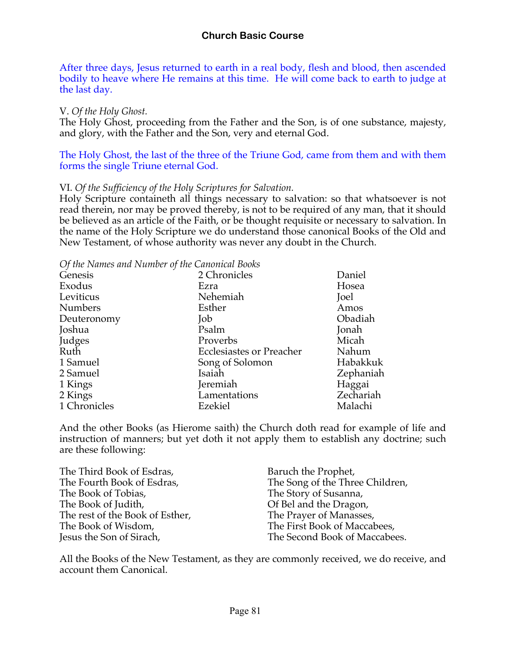After three days, Jesus returned to earth in a real body, flesh and blood, then ascended bodily to heave where He remains at this time. He will come back to earth to judge at the last day.

#### V. *Of the Holy Ghost.*

The Holy Ghost, proceeding from the Father and the Son, is of one substance, majesty, and glory, with the Father and the Son, very and eternal God.

#### The Holy Ghost, the last of the three of the Triune God, came from them and with them forms the single Triune eternal God.

#### VI. *Of the Sufficiency of the Holy Scriptures for Salvation.*

Holy Scripture containeth all things necessary to salvation: so that whatsoever is not read therein, nor may be proved thereby, is not to be required of any man, that it should be believed as an article of the Faith, or be thought requisite or necessary to salvation. In the name of the Holy Scripture we do understand those canonical Books of the Old and New Testament, of whose authority was never any doubt in the Church.

*Of the Names and Number of the Canonical Books* 

| Of the Immites what Immitted of the Canonical Doors |                                 |           |
|-----------------------------------------------------|---------------------------------|-----------|
| Genesis                                             | 2 Chronicles                    | Daniel    |
| Exodus                                              | Ezra                            | Hosea     |
| Leviticus                                           | Nehemiah                        | Joel      |
| <b>Numbers</b>                                      | Esther                          | Amos      |
| Deuteronomy                                         | Job                             | Obadiah   |
| Joshua                                              | Psalm                           | Jonah     |
| Judges                                              | Proverbs                        | Micah     |
| Ruth                                                | <b>Ecclesiastes or Preacher</b> | Nahum     |
| 1 Samuel                                            | Song of Solomon                 | Habakkuk  |
| 2 Samuel                                            | Isaiah                          | Zephaniah |
| 1 Kings                                             | Jeremiah                        | Haggai    |
| 2 Kings                                             | Lamentations                    | Zechariah |
| 1 Chronicles                                        | Ezekiel                         | Malachi   |
|                                                     |                                 |           |

And the other Books (as Hierome saith) the Church doth read for example of life and instruction of manners; but yet doth it not apply them to establish any doctrine; such are these following:

| The Third Book of Esdras,       | Baruch the Prophet,             |
|---------------------------------|---------------------------------|
| The Fourth Book of Esdras,      | The Song of the Three Children, |
| The Book of Tobias,             | The Story of Susanna,           |
| The Book of Judith,             | Of Bel and the Dragon,          |
| The rest of the Book of Esther, | The Prayer of Manasses,         |
| The Book of Wisdom,             | The First Book of Maccabees,    |
| Jesus the Son of Sirach,        | The Second Book of Maccabees.   |

All the Books of the New Testament, as they are commonly received, we do receive, and account them Canonical.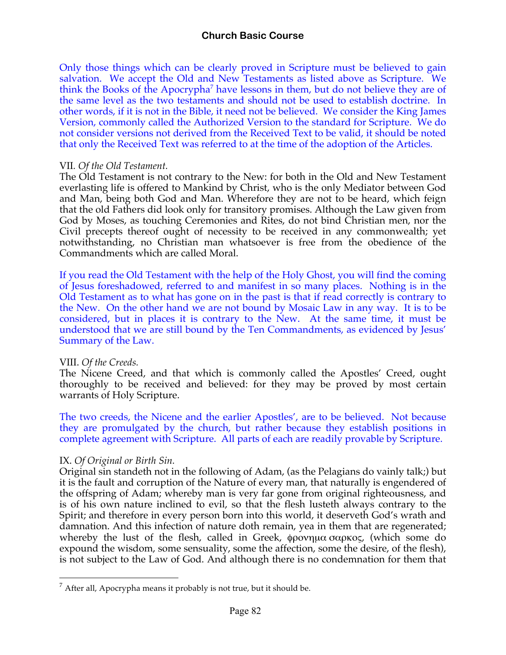Only those things which can be clearly proved in Scripture must be believed to gain salvation. We accept the Old and New Testaments as listed above as Scripture. We think the Books of the Apocrypha<sup>7</sup> have lessons in them, but do not believe they are of the same level as the two testaments and should not be used to establish doctrine. In other words, if it is not in the Bible, it need not be believed. We consider the King James Version, commonly called the Authorized Version to the standard for Scripture. We do not consider versions not derived from the Received Text to be valid, it should be noted that only the Received Text was referred to at the time of the adoption of the Articles.

#### VII*. Of the Old Testament.*

The Old Testament is not contrary to the New: for both in the Old and New Testament everlasting life is offered to Mankind by Christ, who is the only Mediator between God and Man, being both God and Man. Wherefore they are not to be heard, which feign that the old Fathers did look only for transitory promises. Although the Law given from God by Moses, as touching Ceremonies and Rites, do not bind Christian men, nor the Civil precepts thereof ought of necessity to be received in any commonwealth; yet notwithstanding, no Christian man whatsoever is free from the obedience of the Commandments which are called Moral.

If you read the Old Testament with the help of the Holy Ghost, you will find the coming of Jesus foreshadowed, referred to and manifest in so many places. Nothing is in the Old Testament as to what has gone on in the past is that if read correctly is contrary to the New. On the other hand we are not bound by Mosaic Law in any way. It is to be considered, but in places it is contrary to the New. At the same time, it must be understood that we are still bound by the Ten Commandments, as evidenced by Jesus' Summary of the Law.

## VIII. *Of the Creeds.*

The Nicene Creed, and that which is commonly called the Apostles' Creed, ought thoroughly to be received and believed: for they may be proved by most certain warrants of Holy Scripture.

The two creeds, the Nicene and the earlier Apostles', are to be believed. Not because they are promulgated by the church, but rather because they establish positions in complete agreement with Scripture. All parts of each are readily provable by Scripture.

## IX. *Of Original or Birth Sin.*

Original sin standeth not in the following of Adam, (as the Pelagians do vainly talk;) but it is the fault and corruption of the Nature of every man, that naturally is engendered of the offspring of Adam; whereby man is very far gone from original righteousness, and is of his own nature inclined to evil, so that the flesh lusteth always contrary to the Spirit; and therefore in every person born into this world, it deserveth God's wrath and damnation. And this infection of nature doth remain, yea in them that are regenerated; whereby the lust of the flesh, called in Greek, φρονημα σαρκος, (which some do expound the wisdom, some sensuality, some the affection, some the desire, of the flesh), is not subject to the Law of God. And although there is no condemnation for them that

 $<sup>7</sup>$  After all, Apocrypha means it probably is not true, but it should be.</sup>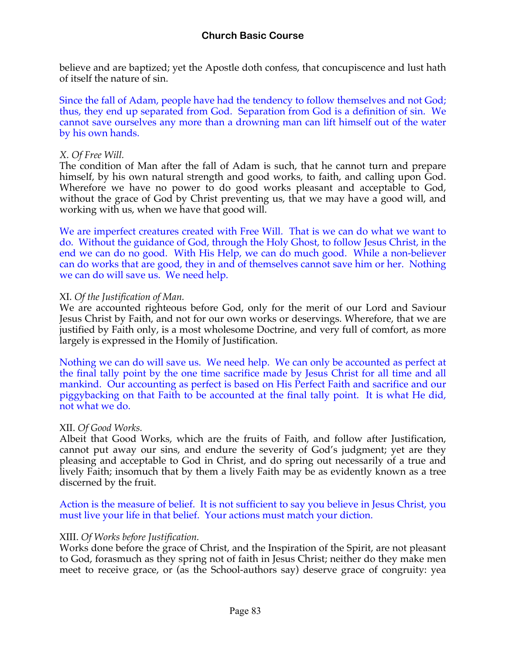believe and are baptized; yet the Apostle doth confess, that concupiscence and lust hath of itself the nature of sin.

Since the fall of Adam, people have had the tendency to follow themselves and not God; thus, they end up separated from God. Separation from God is a definition of sin. We cannot save ourselves any more than a drowning man can lift himself out of the water by his own hands.

## *X. Of Free Will.*

The condition of Man after the fall of Adam is such, that he cannot turn and prepare himself, by his own natural strength and good works, to faith, and calling upon God. Wherefore we have no power to do good works pleasant and acceptable to God, without the grace of God by Christ preventing us, that we may have a good will, and working with us, when we have that good will.

We are imperfect creatures created with Free Will. That is we can do what we want to do. Without the guidance of God, through the Holy Ghost, to follow Jesus Christ, in the end we can do no good. With His Help, we can do much good. While a non-believer can do works that are good, they in and of themselves cannot save him or her. Nothing we can do will save us. We need help.

## XI. *Of the Justification of Man.*

We are accounted righteous before God, only for the merit of our Lord and Saviour Jesus Christ by Faith, and not for our own works or deservings. Wherefore, that we are justified by Faith only, is a most wholesome Doctrine, and very full of comfort, as more largely is expressed in the Homily of Justification.

Nothing we can do will save us. We need help. We can only be accounted as perfect at the final tally point by the one time sacrifice made by Jesus Christ for all time and all mankind. Our accounting as perfect is based on His Perfect Faith and sacrifice and our piggybacking on that Faith to be accounted at the final tally point. It is what He did, not what we do.

## XII. *Of Good Works.*

Albeit that Good Works, which are the fruits of Faith, and follow after Justification, cannot put away our sins, and endure the severity of God's judgment; yet are they pleasing and acceptable to God in Christ, and do spring out necessarily of a true and lively Faith; insomuch that by them a lively Faith may be as evidently known as a tree discerned by the fruit.

Action is the measure of belief. It is not sufficient to say you believe in Jesus Christ, you must live your life in that belief. Your actions must match your diction.

## XIII. *Of Works before Justification.*

Works done before the grace of Christ, and the Inspiration of the Spirit, are not pleasant to God, forasmuch as they spring not of faith in Jesus Christ; neither do they make men meet to receive grace, or (as the School-authors say) deserve grace of congruity: yea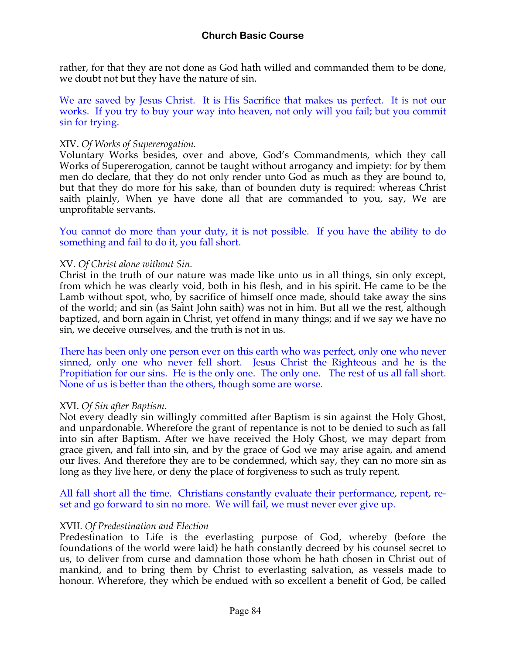rather, for that they are not done as God hath willed and commanded them to be done, we doubt not but they have the nature of sin.

We are saved by Jesus Christ. It is His Sacrifice that makes us perfect. It is not our works. If you try to buy your way into heaven, not only will you fail; but you commit sin for trying.

#### XIV. *Of Works of Supererogation.*

Voluntary Works besides, over and above, God's Commandments, which they call Works of Supererogation, cannot be taught without arrogancy and impiety: for by them men do declare, that they do not only render unto God as much as they are bound to, but that they do more for his sake, than of bounden duty is required: whereas Christ saith plainly, When ye have done all that are commanded to you, say, We are unprofitable servants.

You cannot do more than your duty, it is not possible. If you have the ability to do something and fail to do it, you fall short.

#### XV. *Of Christ alone without Sin.*

Christ in the truth of our nature was made like unto us in all things, sin only except, from which he was clearly void, both in his flesh, and in his spirit. He came to be the Lamb without spot, who, by sacrifice of himself once made, should take away the sins of the world; and sin (as Saint John saith) was not in him. But all we the rest, although baptized, and born again in Christ, yet offend in many things; and if we say we have no sin, we deceive ourselves, and the truth is not in us.

There has been only one person ever on this earth who was perfect, only one who never sinned, only one who never fell short. Jesus Christ the Righteous and he is the Propitiation for our sins. He is the only one. The only one. The rest of us all fall short. None of us is better than the others, though some are worse.

#### XVI. *Of Sin after Baptism.*

Not every deadly sin willingly committed after Baptism is sin against the Holy Ghost, and unpardonable. Wherefore the grant of repentance is not to be denied to such as fall into sin after Baptism. After we have received the Holy Ghost, we may depart from grace given, and fall into sin, and by the grace of God we may arise again, and amend our lives. And therefore they are to be condemned, which say, they can no more sin as long as they live here, or deny the place of forgiveness to such as truly repent.

All fall short all the time. Christians constantly evaluate their performance, repent, reset and go forward to sin no more. We will fail, we must never ever give up.

#### XVII. *Of Predestination and Election*

Predestination to Life is the everlasting purpose of God, whereby (before the foundations of the world were laid) he hath constantly decreed by his counsel secret to us, to deliver from curse and damnation those whom he hath chosen in Christ out of mankind, and to bring them by Christ to everlasting salvation, as vessels made to honour. Wherefore, they which be endued with so excellent a benefit of God, be called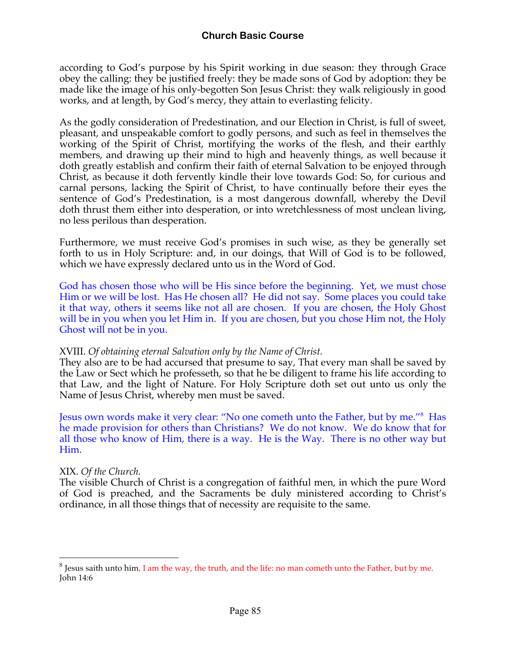according to God's purpose by his Spirit working in due season: they through Grace obey the calling: they be justified freely: they be made sons of God by adoption: they be made like the image of his only-begotten Son Jesus Christ: they walk religiously in good works, and at length, by God's mercy, they attain to everlasting felicity.

As the godly consideration of Predestination, and our Election in Christ, is full of sweet, pleasant, and unspeakable comfort to godly persons, and such as feel in themselves the working of the Spirit of Christ, mortifying the works of the flesh, and their earthly members, and drawing up their mind to high and heavenly things, as well because it doth greatly establish and confirm their faith of eternal Salvation to be enjoyed through Christ, as because it doth fervently kindle their love towards God: So, for curious and carnal persons, lacking the Spirit of Christ, to have continually before their eyes the sentence of God's Predestination, is a most dangerous downfall, whereby the Devil doth thrust them either into desperation, or into wretchlessness of most unclean living, no less perilous than desperation.

Furthermore, we must receive God's promises in such wise, as they be generally set forth to us in Holy Scripture: and, in our doings, that Will of God is to be followed, which we have expressly declared unto us in the Word of God.

God has chosen those who will be His since before the beginning. Yet, we must chose Him or we will be lost. Has He chosen all? He did not say. Some places you could take it that way, others it seems like not all are chosen. If you are chosen, the Holy Ghost will be in you when you let Him in. If you are chosen, but you chose Him not, the Holy Ghost will not be in you.

## XVIII. *Of obtaining eternal Salvation only by the Name of Christ.*

They also are to be had accursed that presume to say, That every man shall be saved by the Law or Sect which he professeth, so that he be diligent to frame his life according to that Law, and the light of Nature. For Holy Scripture doth set out unto us only the Name of Jesus Christ, whereby men must be saved.

Jesus own words make it very clear: "No one cometh unto the Father, but by me."<sup>8</sup> Has he made provision for others than Christians? We do not know. We do know that for all those who know of Him, there is a way. He is the Way. There is no other way but Him.

## XIX. *Of the Church.*

The visible Church of Christ is a congregation of faithful men, in which the pure Word of God is preached, and the Sacraments be duly ministered according to Christ's ordinance, in all those things that of necessity are requisite to the same.

 $8$  Jesus saith unto him, I am the way, the truth, and the life: no man cometh unto the Father, but by me. John 14:6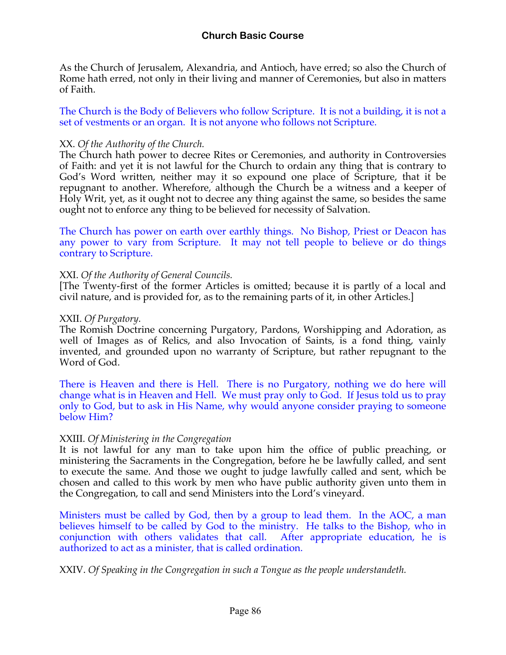As the Church of Jerusalem, Alexandria, and Antioch, have erred; so also the Church of Rome hath erred, not only in their living and manner of Ceremonies, but also in matters of Faith.

The Church is the Body of Believers who follow Scripture. It is not a building, it is not a set of vestments or an organ. It is not anyone who follows not Scripture.

## XX. *Of the Authority of the Church.*

The Church hath power to decree Rites or Ceremonies, and authority in Controversies of Faith: and yet it is not lawful for the Church to ordain any thing that is contrary to God's Word written, neither may it so expound one place of Scripture, that it be repugnant to another. Wherefore, although the Church be a witness and a keeper of Holy Writ, yet, as it ought not to decree any thing against the same, so besides the same ought not to enforce any thing to be believed for necessity of Salvation.

The Church has power on earth over earthly things. No Bishop, Priest or Deacon has any power to vary from Scripture. It may not tell people to believe or do things contrary to Scripture.

#### XXI. *Of the Authority of General Councils.*

[The Twenty-first of the former Articles is omitted; because it is partly of a local and civil nature, and is provided for, as to the remaining parts of it, in other Articles.]

#### XXII. *Of Purgatory.*

The Romish Doctrine concerning Purgatory, Pardons, Worshipping and Adoration, as well of Images as of Relics, and also Invocation of Saints, is a fond thing, vainly invented, and grounded upon no warranty of Scripture, but rather repugnant to the Word of God.

There is Heaven and there is Hell. There is no Purgatory, nothing we do here will change what is in Heaven and Hell. We must pray only to God. If Jesus told us to pray only to God, but to ask in His Name, why would anyone consider praying to someone below Him?

#### XXIII. *Of Ministering in the Congregation*

It is not lawful for any man to take upon him the office of public preaching, or ministering the Sacraments in the Congregation, before he be lawfully called, and sent to execute the same. And those we ought to judge lawfully called and sent, which be chosen and called to this work by men who have public authority given unto them in the Congregation, to call and send Ministers into the Lord's vineyard.

Ministers must be called by God, then by a group to lead them. In the AOC, a man believes himself to be called by God to the ministry. He talks to the Bishop, who in conjunction with others validates that call. After appropriate education, he is authorized to act as a minister, that is called ordination.

XXIV. *Of Speaking in the Congregation in such a Tongue as the people understandeth.*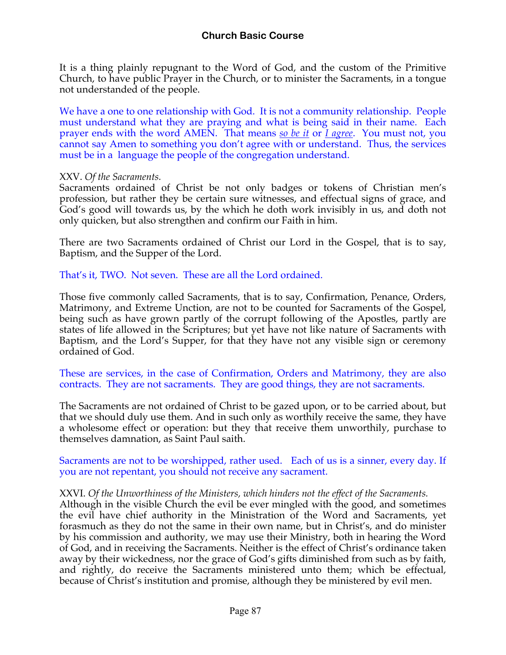It is a thing plainly repugnant to the Word of God, and the custom of the Primitive Church, to have public Prayer in the Church, or to minister the Sacraments, in a tongue not understanded of the people.

We have a one to one relationship with God. It is not a community relationship. People must understand what they are praying and what is being said in their name. Each prayer ends with the word AMEN. That means *so be it* or *I agree*. You must not, you cannot say Amen to something you don't agree with or understand. Thus, the services must be in a language the people of the congregation understand.

#### XXV. *Of the Sacraments.*

Sacraments ordained of Christ be not only badges or tokens of Christian men's profession, but rather they be certain sure witnesses, and effectual signs of grace, and God's good will towards us, by the which he doth work invisibly in us, and doth not only quicken, but also strengthen and confirm our Faith in him.

There are two Sacraments ordained of Christ our Lord in the Gospel, that is to say, Baptism, and the Supper of the Lord.

That's it, TWO. Not seven. These are all the Lord ordained.

Those five commonly called Sacraments, that is to say, Confirmation, Penance, Orders, Matrimony, and Extreme Unction, are not to be counted for Sacraments of the Gospel, being such as have grown partly of the corrupt following of the Apostles, partly are states of life allowed in the Scriptures; but yet have not like nature of Sacraments with Baptism, and the Lord's Supper, for that they have not any visible sign or ceremony ordained of God.

These are services, in the case of Confirmation, Orders and Matrimony, they are also contracts. They are not sacraments. They are good things, they are not sacraments.

The Sacraments are not ordained of Christ to be gazed upon, or to be carried about, but that we should duly use them. And in such only as worthily receive the same, they have a wholesome effect or operation: but they that receive them unworthily, purchase to themselves damnation, as Saint Paul saith.

Sacraments are not to be worshipped, rather used. Each of us is a sinner, every day. If you are not repentant, you should not receive any sacrament.

## XXVI. *Of the Unworthiness of the Ministers, which hinders not the effect of the Sacraments.*

Although in the visible Church the evil be ever mingled with the good, and sometimes the evil have chief authority in the Ministration of the Word and Sacraments, yet forasmuch as they do not the same in their own name, but in Christ's, and do minister by his commission and authority, we may use their Ministry, both in hearing the Word of God, and in receiving the Sacraments. Neither is the effect of Christ's ordinance taken away by their wickedness, nor the grace of God's gifts diminished from such as by faith, and rightly, do receive the Sacraments ministered unto them; which be effectual, because of Christ's institution and promise, although they be ministered by evil men.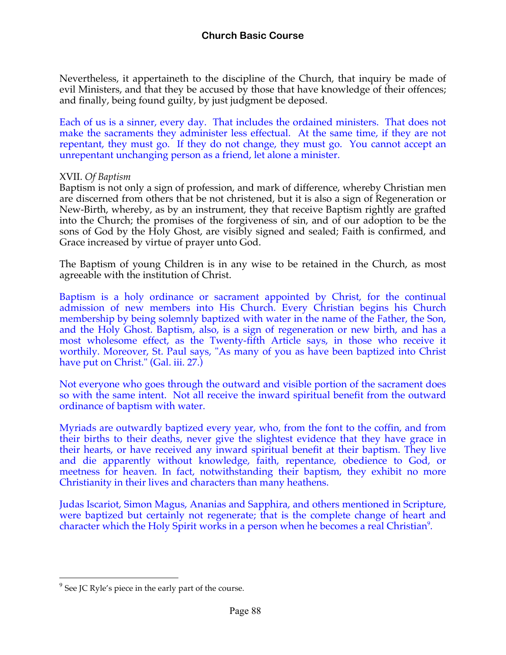Nevertheless, it appertaineth to the discipline of the Church, that inquiry be made of evil Ministers, and that they be accused by those that have knowledge of their offences; and finally, being found guilty, by just judgment be deposed.

Each of us is a sinner, every day. That includes the ordained ministers. That does not make the sacraments they administer less effectual. At the same time, if they are not repentant, they must go. If they do not change, they must go. You cannot accept an unrepentant unchanging person as a friend, let alone a minister.

## XVII. *Of Baptism*

Baptism is not only a sign of profession, and mark of difference, whereby Christian men are discerned from others that be not christened, but it is also a sign of Regeneration or New-Birth, whereby, as by an instrument, they that receive Baptism rightly are grafted into the Church; the promises of the forgiveness of sin, and of our adoption to be the sons of God by the Holy Ghost, are visibly signed and sealed; Faith is confirmed, and Grace increased by virtue of prayer unto God.

The Baptism of young Children is in any wise to be retained in the Church, as most agreeable with the institution of Christ.

Baptism is a holy ordinance or sacrament appointed by Christ, for the continual admission of new members into His Church. Every Christian begins his Church membership by being solemnly baptized with water in the name of the Father, the Son, and the Holy Ghost. Baptism, also, is a sign of regeneration or new birth, and has a most wholesome effect, as the Twenty-fifth Article says, in those who receive it worthily. Moreover, St. Paul says, "As many of you as have been baptized into Christ have put on Christ." (Gal. iii. 27.)

Not everyone who goes through the outward and visible portion of the sacrament does so with the same intent. Not all receive the inward spiritual benefit from the outward ordinance of baptism with water.

Myriads are outwardly baptized every year, who, from the font to the coffin, and from their births to their deaths, never give the slightest evidence that they have grace in their hearts, or have received any inward spiritual benefit at their baptism. They live and die apparently without knowledge, faith, repentance, obedience to God, or meetness for heaven. In fact, notwithstanding their baptism, they exhibit no more Christianity in their lives and characters than many heathens.

Judas Iscariot, Simon Magus, Ananias and Sapphira, and others mentioned in Scripture, were baptized but certainly not regenerate; that is the complete change of heart and character which the Holy Spirit works in a person when he becomes a real Christian<sup>9</sup>.

 $9^9$  See JC Ryle's piece in the early part of the course.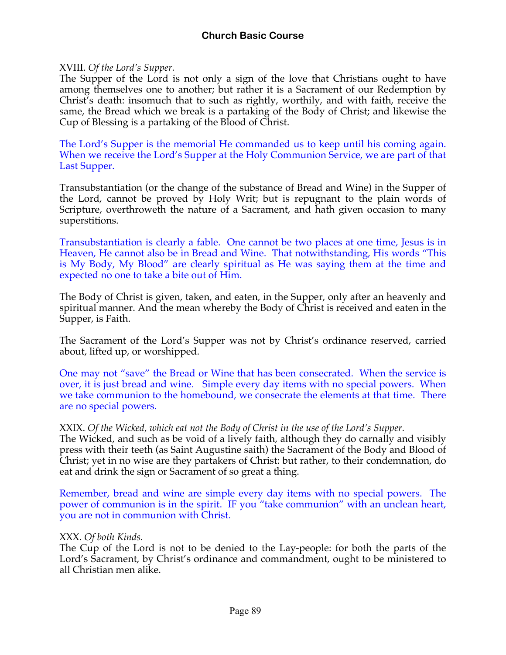XVIII. *Of the Lord's Supper.* 

The Supper of the Lord is not only a sign of the love that Christians ought to have among themselves one to another; but rather it is a Sacrament of our Redemption by Christ's death: insomuch that to such as rightly, worthily, and with faith, receive the same, the Bread which we break is a partaking of the Body of Christ; and likewise the Cup of Blessing is a partaking of the Blood of Christ.

The Lord's Supper is the memorial He commanded us to keep until his coming again. When we receive the Lord's Supper at the Holy Communion Service, we are part of that Last Supper.

Transubstantiation (or the change of the substance of Bread and Wine) in the Supper of the Lord, cannot be proved by Holy Writ; but is repugnant to the plain words of Scripture, overthroweth the nature of a Sacrament, and hath given occasion to many superstitions.

Transubstantiation is clearly a fable. One cannot be two places at one time, Jesus is in Heaven, He cannot also be in Bread and Wine. That notwithstanding, His words "This is My Body, My Blood" are clearly spiritual as He was saying them at the time and expected no one to take a bite out of Him.

The Body of Christ is given, taken, and eaten, in the Supper, only after an heavenly and spiritual manner. And the mean whereby the Body of Christ is received and eaten in the Supper, is Faith.

The Sacrament of the Lord's Supper was not by Christ's ordinance reserved, carried about, lifted up, or worshipped.

One may not "save" the Bread or Wine that has been consecrated. When the service is over, it is just bread and wine. Simple every day items with no special powers. When we take communion to the homebound, we consecrate the elements at that time. There are no special powers.

## XXIX. *Of the Wicked, which eat not the Body of Christ in the use of the Lord's Supper.*

The Wicked, and such as be void of a lively faith, although they do carnally and visibly press with their teeth (as Saint Augustine saith) the Sacrament of the Body and Blood of Christ; yet in no wise are they partakers of Christ: but rather, to their condemnation, do eat and drink the sign or Sacrament of so great a thing.

Remember, bread and wine are simple every day items with no special powers. The power of communion is in the spirit. IF you "take communion" with an unclean heart, you are not in communion with Christ.

#### XXX. *Of both Kinds.*

The Cup of the Lord is not to be denied to the Lay-people: for both the parts of the Lord's Sacrament, by Christ's ordinance and commandment, ought to be ministered to all Christian men alike.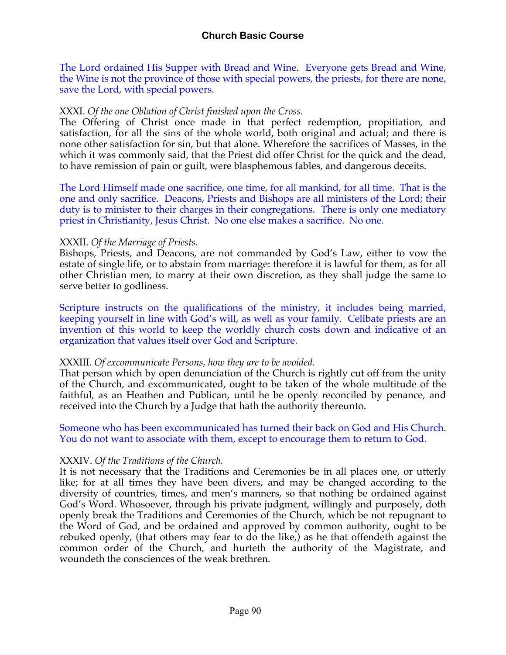The Lord ordained His Supper with Bread and Wine. Everyone gets Bread and Wine, the Wine is not the province of those with special powers, the priests, for there are none, save the Lord, with special powers.

## XXXI. *Of the one Oblation of Christ finished upon the Cross.*

The Offering of Christ once made in that perfect redemption, propitiation, and satisfaction, for all the sins of the whole world, both original and actual; and there is none other satisfaction for sin, but that alone. Wherefore the sacrifices of Masses, in the which it was commonly said, that the Priest did offer Christ for the quick and the dead, to have remission of pain or guilt, were blasphemous fables, and dangerous deceits.

The Lord Himself made one sacrifice, one time, for all mankind, for all time. That is the one and only sacrifice. Deacons, Priests and Bishops are all ministers of the Lord; their duty is to minister to their charges in their congregations. There is only one mediatory priest in Christianity, Jesus Christ. No one else makes a sacrifice. No one.

## XXXII. *Of the Marriage of Priests.*

Bishops, Priests, and Deacons, are not commanded by God's Law, either to vow the estate of single life, or to abstain from marriage: therefore it is lawful for them, as for all other Christian men, to marry at their own discretion, as they shall judge the same to serve better to godliness.

Scripture instructs on the qualifications of the ministry, it includes being married, keeping yourself in line with God's will, as well as your family. Celibate priests are an invention of this world to keep the worldly church costs down and indicative of an organization that values itself over God and Scripture.

## XXXIII. *Of excommunicate Persons, how they are to be avoided.*

That person which by open denunciation of the Church is rightly cut off from the unity of the Church, and excommunicated, ought to be taken of the whole multitude of the faithful, as an Heathen and Publican, until he be openly reconciled by penance, and received into the Church by a Judge that hath the authority thereunto.

# Someone who has been excommunicated has turned their back on God and His Church. You do not want to associate with them, except to encourage them to return to God.

## XXXIV. *Of the Traditions of the Church.*

It is not necessary that the Traditions and Ceremonies be in all places one, or utterly like; for at all times they have been divers, and may be changed according to the diversity of countries, times, and men's manners, so that nothing be ordained against God's Word. Whosoever, through his private judgment, willingly and purposely, doth openly break the Traditions and Ceremonies of the Church, which be not repugnant to the Word of God, and be ordained and approved by common authority, ought to be rebuked openly, (that others may fear to do the like,) as he that offendeth against the common order of the Church, and hurteth the authority of the Magistrate, and woundeth the consciences of the weak brethren.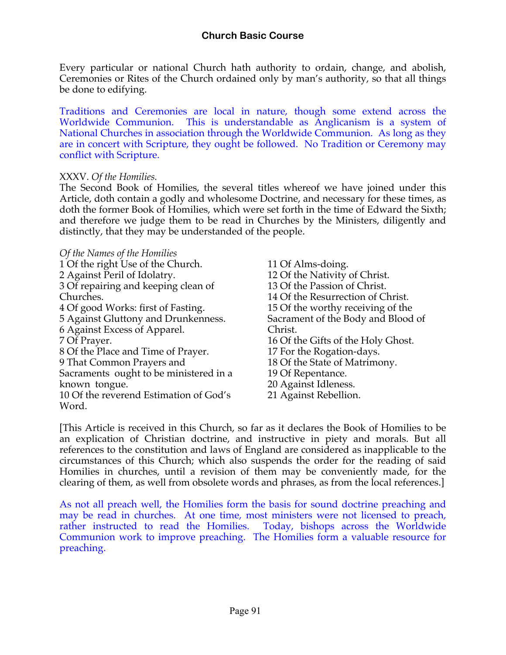Every particular or national Church hath authority to ordain, change, and abolish, Ceremonies or Rites of the Church ordained only by man's authority, so that all things be done to edifying.

Traditions and Ceremonies are local in nature, though some extend across the Worldwide Communion. This is understandable as Anglicanism is a system of National Churches in association through the Worldwide Communion. As long as they are in concert with Scripture, they ought be followed. No Tradition or Ceremony may conflict with Scripture.

#### XXXV. *Of the Homilies.*

The Second Book of Homilies, the several titles whereof we have joined under this Article, doth contain a godly and wholesome Doctrine, and necessary for these times, as doth the former Book of Homilies, which were set forth in the time of Edward the Sixth; and therefore we judge them to be read in Churches by the Ministers, diligently and distinctly, that they may be understanded of the people.

| Of the Names of the Homilies           |                                    |
|----------------------------------------|------------------------------------|
| 1 Of the right Use of the Church.      | 11 Of Alms-doing.                  |
| 2 Against Peril of Idolatry.           | 12 Of the Nativity of Christ.      |
| 3 Of repairing and keeping clean of    | 13 Of the Passion of Christ.       |
| Churches.                              | 14 Of the Resurrection of Christ.  |
| 4 Of good Works: first of Fasting.     | 15 Of the worthy receiving of the  |
| 5 Against Gluttony and Drunkenness.    | Sacrament of the Body and Blood of |
| 6 Against Excess of Apparel.           | Christ.                            |
| 7 Of Prayer.                           | 16 Of the Gifts of the Holy Ghost. |
| 8 Of the Place and Time of Prayer.     | 17 For the Rogation-days.          |
| 9 That Common Prayers and              | 18 Of the State of Matrimony.      |
| Sacraments ought to be ministered in a | 19 Of Repentance.                  |
| known tongue.                          | 20 Against Idleness.               |
| 10 Of the reverend Estimation of God's | 21 Against Rebellion.              |
| Word.                                  |                                    |

[This Article is received in this Church, so far as it declares the Book of Homilies to be an explication of Christian doctrine, and instructive in piety and morals. But all references to the constitution and laws of England are considered as inapplicable to the circumstances of this Church; which also suspends the order for the reading of said Homilies in churches, until a revision of them may be conveniently made, for the clearing of them, as well from obsolete words and phrases, as from the local references.]

As not all preach well, the Homilies form the basis for sound doctrine preaching and may be read in churches. At one time, most ministers were not licensed to preach, rather instructed to read the Homilies. Today, bishops across the Worldwide Communion work to improve preaching. The Homilies form a valuable resource for preaching.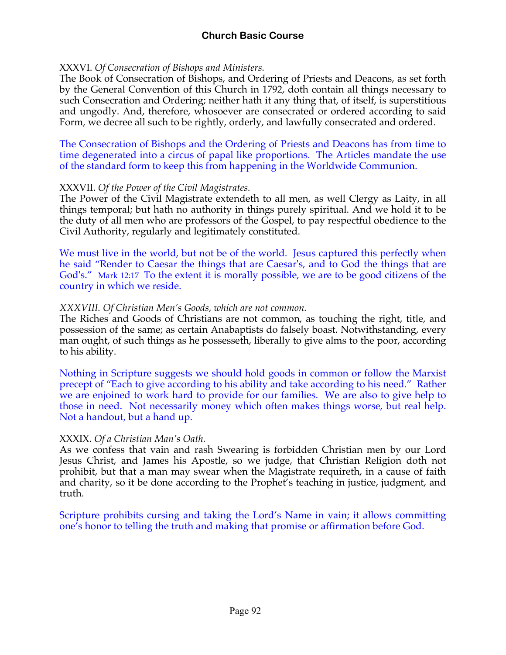# XXXVI. *Of Consecration of Bishops and Ministers.*

The Book of Consecration of Bishops, and Ordering of Priests and Deacons, as set forth by the General Convention of this Church in 1792, doth contain all things necessary to such Consecration and Ordering; neither hath it any thing that, of itself, is superstitious and ungodly. And, therefore, whosoever are consecrated or ordered according to said Form, we decree all such to be rightly, orderly, and lawfully consecrated and ordered.

The Consecration of Bishops and the Ordering of Priests and Deacons has from time to time degenerated into a circus of papal like proportions. The Articles mandate the use of the standard form to keep this from happening in the Worldwide Communion.

# XXXVII. *Of the Power of the Civil Magistrates.*

The Power of the Civil Magistrate extendeth to all men, as well Clergy as Laity, in all things temporal; but hath no authority in things purely spiritual. And we hold it to be the duty of all men who are professors of the Gospel, to pay respectful obedience to the Civil Authority, regularly and legitimately constituted.

We must live in the world, but not be of the world. Jesus captured this perfectly when he said "Render to Caesar the things that are Caesar's, and to God the things that are God's." Mark 12:17 To the extent it is morally possible, we are to be good citizens of the country in which we reside.

# *XXXVIII. Of Christian Men's Goods, which are not common.*

The Riches and Goods of Christians are not common, as touching the right, title, and possession of the same; as certain Anabaptists do falsely boast. Notwithstanding, every man ought, of such things as he possesseth, liberally to give alms to the poor, according to his ability.

Nothing in Scripture suggests we should hold goods in common or follow the Marxist precept of "Each to give according to his ability and take according to his need." Rather we are enjoined to work hard to provide for our families. We are also to give help to those in need. Not necessarily money which often makes things worse, but real help. Not a handout, but a hand up.

# XXXIX. *Of a Christian Man's Oath.*

As we confess that vain and rash Swearing is forbidden Christian men by our Lord Jesus Christ, and James his Apostle, so we judge, that Christian Religion doth not prohibit, but that a man may swear when the Magistrate requireth, in a cause of faith and charity, so it be done according to the Prophet's teaching in justice, judgment, and truth.

Scripture prohibits cursing and taking the Lord's Name in vain; it allows committing one's honor to telling the truth and making that promise or affirmation before God.